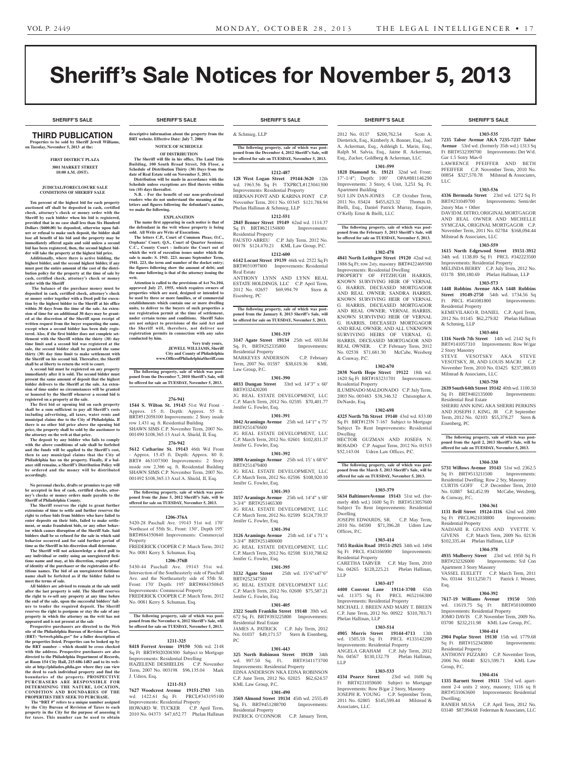# Sheriff's Sale Notices for November 5, 2013

**SHERIFF'S SALE SHERIFF'S SALE SHERIFF'S SALE SHERIFF'S SALE SHERIFF'S SALE**

# THIRD PUBLICATION

**Properties to be sold by Sheriff Jewell Williams, on Tuesday, November 5, 2013 at the:** 

#### **First District Plaza 3801 Market Street 10:00 A.M. (DST).**

#### **JUDICIAL/FORECLOSURE SALE CONDITIONS OF SHERIFF SALE**

**Ten percent of the highest bid for each property auctioned off shall be deposited in cash, certified check, attorney's check or money order with the Sheriff by each bidder when his bid is registered, provided that in no case shall less than Six Hundred Dollars (\$600.00) be deposited, otherwise upon failure or refusal to make such deposit, the bidder shall lose all benefit of his bid and the property may be immediately offered again and sold unless a second bid has been registered, then, the second highest bidder will take the property at the highest bid price.**

**Additionally, where there is active bidding, the highest bidder, and the second highest bidder, if any must post the entire amount of the cost of the distribution policy for the property at the time of sale by cash, certified check, attorney's check or money order with the Sheriff**

 **The balance of the purchase money must be deposited in cash, certified check, attorney's check or money order together with a Deed poll for execution by the highest bidder to the Sheriff at his office within 30 days from the time of the sale. An exten-sion of time for an additional 30 days may be granted at the discretion of the Sheriff upon receipt of written request from the buyer requesting the same, except when a second bidder has been duly registered. Also, if the first bidder does not complete set-tlement with the Sheriff within the thirty (30) day time limit and a second bid was registered at the**  sale, the second bidder shall be granted the sa **thirty (30) day time limit to make settlement with the Sheriff on his second bid. Thereafter, the Sheriff shall be at liberty to return the writ to court.**

**A second bid must be registered on any property immediately after it is sold. The second bidder must present the same amount of deposit that the highest bidder delivers to the Sheriff at the sale. An exten-sion of time under no circumstances will be granted or honored by the Sheriff whenever a second bid is registered on a property at the sale.** 

**The first bid or opening bid on each property shall be a sum sufficient to pay all Sheriff's costs including advertising, all taxes, water rents and municipal claims due to the City of Philadelphia. If there is no other bid price above the opening bid price, the property shall be sold by the auctioneer to** 

**the attorney on the writ at that price. The deposit by any bidder who fails to comply with the above conditions of sale shall be forfeited and the funds will be applied to the Sheriff's cost, then to any municipal claims that the City of Philadelphia has on the property. Finally, if a bal-ance still remains, a Sheriff's Distribution Policy will be ordered and the money will be distributed accordingly.**

**No personal checks, drafts or promises to pay will be accepted in lieu of cash, certified checks, attorney's checks or money orders made payable to the Sheriff of Philadelphia County.**

**The Sheriff reserves the right to grant further extensions of time to settle and further reserves the right to refuse bids from bidders who have failed to enter deposits on their bids, failed to make settlement, or make fraudulent bids, or any other behavior which causes disruption of the Sheriff Sale. Said bidders shall be so refused for the sale in which said behavior occurred and for said further period of time as the Sheriff in his discretion shall determine.**

**The Sheriff will not acknowledge a deed poll to any individual or entity using an unregistered fictitious name and may, at his discretion, require proof of identity of the purchaser or the registration of fictitious names. The bid of an unregistered fictitious name shall be forfeited as if the bidder failed to meet the terms of sale.**

**All bidders are advised to remain at the sale until after the last property is sold. The Sheriff reserves the right to re-sell any property at any time before the end of the sale, upon the successful bidders' failure to tender the required deposit. The Sheriff reserves the right to postpone or stay the sale of any property in which the attorney on the writ has not appeared and is not present at the sale**

**Prospective purchasers are directed to the Web site of the Philadelphia Bureau of Revision of Taxes, (BRT) "brtweb.phila.gov" for a fuller description of the properties listed. Properties can be looked up by the BRT number – which should be cross checked with the address. Prospective purchasers are also directed to the Philadelphia Department of Records, at Room 154 City Hall, 215-686-1483 and to its web-site at http://philadox.phila.gov where they can view the deed to each individual property and find the boundaries of the property. PROSPECTIVE PURCHASERS ARE RESPONSIBLE FOR** DETERMINING THE NATURE, LOCATION,<br>CONDITION AND BOUNDARIES OF THE **PROPERTIES THEY SEEK TO PURCHASE.**

 **The "BRT #" refers to a unique number assigned by the City Bureau of Revision of Taxes to each property in the City for the purpose of assessing it for taxes. This number can be used to obtain** 

**descriptive information about the property from the**  & Schmieg, LLP

**BRT website. Effective Date: July 7, 200** 

**ten (10) days thereafter.**

**we make the following.**

**writ.**

**conducted by him.**

**NOTICE OF SCHEDULE OF DISTRIBUTION The Sheriff will file in his office, The Land Title Building, 100 South Broad Street, 5th Floor, a Schedule of Distribution Thirty (30) Days from the date of Real Estate sold on November 5, 2013. Distribution will be made in accordance with the Schedule unless exceptions are filed thereto within** 

**N.B. - For the benefit of our non-professional readers who do not understand the meaning of the letters and figures following the defendant's names,** 

**EXPLANATION The name first appearing in each notice is that of the defendant in the writ whose property is being** 

**The letters C.P., Court of Common Pleas; O.C., Orphans' Court; Q.S., Court of Quarter Sessions; C.C., County Court - indicate the Court out of which the writ of execution issues under which the sale is made: S. 1941. 223. means September Term, 1941. 223, the term and number of the docket entry; the figures following show the amount of debt; and the name following is that of the attorney issuing the** 

**Attention is called to the provisions of Act No.104, approved July 27, 1955, which requires owners of properties which are used, designed or intended to be used by three or more families, or of commercial establishments which contain one or more dwelling units, to deliver to the buyers of such properties a**  use registration permit at the time of settlement **under certain terms and conditions. Sheriff Sales are not subject to provisions of the said Act and the Sheriff will, therefore, not deliver use registration permits in connection with any sales** 

**The following property, sale of which was postponed from the December 7, 2010 Sheriff's Sale, will be offered for sale on TUESDAY, November 5, 2013.**

**276-941 1544 S. Wilton St. 19143** 51st Wd Front - Approx. 15 ft. Depth: Approx. 55 ft. BRT#512058100 Improvements: 2 Story inside row 1,431 sq. ft. Residential Building SHAWN SIMS C.P. November Term, 2007 No. 001490 \$108,365.13 Axel A. Shield, II, Esq. **276-942 5612 Catharine St. 19143** 46th Wd Front - Approx. 15.45 ft. Depth: Approx. 80 ft. BRT# 463107300 Improvements: 2 Story inside row 2,366 sq. ft. Residential Building SHAWN SIMS C.P. November Term, 2007 No. 001492 \$108,365.13 Axel A. Shield, II, Esq.

**The following property, sale of which was postponed from the June 5, 2012 Sheriff's Sale, will be offered for sale on TUESDAY, November 5, 2013.**

**1206-376A** 5420-28 Paschall Ave. 19143 51st wd. 170' Northeast of 55th St., Front: 130', Depth 195' BRT#884350840 Improvements: Commercial

FREDERICK COOPER C.P. March Term, 2012

**1206-376B** 5430-44 Paschall Ave. 19143 51st wd. Intersection of the Southeasterly side of Paschall Ave. and the Northeasterly side of 55th St. Front: 170' Depth: 195' BRT#884350845 Improvements: Commercial Property FREDERICK COOPER C.P. March Term, 2012

**The following property, sale of which was postponed from the November 6, 2012 Sheriff's Sale, will be offered for sale on TUESDAY, November 5, 2013.**

**1211-325 8418 Forrest Avenue 19150** 50th wd. 2148 Sq Ft BRT#5020208300 Subject to Mortgage Improvements: Residential Dwelling HAZELENE DESHIELDS C.P. November Term, 2007 No. 003198 \$96,135.04 Mark

**1211-513 7627 Woodcrest Avenue 19151-2703** 34th wd. 1422.61 Sq Ft PRCL#343195100 Improvements: Residential Property

HOWARD W. TUCKER C.P. April Term, 2010 No. 04373 \$47,652.77 Phelan Hallinan

No. 0081 Kerry S. Schuman, Esq.

No. 0081 Kerry S. Schuman, Esq.

Property

J. Udren, Esq.

**Very truly yours, JEWELL WILLIAMS, Sheriff City and County of Philadelphia www.OfficeofPhiladelphiaSheriff.com**

**sold. All Writs are Writs of Executions.**

**The following property, sale of which was postponed from the December 4, 2012 Sheriff's Sale, will be offered for sale on TUESDAY, November 5, 2013.**

#### **1212-487**

**128 West Logan Street 19144-3620** 12th wd. 1963.56 Sq Ft TXPRCL#123041300 Improvements: Residential Property HERNAN FONT AND KARINA FONT C.P. November Term, 2011 No. 03345 \$121,788.94 Phelan Hallinan & Schmieg, LLP

#### **1212-551**

**2845 Benner Street 19149** 62nd wd. 1114.37 Sq Ft BRT#621154800 Improvements: Residential Property FAUSTO ABREU C.P. July Term, 2012 No. 00178 \$124,470.21 KML Law Group, P.C.

# **1212-600**

**6142 Locust Street 19139** 46th wd. 2522 Sq Ft BRT#031097800 Improvements: Residential Real Estate ANTHONY LYNN AND LYNN REAL

ESTATE HOLDINGS, LLC C.P. April Term, 2012 No. 02657 \$69,994.79 Stern & Eisenberg, PC

**The following property, sale of which was postponed from the January 8, 2013 Sheriff's Sale, will be offered for sale on TUESDAY, November 5, 2013.**

#### **1301-319**

**3147 Agate Street 19134** 25th wd. 693.84 Sq. Ft. BRT#252335800 Improvements: Residential Property MARKEYES ANDERSON C.P. February Term, 2007 No. 01597 \$38,619.36 KML Law Group, P.C.

**1301-390 4033 Dungan Street** 33rd wd. 14'3" x 60' BRT#332420200

JG REAL ESTATE DEVELOPMENT, LLC C.P. March Term, 2012 No. 02595 \$70,401.77 Jenifer G. Fowler, Esq.

# **1301-391**

**3042 Aramingo Avenue** 25th wd. 14'1" x 75' BRT#251476600 JG REAL ESTATE DEVELOPMENT, LLC C.P. March Term, 2012 No. 02601 \$102,831.37 Jenifer G. Fowler, Esq.

#### **1301-392**

**3098 Aramingo Avenue** 25th wd. 15' x 68'6" BRT#251479400 JG REAL ESTATE DEVELOPMENT, LLC C.P. March Term, 2012 No. 02596 \$108,920.10 Jenifer G. Fowler, Esq.

#### **1301-393**

**3157 Aramingo Avenue** 25th wd. 14'4" x 68' 3-3/4" BRT#251465300 JG REAL ESTATE DEVELOPMENT, LLC C.P. March Term, 2012 No. 02599 \$124,739.37 Jenifer G. Fowler, Esq.

#### **1301-394**

**3126 Aramingo Avenue** 25th wd. 14' x 71' x 3-3/4" BRT#251480600 JG REAL ESTATE DEVELOPMENT, LLC C.P. March Term, 2012 No. 02598 \$110,798.62 Jenifer G. Fowler, Esq.

**1301-395 3132 Agate Street** 25th wd. 15'6"x47'6" BRT#252347500

JG REAL ESTATE DEVELOPMENT LLC C.P. March Term, 2012 No. 02600 \$75,587.21 Jenifer G. Fowler, Esq.

#### **1301-405**

**2322 South Franklin Street 19148** 39th wd. 672 Sq. Ft. BRT#393225800 Improvements: Residential Real Estate JAMES A. PATRICK C.P. July Term, 2012 No. 01037 \$49,171.57 Stern & Eisenberg,

#### **1301-443**

PC

**325 North Robinson Street 19139** 34th wd. 997.50 Sq. Ft. Improvements: Residential Property EDNA ANDERSON NKA EDNA ROBINSON C.P. June Term, 2012 No. 02025 \$62,624.57 KML Law Group, P.C.

# **1301-490**

**3569 Almond Street 19134** 45th wd. 2555.49 Sq. Ft. BRT#451288700 Improvements: Residential Property PATRICK O'CONNOR C.P. January Term,

2012 No. 0137 \$200,762.54 Scott A. Dietterick, Esq., Kimberly A. Bonner, Esq., Joel A. Ackerman, Esq., Ashleigh L. Marin, Esq., Ralph M. Salvia, Esq., Jaime R. Ackerman, Esq., Zucker, Goldberg & Ackerman, LLC

### **1301-599**

**1828 Diamond St. 19121** 32nd wd. Front: 17'-1/4"; Depth: 100' OPA#881146290 Improvements: 3 Story, 6 Unit, 3,251 Sq. Ft. Apartment Building SUI LIN DAN-JONES C.P. October Term,

2011 No. 03424 \$455,623.32 Thomas D. Bielli, Esq., Daniel Patrick Murray, Esquire, O'Kelly Ernst & Bielli, LLC

**The following property, sale of which was postponed from the February 5, 2013 Sheriff's Sale, will be offered for sale on TUESDAY, November 5, 2013.**

#### **1302-478**

**4841 North Leithgow Street 19120** 42nd wd. 1886 Sq Ft; row 2sty, masonry BRT#422469300 Improvements: Residential Dwelling PROPERTY OF FITZHUGH HARRIS, KNOWN SURVIVING HEIR OF VERNAL G. HARRIS, DECEASED MORTGAGOR AND REAL OWNER; SANDRA HARRIS, KNOWN SURVIVING HEIR OF VERNAL G. HARRIS, DECEASED MORTGAGOR AND REAL OWNER; VERNAL HARRIS, KNOWN SURVIVING HEIR OF VERNAL G. HARRIS, DECEASED MORTGAGOR AND REAL OWNER; AND ALL UNKNOWN SURVIVING HEIRS OF VERNAL G. HARRIS, DECEASED MORTGAGOR AND REAL OWNER. C.P. February Term, 2012 No. 02538 \$71,681.30 McCabe, Weisberg & Conway, P.C.

#### **1302-670**

**2038 North Hope Street 19122** 18th wd. 1620 Sq Ft BRT#183231701 Improvements: Residential Property ILUMINADO MALDONADO C.P. July Term, 2003 No. 003483 \$38,346.32 Christopher A. DeNardo, Esq.

# **1302-698**

**4325 North 7th Street 19140** 43rd wd. 833.00 Sq Ft BRT#123N 7-167 Subject to Mortgage Subject To Rent Improvements: Residential Dwelling

HECTOR GUZMAN AND JOSEFA N. ROSADO C.P. August Term, 2012 No. 01513 \$52,143.04 Udren Law Offices, P.C.

**The following property, sale of which was post-poned from the March 5, 2013 Sheriff's Sale, will be** 

**offered for sale on TUESDAY, November 5, 2013. 1303-379**

**5634 BaltimoreAvenue 19143** 51st wd. (formerly 40th wd.) 1600 Sq Ft BRT#513057600 Subject To Rent Improvements: Residential Dwelling

JOSEPH EDWARDS, SR. C.P. May Term, 2010 No. 04590 \$71,396.28 Udren Law Offices, P.C.

# **1303-414**

**7455 Ruskin Road 19151-2925** 34th wd. 1494 Sq Ft PRCL #343166900 Improvements: Residential Property CARETHA TARVER C.P. May Term, 2010 No. 04265 \$128,225.21 Phelan Hallinan, LLP

# **1303-417**

**4400 Convent Lane 19114-3708** 65th wd. 11375 Sq Ft PRCL #652166300 Improvements: Residential Property MICHAEL J. BREEN AND MARY T. BREEN C.P. June Term, 2012 No. 00922 \$310,783.71 Phelan Hallinan, LLP

#### **1303-514 4905 Morris Street 19144-4713** 13th

wd. 1505.59 Sq Ft PRCL #133142200 Improvements: Residential Property ANGELA GRAHAM C.P. July Term, 2012 No. 04567 \$130,132.79 Phelan Hallinan, LLP

# **1303-533**

**4334 Pearce Street** 23rd wd. 1600 Sq Ft BRT#231059600 Subject to Mortgage Improvements: Row B/gar 2 Story, Masonry JOSEPH R. YOUNG C.P. September Term, 2011 No. 02805 \$145,599.44 Milstead & Associates, LLC

### **SHERIFF'S SALE SHERIFF'S SALE SHERIFF'S SALE SHERIFF'S SALE SHERIFF'S SALE**

# **1303-535**

**7235 Tabor Avenue AKA 7235-7237 Tabor Avenue** 53rd wd. (formerly 35th wd.) 1313 Sq Ft BRT#532399700 Improvements: Det W/d. Gar 1.5 Sotry Mas-0 LAWRENCE PFEIFFER AND BETH

PFEIFFER C.P. November Term, 2010 No. 00854 \$327,570.78 Milstead & Associates, LLC

#### **1303-536**

**4336 Bermuda Street** 23rd wd. 1272 Sq Ft Improvements: Semi/det 2story Mas + Other DAVID M. DITRO, ORIGINAL MORTGAGOR AND REAL OWNER AND MICHELLE SYMCZAK, ORIGINAL MORTGAGOR C.P.

November Term, 2011 No. 02784 \$168,094.44 Milstead & Associates, LLC **1303-559**

#### **1615 North Edgewood Street 19151-3912**  34th wd. 1138.89 Sq Ft PRCL #342223500 Improvements: Residential Property

MELINDA BERRY C.P. July Term, 2012 No. 03178 \$90,180.69 Phelan Hallinan, LLP

# **1303-573 1448 Robbins Avenue AKA 1448 Robbins**

**Street 19149-2750** 54th wd. 1734.56 Sq Ft PRCL #541081800 Improvements Residential Property

KEMEVILAKO R. DANIEL C.P. April Term, 2012 No. 01145 \$62,279.82 Phelan Hallinan & Schmieg, LLP

#### **1303-604**

**1316 North 7th Street** 14th wd. 2142 Sq Ft BRT#141057310 Improvements: Row W/gar 2 Story Masonry

STEVE VESOTSKY AKA STEVE VESOTSKY, JR, AND LOUIS MACRI C.P. November Term, 2010 No. 03425 \$237,388.03 Milstead & Associates, LLC

#### **1303-750**

**2639 South 64th Street 19142** 40th wd. 1100.50 Sq Ft BRT#402135000 Improvements: Residential Real Estate SHERRI ANN KING AKA SHERRI PERKINS AND JOSEPH J. KING. JR C.P. September Term, 2012 No. 02103 \$55,378.27 Stern & Eisenberg, PC

**The following property, sale of which was postponed from the April 2, 2013 Sheriff's Sale, will be offered for sale on TUESDAY, November 5, 2013.**

#### **1304-330**

**5731 Willows Avenue 19143** 51st wd. 2362.5 Sq Ft BRT#513211500 Improvements: Residential Dwelling; Row 2 Sty, Masonry CURTIS GOFF C.P. December Term, 2010 No. 02887 \$42,452.99 McCabe, Weisberg, & Conway, P.C.

#### **1304-361**

\$102,335.44 Phelan Hallinan, LLP **1304-378 4935 Mulberry Street** 23rd wd. 1950 Sq Ft

Improvements: Residential Property JOMO DAVIS C.P. November Term, 2009 No. 03700 \$232,211.98 KML Law Group, P.C. **1304-414 2904 Poplar Street 19130** 15th wd. 1779.68 Sq Ft BRT#152343800 Improvements:

Residential Property

Group, P.C.

Dwelling;

Apartment 3 Story Masonry

Esq.

**1131 Brill Street 19124-1116** 62nd wd. 2000 Sq Ft PRCL#621038800 Improvements: Residential Property NADJAHI R. GIVENS AND YVETTE V. GIVENS C.P. March Term, 2009 No. 02136

VASSEL EUELETT C.P. March Term, 2011 No. 03144 \$113,250.71 Patrick J. Wesner,

**1304-392 7617-19 Williams Avenue 19150** 50th wd. 11619.75 Sq Ft BRT#501008900

ANTHONY PIZZARO C.P. November Term, 2006 No. 00440 \$321,599.71 KML Law

**1304-416 1335 Barnett Street 19111** 53rd wd. apartment 2-4 units 2 story, masonry, 1116 sq ft BRT#531063600 Improvements: Residential

RANIEH MUSA C.P. April Term, 2012 No. 03140 \$87,994.68 Federman & Associates, LLC

Improvements: S/d Con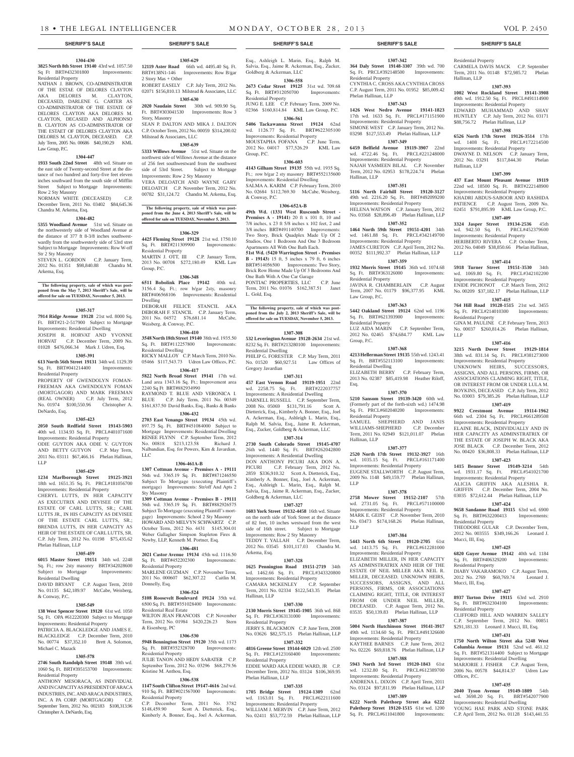Esq., Ashleigh L. Marin, Esq., Ralph M. Salvia, Esq., Jaime R. Ackerman, Esq., Zucker,

**1306-558 2673 Cedar Street 19125** 31st wd. 709.68 Sq. Ft. BRT#312050700 Improvements:

JUNG E. LEE C.P. February Term, 2009 No. 02366 \$160,814.84 KML Law Group, P.C. **1306-561 5406 Tackawanna Street 19124** 62nd

**1306-603 4143 Gilham Street 19135** 55th wd. 1935 Sq. Ft.; row b/gar 2 sty masonry BRT#552135600 Improvements: Residential Dwelling SALMA A. KARIM C.P. February Term, 2010 No. 02684 \$112,769.30 McCabe, Weisberg,

**1306-652A-B 49th Wd. (1331 West Ruscomb Street - Premises A - 19141)** 20 ft x 101 ft, 10 and 7/8 inches, x 23 ft 5/8 inches x 102 feet, 2 and 3/8 inches BRT#491140700 Improvements: Two Story, Brick Quadplex Made Up Of 2 Studios, One 1 Bedroom And One 3 Bedroom Apartments All With One Bath Each. **51st Wd. (5420 Warrington Street - Premises B - 19143)** 15 ft, 5 inches x 79 ft, 6 inches BRT#514056500 Improvements: Two Story, Brick Row Home Made Up Of 3 Bedrooms And

One Bath With A One Car Garage PONTIAC PROPERTIES, LLC C.P. June Term, 2011 No. 01076 \$162,387.51 Janet

**The following property, sale of which was post-poned from the July 2, 2013 Sheriff's Sale, will be offered for sale on TUESDAY, November 5, 2013.**

**1307-308 532 Leverington Avenue 19128-2634** 21st wd. 8232 Sq. Ft. BRT#213280100 Improvements:

PHILIP G. FORESTER C.P. May Term, 2011 No. 01520 \$60,927.51 Law Offices of

**1307-311 457 East Vernon Road 19119-1951** 22nd wd. 2258.75 Sq. Ft. BRT#222037757 Improvements: A Residential Dwelling DARNELL RUSSELL C.P. September Term, 2008 No. 05069 \$131,791.16 Scott A. Dietterick, Esq., Kimberly A. Bonner, Esq., Joel A. Ackerman, Esq., Ashleigh L. Marin, Esq., Ralph M. Salvia, Esq., Jaime R. Ackerman, Esq., Zucker, Goldberg & Ackerman, LLC **1307-314 2730 South Colorado Street 19145-4707**  26th wd. 1440 Sq. Ft. BRT#262042800 Improvements: A Residential Dwelling DON ANTHONY PICURI AKA DON A. PICURI C.P. February Term, 2012 No. 2859 \$336,910.32 Scott A. Dietterick, Esq., Kimberly A. Bonner, Esq., Joel A. Ackerman, Esq., Ashleigh L. Marin, Esq., Ralph M. Salvia, Esq., Jaime R. Ackerman, Esq., Zucker,

Goldberg & Ackerman, LLC

wd. 1126.77 Sq. Ft. Improvements: Residential Property MOUSTAPHA FOFANA C.P. June Term, 2012 No. 04017 \$77,526.29 KML Law

Residential Property

Group, P.C.

& Conway, P.C.

L. Gold, Esq.

Residential Dwelling

Gregory Javardian

Goldberg & Ackerman, LLC

CAMARA MCKENLEY

Arkema, Esq.

Hallinan, LLP

Residential Property

Residential Property

Phelan Hallinan, LLP

**1307-327 1603 York Street 19132-4458** 16th wd. Situate on the north side of York Street at the distance of 82 feet, 10 inches westward from the west side of 16th street. Subject to Mortgage Improvements: Row 2 Sty Masonry TEDDY T. YALLAH C.P. December Term, 2012 No. 03545 \$101,117.03 Chandra M.

**1307-328 1625 Pennington Road 19151-2719** 34th wd. 1462.66 Sq. Ft. PRCL#343320800 Improvements: Residential Property<br>CAMARA MCKENLEY C.P. September

Term, 2011 No. 02334 \$122,543.35 Phelan

**1307-330 2130 Morris Street 19145-1905** 36th wd. 868 Sq. Ft. PRCL#363131000 Improvements:

JERRY S. BLACKMON C.P. June Term, 2008 No. 03626 \$82,575.15 Phelan Hallinan, LLP **1307-332 4816 Greene Street 19144-6029** 12th wd. 2500 Sq. Ft. PRCL#123160400 Improvements:

EDDIE WARD AKA EDDIE WARD, JR C.P. December Term, 2012 No. 03124 \$106,369.95

**1307-335 1705 Bridge Street 19124-1309** 62nd wd. 1163.01 Sq. Ft. PRCL#622111600 Improvements: Residential Property WILLIAM J. MERVIN C.P. June Term, 2012 No. 02411 \$53,772.59 Phelan Hallinan, LLP

#### **1304-430 3825 North 8th Street 19140** 43rd wd. 1057.50

Sq Ft BRT#432301800 Improvements: Residential Property

NATHAN J. BROWN, CO-ADMINISTRATOR OF THE ESTAE OF DELORES CLAYTON AKA DELORES M. CLAYTON, DECEASED, DARLENE G. CARTER AS CO-ADMINISTRATOR OF THE ESTATE OF DELORES CLAYTON AKA DELORES M. CLAYTON, DECASED AND ALPHONSO B. CLAYTON AS CO-ADMINSTRATOR OF THE ESTAET OF DELORES CLAYTON AKA DELORES M. CLAYTON, DECEASED. C.P. July Term, 2005 No. 00686 \$40,190.29 KML Law Group, P.C.

# **1304-447**

**1933 South 22nd Street** 48th wd. Situate on the east side of Twenty-second Street at the distance of two hundred and forty-five feet eleven inches southward from the south side of Mifflin Street Subject to Mortgage Improvements: Row 2 Sty Masonry

NORMAN WHITE (DECEASED) C.P. December Term, 2011 No. 03402 \$84,645.36 Chandra M. Arkema, Esq.

#### **1304-482**

**5355 Woodland Avenue** 51st wd. Situate on the northwesterly side of Woodland Avenue at the distance of 377 ft 8-3/8 inches southwestwardly from the southwesterly side of 53rd stret Subject to Mortgage Improvements: Row W-off Str 2 Sty Masonry STEVEN L. GORDON C.P. January Term,

2012 No. 01351 \$98,840.88 Chandra M. Arkema, Esq.

# **The following property, sale of which was post-poned from the May 7, 2013 Sheriff's Sale, will be offered for sale on TUESDAY, November 5, 2013.**

#### **1305-317**

**7914 Ridge Avenue 19128** 21st wd. 8000 Sq. Ft. BRT#21-2-517900 Subject to Mortgage Improvements: Residential Dwelling JOSEPH R. HORVAT AND YVONNE HORVAT C.P. December Term, 2009 No. 01028 \$476,066.34 Mark J. Udren, Esq.

### **1305-391**

**613 North 56th Street 19131** 34th wd. 1129.39 Sq. Ft. BRT#041214400 Improvements: Residential Property

PROPERTY OF GWENDOLYN FOMAN-FREEMAN AKA GWENDOLYN FOMAN (MORTGAGOR) AND MARK FREEMAN (REAL OWNER) C.P. July Term, 2012 No. 01974 \$100,550.96 Christopher A. DeNardo, Esq.

#### **1305-423**

**2050 South Redfield Street 19143-5903**  40th wd. 1134.93 Sq. Ft. PRCL#401071600 Improvements: Residential Property ODIE GUYTON AKA ODIE V. GUYTON AND BETTY GUTYON C.P. May Term, 2011 No. 03111 \$67,466.16 Phelan Hallinan,

# **1305-429**

LLP

**1234 Marlborough Street 19125-3921**  18th wd. 1651.35 Sq. Ft. PRCL#181056700 Improvements: Residential Property CHERYL LUTTS, IN HER CAPACITY AS EXECUTRIX AND DEVISEE OF THE ESTATE OF CARL LUTTS, SR.; CARL LUTTS JR., IN HIS CAPACITY AS DEVISEE OF THE ESTATE CARL LUTTS, SR.; BRENDA LUTTS, IN HER CAPACITY AS HEIR OF THE ESTATE OF CARL LUTTS, SR. C.P. July Term, 2012 No. 01198 \$75,435.62

#### **1305-459**

Phelan Hallinan, LLP

**6015 Master Street 19151** 34th wd. 2248 Sq. Ft.; row 2sty masonry BRT#342028600 Subject to Mortgage Improvements: Residential Dwelling

DAVID BRYANT C.P. August Term, 2010 No. 01135 \$42,189.97 McCabe, Weisberg, & Conway, P.C.

#### **1305-549**

**138 West Spencer Street 19120** 61st wd. 1050 Sq. Ft. OPA #612220300 Subject to Mortgage Improvements: Residential Property

PATRICIA A. BLACKLEDGE AND BLACKLEDGE C.P. December Term, 2010 No. 00774 \$37,352.10 Brett A. Solomon, Michael C. Mazack

#### **1305-578**

**2746 South Randolph Street 19148** 39th wd. 1060 Sq. Ft. BRT#395153700 Improvements: Residential Property

ANTHONY MESORACA, AS INDIVIDUAL AND IN CAPACITY AS PRESIDENT OF ARACA INDUSTRIES, INC. AND ARACA INDUSTIRES, INC. A PA CORP. (MORTGAGOR) C.P. September Term, 2012 No. 002183 \$108,313.96 Christopher A. DeNardo, Esq.

**1305-629** 12119 Aster Road 66th wd. 4495.40 Sq. Ft. BRT#138N1-146 Improvements: Row B/gar 2 Story Mas + Other ROBERT EASELY C.P. July Term, 2012 No. 02071 \$156,810.13 Milstead & Associates, LLC

**1305-630 2020 Naudain Street** 30th wd. 909.90 Sq.

Ft. BRT#303041530 Improvements: Row 3 Story, Masonry SEAN P. DALTON AND MIKA J. DALTON C.P. October Term, 2012 No. 00059 \$314,200.02

Milstead & Associates, LLC **1305-639**

**5333 Willows Avenue** 51st wd. Situate on the northwest side of Willows Avenue at the distance of 256 feet southwestward from the southwest side of 53rd Street. Subject to Mortgage Improvements: Row 2 Sty Masonry VERA DELOATCH AND WAYNE GARY DELOATCH C.P. November Term, 2012 No. 00782 \$31,124.72 Chandra M. Arkema, Esq.

**The following property, sale of which was post-poned from the June 4, 2013 Sheriff's Sale, will be offered for sale on TUESDAY, November 5, 2013.**

# **1306-329**

**4425 Fleming Street 19128** 21st wd. 1750.10 Sq. Ft. BRT#211309900 Improvements: Residential Property MARTIN J. OTT, III C.P. January Term, 2013 No. 00708 \$272,180.49 KML Law Group, P.C.

#### **1306-348**

**6511 Bobolink Place 19142** 40th wd. 3156.4 Sq. Ft.; row b/gar 2sty, masonry BRT#406568106 Improvements: Residential Dwelling DEBORAH FELICE STANCIL AKA DEBORAH F. STANCIL C.P. January Term, 2011 No. 04572 \$76,681.14 McCabe, Weisberg, & Conway, P.C.

#### **1306-410**

**3548 North 18th Street 19140** 38th wd. 1935.50 Sq. Ft. BRT#112257800 Improvements: Residential Dwelling RICKY MALLOY C.P. March Term, 2010 No.

05466 \$117,543.73 Udren Law Offices, P.C. **1306-417**

**5822 North Broad Street 19141** 17th wd. Land area 1343.16 Sq. Ft.; Improvement area 2240 Sq Ft BRT#882934990

RAYMOND T. BLUE AND VERONICA I.<br>BLUE C.P. July Term, 2011 No. 00349 C.P. July Term, 2011 No. 00349 \$161,837.50 David Banks, Esq., Banks & Banks **1306-432**

**2703 East Venango Street 19134** 45th wd. 897.75 Sq. Ft. BRT#451084000 Subject to Mortgage Improvements: Residential Dwelling RENEE FLYNN C.P. September Term, 2012 No. 00818 \$213,123.58 Richard J. Nalbandian, Esq. for Powers, Kim & Javardian, LLC

#### **1306-461A-B**

**1307 Cottman Avenue - Premises A - 19111**  56th wd. 3365.19 Sq. Ft. BRT#871246550 Subject To Mortgage (executing Plaintiff's mortgage) Improvements: Str/off And Apts 2 Sty Masonry

**1309 Cottman Avenue - Premises B - 19111**  56th wd. 3365.19 Sq. Ft. BRT#882926575 Subject To Mortgage (executing Plaintiff's mortgage) Improvements: School 2 Sty Masonry HOWARD AND MELVYN SCHWARTZ C.P. October Term, 2012 No. 4431 \$145,304.01 Weber Gallagher Simpson Stapleton Fires & Newby, LLP, Kenneth M. Portner, Esq.

#### **1306-481**

**2021 Castor Avenue 19134** 45th wd. 1116.50 Sq. Ft. BRT#452202300 Improvements: Residential Property MARLENE GUZMAN C.P. November Term,

2011 No. 000607 \$62,307.22 Caitlin M. Donnelly, Esq. **1306-524**

#### **5108 Roosevelt Boulevard 19124** 35th wd. 6500 Sq. Ft. BRT#351028400 Improvements:

Residential Real Estate WILTON JEAN FRANCOIS C.P. November Term, 2012 No. 01984 \$420,226.23 Stern & Eisenberg, PC

#### **1306-530**

Kristine M. Anthou, Esq.

**5948 Bennington Street 19120** 35th wd. 1173 Sq. Ft. BRT#352328700 Improvements: Residential Property JULIE TANON AND HEDY SABATER C.P. September Term, 2012 No. 03296 \$68,279.56

# **1306-538**

**1147 South Clifton Street 19147-4616** 2nd wd. 910 Sq. Ft. BRT#021567000 Improvements: Residential Property

C.P. December Term, 2011 No. 3782 \$148,459.90 Scott A. Dietterick, Esq., Kimberly A. Bonner, Esq., Joel A. Ackerman,

#### **SHERIFF'S SALE SHERIFF'S SALE SHERIFF'S SALE SHERIFF'S SALE SHERIFF'S SALE**

**1307-342**

**364 Daly Street 19148-3307** 39th wd. 700 Sq. Ft. PRCL#392148500 Improvements: Residential Property CYNTHIA C. CROSS AKA CYNTHIA CROSS C.P. August Term, 2011 No. 01952 \$85,009.42 Phelan Hallinan, LLP

# **1307-343**

**1426 West Nedro Avenue 19141-1823**  17th wd. 1633 Sq. Ft. PRCL#171151900 Improvements: Residential Property SIMONE WEST C.P. January Term, 2012 No. 03298 \$127,553.49 Phelan Hallinan, LLP

#### **1307-349**

**6459 Belfield Avenue 19119-3907** 22nd wd. 4722.46 Sq. Ft. PRCL#221248000 Improvements: Residential Property NAJAH YASMEEN BILAL C.P. November Term, 2012 No. 02953 \$178,224.74 Phelan Hallinan, LLP

# **1307-351**

**5116 North Fairhill Street 19120-3127**  49th wd. 2216.20 Sq. Ft. BRT#492099200 Improvements: Residential Property HELENA WATSON C.P. January Term, 2012

No. 03568 \$28,896.49 Phelan Hallinan, LLP **1307-352**

**1464 North 59th Street 19151-4201** 34th wd. 1461.88 Sq. Ft. PRCL#342149700 Improvements: Residential Property JAMES CURETON C.P. April Term, 2012 No. 00352 \$111,992.37 Phelan Hallinan, LLP

# **1307-359**

**1932 Morris Street 19145** 36th wd. 1074.68<br>Sq. Ft. BRT#363126000 Improvements: Sq. Ft. BRT#363126000 Residential Property

JAVINA R. CHAMBERLAIN C.P. August Term, 2007 No. 01179 \$96,377.95 KML Law Group, P.C. **1307-363**

# **5442 Oakland Street 19124** 62nd wd. 1196

Sq. Ft. BRT#621393900 Improvements: Residential Property LUZ AIDA MARIN C.P. September Term, 2012 No. 02465 \$74,684.77 KML Law

Group, P.C. **1307-368**

**4213 Hellerman Street 19135** 55th wd. 1243.41 Sq. Ft. BRT#552113100 Improvements: Residential Dwelling

ELIZABETH BERRY C.P. February Term, 2013 No. 02387 \$85,419.98 Heather Riloff, Esq.

#### **1307-370 5210 Sansom Street 19139-3420** 60th wd.

(Formerly part of the forth-sixth wd.) 1474.98 Sq. Ft. PRCL#602040200 Improvements: Residential Property SAMUEL SHEPHERD AND JANIS WILLIAMS-SHEPHERD C.P. December Term, 2011 No. 02949 \$121,011.07 Phelan Hallinan, LLP

#### **1307-377**

**2520 North 17th Street 19132-3927** 16th wd. 1035.15 Sq. Ft. PRCL#161171400 Improvements: Residential Property EUGENE STALLWORTH C.P. August Term, 2009 No. 1148 \$49,159.77 Phelan Hallinan, LLP

#### **1307-378**

**2758 Mower Street 19152-2107** 57th wd. 2731.05 Sq. Ft. PRCL#571100000 Improvements: Residential Property MARK E. GEIST C.P. November Term, 2010 No. 03473 \$174,168.26 Phelan Hallinan, LLP

#### **1307-384 5443 North 6th Street 19120-2705** 61st

wd. 1413.75 Sq. Ft. PRCL#612281000 Improvements: Residential Property ELIZABETH MILLER, IN HER CAPACITY AS ADMINSTRATRIX AND HEIR OF THE ESTATE OF NEIL MILLER AKA NEIL R. MILLER, DECEASED. UNKNOWN HEIRS, SUCCESSORS, ASSIGNS, AND ALL PERSONS, FIRMS, OR ASSOCIATIONS CLAIMING RIGHT, TITLE, OR INTEREST FROM OR UNDER NEIL MILLER DECEASED. C.P. August Term, 2012 No. 03535 \$50,139.83 Phelan Hallinan, LLP

#### **1307-387 5004 North Hutchinson Street 19141-3917**

49th wd. 1134.60 Sq. Ft. PRCL#491326600 Improvements: Residential Property KAYTHEE BARNES C.P. June Term, 2012

No. 02226 \$69,818.76 Phelan Hallinan, LLP **1307-388**

**5943 North 3rd Street 19120-1843** 61st wd. 1232.80 Sq. Ft. PRCL#612389700 Improvements: Residential Property

ANDRENA L. DIXON C.P. April Term, 2011 No. 03124 \$97,811.99 Phelan Hallinan, LLP

# **1307-389**

**6222 North Palethorp Street aka 6222 Palethorp Street 19120-1515** 61st wd. 1200 Sq. Ft. PRCL#611041800 Improvements:

Residential Property CARMELA DAVIS MACK C.P. September Term, 2011 No. 01148 \$72,985.72 Phelan Hallinan, LLP

#### **1307-393**

**1002 West Rockland Street 19141-3908**  49th wd. 1912.50 Sq. Ft. PRCL#491114900 Improvements: Residential Property EDWARD MUHAMMAD AND SHAY HUNTLEY C.P. July Term, 2012 No. 03171 \$88,756.72 Phelan Hallinan, LLP

**6526 North 17th Street 19126-3514** 17th wd. 1408 Sq. Ft. PRCL#172214500 Improvements: Residential Property

DWAYNE D. NELSON C.P. January Term,<br>2012 No. 03291 \$117,844.30 Phelan 2012 No. 03291 \$117,844.30

**1307-399 437 East Mount Pleasant Avenue 19119**  22nd wd. 18500 Sq. Ft. BRT#222148900 Improvements: Residential Property KHADRI ABDUS-SABOOR AND RASHIDA PATIENCE C.P. August Term, 2009 No. 02451 \$791,895.99 KML Law Group, P.C. **1307-409 3324 Jasper Street 19134-2536** 45th wd. 942.50 Sq. Ft. PRCL#452379600 Improvements: Residential Property HERIBERTO RIVERA C.P. October Term, 2012 No. 04049 \$38,850.66 Phelan Hallinan,

**1307-414 5918 Turner Street 19151-3530** 34th wd. 1069.80 Sq. Ft. PRCL#342102200 Improvements: Residential Property ENIDE PICHONOT C.P. March Term, 2012 No. 00209 \$37,182.17 Phelan Hallinan, LLP **1307-415 764 Hill Road 19128-1515** 21st wd. 3455 Sq. Ft. PRCL#214010300 Improvements:

GINA M. PAULINE C.P. February Term, 2013 No. 00037 \$260,814.26 Phelan Hallinan,

**1307-416 3215 North Dover Street 19129-1814**  38th wd. 831.14 Sq. Ft. PRCL#381273000 Improvements: Residential Property UNKNOWN HEIRS, SUCCESSORS, ASSIGNS, AND ALL PERSONS, FIRMS, OR ASSOCIATIONS CLAIMING RIGHT, TITLE, OR INTEREST FROM OR UNDER LULA M. BOYKINS, DECEASED C.P. July Term, 2012 No. 03003 \$79,385.26 Phelan Hallinan, LLP **1307-419 9922 Crestmont Avenue 19114-1962**  66th wd. 2304 Sq. Ft. PRCL#661289508 Improvements: Residential Property ELAINE BLACK, INDIVIDUALLY AND IN HER CAPACITY AS ADMINSTRATRIX OF THE ESTATE OF JOSEPH W. BLACK AKA JOSE BLACK C.P. December Term, 2012 No. 00420 \$36,808.33 Phelan Hallinan, LLP **1307-423 1415 Benner Street 19149-3214** 54th wd. 1931.17 Sq. Ft. PRCL#541021700 Improvements: Residential Property ALICIA GRIFFIN AKA ALESHIA R. GRIFFIN C.P. December Term, 2004 No. 03035 \$72,612.44 Phelan Hallinan, LLP **1307-424 9658 Sandanne Road 19115** 63rd wd. 6900 Sq. Ft. BRT#632200413 Improvements:

#### **1307-398**

Hallinan, LLP

LLP

LLP

Residential Property

Residential Property

Sq. Ft. BRT#406329200 Residential Property

Sq. Ft. BRT#632304100 Residential Property

Mucci, III, Esq.

Mucci, III, Esq.

Offices, P.C.

THEODORE GULAR C.P. December Term, 2012 No. 003555 \$349,166.26 Leonard J.

**1307-425 6820 Guyer Avenue 19142** 40th wd. 1184

DIABY VAKARAMOKO C.P. August Term, 2012 No. 2769 \$60,769.74 Leonard J.

**1307-427 8937 Turton Drive 19115** 63rd wd. 2910<br>Sq. Ft. BRT#632304100 Improvements:

CLIFFORD HILL AND WARREN SALLEY C.P. September Term, 2012 No. 00851 \$291,181.33 Leonard J. Mucci, III, Esq. **1307-431 1750 North Wilton Street aka 5248 West Columbia Avenue 19131** 52nd wd. 461.12 Sq. Ft. BRT#521314400 Subject to Mortgage Improvements: Residential Dwelling MARJORIE J. FISHER C.P. August Term, 2006 No. 00578 \$44,814.37 Udren Law

**1307-435 2040 Tyson Avenue 19149-1809** 54th wd. 3698.20 Sq. Ft. BRT#542077900 Improvements: Residential Dwelling YOUNG HAE PARK AND STONE PARK C.P. April Term, 2012 No. 01128 \$143,441.55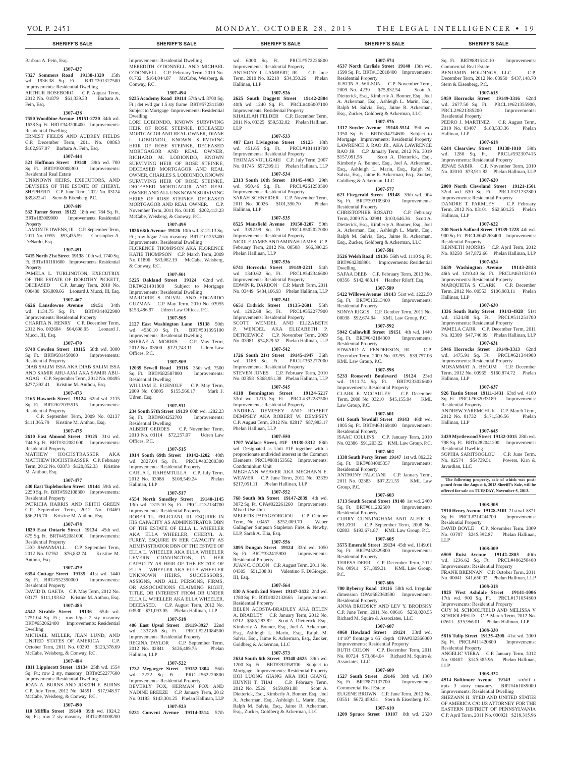Residential Property

Goldberg & Ackerman, LLC

Residential Property

Dwelling

Residential Property

Residential Property

KML Law Group, P.C.

Law Group, P.C.

Residential Property

Residential Property

Residential Property

Residential Property

Residential Property

Associates, LLC

Sq. Ft. BRT#871137700 Commercial Real Estate

P.C.

Group, P.C.

**1307-577 621 Fitzgerald Street 19148** 39th wd. 904 Sq. Ft. BRT#393109300 Improvements:

CHRISTOPHER ROSATO C.P. February Term, 2009 No. 02981 \$103,646.36 Scott A. Dietterick, Esq., Kimberly A. Bonner, Esq., Joel A. Ackerman, Esq., Ashleigh L. Marin, Esq., Ralph M. Salvia, Esq., Jaime R. Ackerman, Esq., Zucker, Goldberg & Ackerman, LLC **1307-581 3526 Welsh Road 19136** 56th wd. 1110 Sq. Ft. BRT#642308901 Improvements: Residential

SAFAA DEEB C.P. February Term, 2013 No. 00356 \$142,488.14 Heather Riloff, Esq. **1307-589 5422 Willows Avenue 19143** 51st wd. 1222.50 Sq. Ft. BRT#513213400 Improvements:

SONYA RIGGS C.P. October Term, 2011 No. 00038 \$92,674.94 KML Law Group, P.C. **1307-592 5942 Callowhill Street 19151** 4th wd. 1440 Sq. Ft. BRT#042184300 Improvements:

EDWARD A. FENDERSON, JR. C.P. December Term, 2009 No. 03295 \$39,757.06

**1307-598 5233 Roosevelt Boulevard 19124** 23rd wd. 1911.74 Sq. Ft. BRT#233026600 Improvements: Residential Property CLARK E. MCCAULEY C.P. December Term, 2008 No. 03210 \$45,155.94 KML

**1307-601 641 South Yewdall Street 19143** 46th wd. 1005 Sq. Ft. BRT#463169400 Improvements:

ISAAC COLLINS C.P. January Term, 2010 No. 02386 \$91,203.22 KML Law Group, P.C. **1307-602 1338 South Percy Street 19147** 1st wd. 892.32 Sq. Ft. BRT#884005357 Improvements:

ANTHONY FALCIANI C.P. January Term, 2011 No. 02383 \$97,221.55 KML Law

**1307-603 1713 South Second Street 19148** 1st wd. 2460 Sq. Ft. BRT#011202500 Improvements:

CURRY CUNNINGHAM AND ALFIE R. PELZER C.P. September Term, 2008 No. 02803 \$193,671.87 KML Law Group, P.C. **1307-605 3575 Emerald Street 19134** 45th wd. 1149.61 Sq. Ft. BRT#452329800 Improvements:

TERESA DERR C.P. December Term, 2012 No. 00911 \$71,899.31 KML Law Group,

**1307-606 700 Byberry Road 19116** 58th wd. Irregular dimension OPA#582360500 Improvements:

ANNA BRODSKY AND LEV Y. BRODSKY C.P. June Term, 2011 No. 00616 \$250,020.55 Richard M. Squire & Associates, LLC **1307-607 4060 Howland Street 19124** 33rd wd. 14'10" frontage x 65' depth OPA#332366000 Improvements: Residential Property RUTH COLON C.P. December Term, 2011 No. 00724 \$73,864.04 Richard M. Squire &

**1307-609 1527 South Street 19146** 30th wd. 1360

EUGENE BROWN C.P. June Term, 2012 No. 03551 \$672,459.51 Stern & Eisenberg, P.C. **1307-610 1209 Spruce Street 19107** 8th wd. 2520

**1307-574 4537 North Carlisle Street 19140** 13th wd. 1599 Sq. Ft. BRT#132018400 Improvements: Sq. Ft. BRT#881518110 Improvements:

BENJAMIN HOLDINGS, LLC C.P. December Term, 2012 No. 03950 \$437,148.70

**1307-615 5959 Horrocks Street 19149-3316** 62nd wd. 2677.50 Sq. Ft. PRCL1#621355900, PRCL2#621385200 Improvements:

PEDRO J. MARTINEZ C.P. August Term, 2010 No. 03407 \$183,533.36 Phelan

**1307-618 6244 Clearview Street 19138-1010** 59th wd. 1280 Sq. Ft. PRCL#592307415 Improvements: Residential Property JENAE SABIR C.P. November Term, 2010 No. 02010 \$73,911.82 Phelan Hallinan, LLP **1307-620 2009 North Cleveland Street 19121-1501**  32nd wd. 630 Sq. Ft. PRCL#321232800 Improvements: Residential Property DANDRE T. PARMLEY C.P. February Term, 2012 No. 03101 \$62,604.25 Phelan

**1307-622 330 North Salford Street 19139-1228** 4th wd. 900 Sq. Ft. PRCL#042263400 Improvements:

KENNETH MORRIS C.P. April Term, 2012 No. 03250 \$47,872.66 Phelan Hallinan, LLP **1307-624 5639 Washington Avenue 19143-2813**  46th wd. 1210.40 Sq. Ft. PRCL#463152100 Improvements: Residential Property MARQUIETA S. CLARK C.P. December Term, 2012 No. 00553 \$106,983.11 Phelan

**1307-630 1336 South Ruby Street 19143-4928** 51st wd. 1524.88 Sq. Ft. PRCL#511251700 Improvements: Residential Property PAMELA CARR C.P. December Term, 2011 No. 02309 \$47,746.99 Phelan Hallinan, LLP **1307-631 5946 Horrocks Street 19149-3313** 62nd wd. 1475.91 Sq. Ft. PRCL#621344900 Improvements: Residential Property MOSAMMAT A. BEGUM C.P. December Term, 2012 No. 00965 \$160,874.72 Phelan

**1307-637 926 Tustin Street 19111-1431** 63rd wd. 4100 Sq. Ft. PRCL#632033189 Improvements:

ANDREW YAREMCHUK C.P. March Term, 2012 No. 01732 \$171,536.56 Phelan

**1307-645 2439 Myrtlewood Street 19132-3015** 28th wd. 798 Sq. Ft. BRT#282041200 Improvements:

SOPHIA SARITSOGLOU C.P. June Term, No. 02574 \$54739.51 Powers, Kirn &

**The following property, sale of which was postponed from the August 6, 2013 Sheriff's Sale, will be offered for sale on TUESDAY, November 5, 2013.**

**1308-305 7510 Henry Avenue 19128-3101** 21st wd. 8821 Sq. Ft. PRCL#214244700 Improvements:

DAVID BOYLE C.P. November Term, 2009 No. 03707 \$245,392.87 Phelan Hallinan,

**1308-309 6505 Buist Avenue 19142-2803** 40th wd. 1236.62 Sq. Ft. PRCL#406250400 Improvements: Residential Property FRANK BRENNAN C.P. October Term, 2011 No. 00041 \$41,650.02 Phelan Hallinan, LLP **1308-318 1825 West Ashdale Street 19141-1006**  17th wd. 900 Sq. Ft. PRCL#171054800 Improvements: Residential Property GUY M. SCHOOLFIELD AND MELISSA V SCHOOLFIELD C.P. March Term, 2012 No. 02611 \$35,966.01 Phelan Hallinan, LLP **1308-330 5816 Tulip Street 19135-4208** 41st wd. 2000 Sq. Ft. PRCL#411420800 Improvements:

ANGELIC VIERA C.P. January Term, 2012 No. 00482 \$145,385.96 Phelan Hallinan,

**1308-332 4514 Baltimore Avenue 19143** str/off + apts 3 story masonry BRT#461089000 Improvements: Residential Dwelling SHEZANN H. SVED AND UNITED STATES OF AMERICA C/O US ATTORNEY FOR THE EASTERN DISTRICT OF PENNSYLVANIA C.P. April Term, 2011 No. 000021 \$218,315.96

Commercial Real Estate

Stern & Eisenberg, P.C.

Residential Property

Hallinan, LLP

Hallinan, LLP

Hallinan, LLP

Hallinan, LLP

Residential Property

Residential Dwelling

Hallinan, LLP

Javardian, LLC

Residential Property

Residential Property

LLP

LLP

Residential Property

JUSTIN A. WILSON C.P. November Term, 2009 No. 4239 \$75,832.54 Scott A. Dietterick, Esq., Kimberly A. Bonner, Esq., Joel A. Ackerman, Esq., Ashleigh L. Marin, Esq., Ralph M. Salvia, Esq., Jaime R. Ackerman, Esq., Zucker, Goldberg & Ackerman, LLC **1307-576 1317 Snyder Avenue 19148-5514** 39th wd. 1350 Sq. Ft. BRT#394274600 Subject to Mortgage Improvements: Residential Property LAWRENCE J. RAO JR., AKA LAWRENCE RAO JR C.P. January Term, 2012 No. 3019 \$157,091.58 Scott A. Dietterick, Esq., Kimberly A. Bonner, Esq., Joel A. Ackerman, Esq., Ashleigh L. Marin, Esq., Ralph M. Salvia, Esq., Jaime R. Ackerman, Esq., Zucker,

# Barbara A. Fein, Esq.

**1307-437 7327 Sommers Road 19138-1329** 15th wd. 1936.38 Sq. Ft. BRT#201327500 Improvements: Residential Dwelling ARTHUR ROSEBORO C.P. August Term,

2012 No. 01879 \$61,339.33 Barbara A. Fein, Esq.

### **1307-438**

**7550 Woodbine Avenue 19151-2720** 34th wd. 1638 Sq. Ft. BRT#343200400 Improvements: Residential Dwelling ERNEST FIELDS AND AUDREY FIELDS

C.P. December Term, 2011 No. 00863 \$102,957.07 Barbara A. Fein, Esq.

#### **1307-444**

**521 Hoffman Street 19148** 39th wd. 700 Sq. Ft. BRT#392008300 Improvements: Residential Real Estate UNKNOWN HEIRS, EXECUTORS, AND DEVISEES OF THE ESTATE OF CHERYL

SHEPHERD C.P. June Term, 2012 No. 03124 \$39,822.41 Stern & Eisenberg, P.C. **1307-449**

#### **532 Turner Street 19122** 18th wd. 784 Sq. Ft. BRT#183009900 Improvements: Residential **Property**

LAMONTE OWENS, III C.P. September Term, 2011 No. 0955 \$93,435.59 Christopher A. DeNardo, Esq.

#### **1307-451**

**7415 North 21st Street 19138** 10th wd. 1740 Sq. Ft. BRT#101181600 Improvements: Residential Property

# PAMELA L. TURLINGTON, EXECUTRIX

OF THE ESTATE OF DOROTHY PICKETT, DECEASED C.P. January Term, 2010 No. 000480 \$36,809.66 Leonard J. Mucci, III, Esq. **1307-467 6626 Lansdowne Avenue 19151** 34th

wd. 1134.75 Sq. Ft. BRT#344022900 Improvements: Residential Property CHARITA N. HENRY C.P. December Term, 2012 No. 002684 \$64,698.95 Leonard J. Mucci, III, Esq.

### **1307-470**

# **9748 Cowden Street 19115** 58th wd. 3000 Sq. Ft. BRT#581450000 Improvements:

Residential Property DIAB SALIM ISSA AKA DIAB SALIM ISSA AND SAMIR ABU-AJAJ AKA SAMIR ABU-AGAG C.P. September Term, 2012 No. 00495

#### \$277,392.41 Kristine M. Anthou, Esq. **1307-473**

#### **2165 Haworth Street 19124** 62nd wd. 2115 Sq. Ft. BRT#622035515 Improvements: Residential Property

 C.P. September Term, 2009 No. 02137 \$111,365.79 Kristine M. Anthou, Esq.

# **1307-475**

**2610 East Almond Street 19125** 31st wd. 744 Sq. Ft. BRT#312081000 Improvements: Residential Property<br>MATHEW HOC

HOCHSTRASSER AKA MATTHEW HOCHSTRASSER C.P. February Term, 2012 No. 03873 \$120,852.33 Kristine M. Anthou, Esq.

#### **1307-477**

**430 East Tuplehocken Street 19144** 59th wd. 2250 Sq. Ft. BRT#592108300 Improvements: Residential Property

PATRICIA HARRIS AND KEITH GREEN C.P. September Term, 2012 No. 03469 \$56,216.70 Kristine M. Anthou, Esq.

# **1307-478**

**1829 East Ontario Street 19134** 45th wd. 875 Sq. Ft. BRT#452081000 Improvements:

Residential Property LEO JIWANMALL C.P. September Term, 2012 No. 02762 \$76,832.74 Kristine M.

# **1307-479**

Anthou, Esq.

**6354 Cottage Street 19135** 41st wd. 1440

Sq. Ft. BRT#552390000 Improvements: Residential Property DAVID D. GAETA C.P. May Term, 2012 No.

03177 \$111,193.62 Kristine M. Anthou, Esq.

# **1307-483**

**4542 Strahle Street 19136** 65th wd. 2751.04 Sq. Ft.; row b/gar 2 sty masonry BRT#652062400 Improvements: Residential Dwelling

#### MICHAEL MILLER, JEAN LUND, AND UNITED STATES OF AMERICA C.P. October Term, 2011 No. 00393 \$123,378.69 McCabe, Weisberg, & Conway, P.C.

### **1307-484**

**1811 Lippincott Street 19134** 25th wd. 1554 Sq. Ft.; row 2 sty, masonry BRT#252277600 Improvements: Residential Dwelling JOAN A. BURNS AND JOSEPH F. BURNS C.P. July Term, 2012 No. 04591 \$17,948.57

#### McCabe, Weisberg, & Conway, P.C. **1307-490**

**110 Mifflin Street 19148** 39th wd. 1924.2 Sq. Ft.; row 2 sty masonry BRT#391008200

Improvements: Residential Dwelling MEREDITH O'DONNELL AND MICHAEL O'DONNELL C.P. February Term, 2010 No. 01702 \$164,044.87 McCabe, Weisberg, & Conway, P.C.

## **1307-494**

**9235 Academy Road 19114** 57th wd. 8700 Sq. Ft.; det w/d gar 1.5 sty frame BRT#572341500 Subject to Mortgage Improvements: Residential Dwelling

LORI LOBIONDO, KNOWN SURVIVING HEIR OF ROSE STEINKE, DECEASED MORTGAGOR AND REAL OWNER, DIANE L. LOBIONDO, KNOWN SURVIVING HEIR OF ROSE STEINKE, DECEASED MORTGAGOR AND REAL OWNER, RICHARD M. LOBIONDO, KNOWN SURVIVING HEIR OF ROSE STEINKE, DECEASED MORTGAGOR AND REAL OWNER, CHARLES S. LOBIONDO, KNOWN SURVIVING HEIR OF ROSE STEINKE, DECEASED MORTGAGOR AND REAL OWNER AND ALL UNKNOWN SURVIVING HEIRS OF ROSE STEINKE, DECEASED MORTGAGOR AND REAL OWNER. C.P. November Term, 2011 No. 01105 \$202,413.23 McCabe, Weisberg, & Conway, P.C.

#### **1307-495**

**1826 68th Avenue 19126** 10th wd. 3121.13 Sq. Ft.; row b/gar 2 sty masonry BRT#101253400 Improvements: Residential Dwelling FLORENCE THOMPSON AKA FLORENCE KATIE THOMPSON C.P. March Term, 2009 No. 01896 \$83,062.19 McCabe, Weisberg, & Conway, P.C.

### **1307-501**

**5225 Oakland Street 19124** 62nd wd. BRT#621401800 Subject to Mortgage Improvements: Residential Dwelling MARJORIE S. DUVAL AND EDGARDO GUZMAN C.P. May Term, 2010 No. 03955 \$153,486.97 Udren Law Offices, P.C.

# **1307-505**

**2127 East Washington Lane 19138** 50th wd. 4530.10 Sq. Ft. BRT#501395100 Improvements: Residential Dwelling SHERAE A. MORRIS C.P. May Term, 2012 No. 03500 \$121,743.11 Udren Law Offices, P.C.

#### **1307-509**

**12039 Sewell Road 19116** 35th wd. 7500 Sq. Ft. BRT#582587800 Improvements: Residential Dwelling WILLIAM E. EGENOLF C.P. May Term, 2009 No. 03805 \$155,566.17 Mark J. Udren, Esq.

# **1307-511**

**234 South 57th Street 19139** 60th wd. 1282.23 Sq. Ft. BRT#604252700 Improvements: Residential Dwelling ALBERT GEDDES C.P. November Term, 2010 No. 03114 \$72,257.07 Udren Law Offices, P.C.

# **1307-515**

**1914 South 69th Street 19142-1202** 40th wd. 2827.04 Sq. Ft. PRCL#403200300 Improvements: Residential Property CARLA L. RAHEMTULLA C.P. July Term,<br>2012 No. 03988 \$108.549.24 Phelan 2012 No. 03988 \$108,549.24 Hallinan, LLP

**1307-517 4554 North Smedley Street 19140-1145**  13th wd. 1315.10 Sq. Ft. PRCL#132134700 Improvements: Residential Property ROBER TL. FELICIANI, III, ESQUIRE IN HIS CAPACITY AS ADMINISTRATOR DBN OF THE ESTATE OF ELLA L. WHEELER AKA ELLA WHEELER, CHERYL A. FUREY, ESQUIRE IN HER CAPACITY AS ADMINISTRATOR DBN OF THE ESTATE OF ELLA L. WHEELER AKA ELLA WHEELER LEVERN CONVINGTON, IN HER CAPACITY AS HEIR OF THE ESTATE OF

ELLA L. WHEELER AKA ELLA WHEELER UNKNOWN HEIRS, SUCCESSORS, ASSIGNS, AND ALL PERSONS, FIRMS, OR ASSOCIATIONS CLAIMING RIGHT, TITLE, OR INTEREST FROM OR UNDER ELLA L. WHELLER AKA ELLA WHEELER, DECEASED. C.P. August Term, 2012 No. 03530 \$71,093.05 Phelan Hallinan, LLP

### **1307-518**

**406 East Upsal Street 19119-3927** 22nd wd. 1337.86 Sq. Ft. PRCL#221084500 Improvements: Residential Property REGINA TAYLOR C.P. September Term, 2012 No. 02841 \$126,489.75 Phelan Hallinan, LLP

#### **1307-522**

**1732 Megargee Street 19152-1804** 56th wd. 2222 Sq. Ft. PRCL#562220800 Improvements: Residential Property BEVERLY FOX, HERMAN FOX AND NADINE BREEZE C.P. January Term, 2012 No. 01183 \$143,301.25 Phelan Hallinan, LLP **1307-523**

**9231 Convent Avenue 19114-3514** 57th

# **SHERIFF'S SALE SHERIFF'S SALE SHERIFF'S SALE SHERIFF'S SALE SHERIFF'S SALE**

wd. 6000 Sq. Ft. PRCL#572226800 Improvements: Residential Property ANTHONY I. LAMBERT, JR. C.P. June Term, 2010 No. 02218 \$34,350.26 Phelan Hallinan, LLP

# **1307-526**

**2625 South Daggett Street 19142-2804**  40th wd. 1240 Sq. Ft. PRCL#406007100 Improvements: Residential Property KHALILAH FELDER C.P. December Term, 2011 No. 03325 \$59,532.02 Phelan Hallinan, LLP

#### **1307-533**

**407 East Livingston Street 19125** 18th wd. 451.65 Sq. Ft. PRCL#181418700 Improvements: Residential Property THOMAS VOULGARI C.P. July Term, 2007 No. 01745 \$57,399.11 Phelan Hallinan, LLP

#### **1307-534**

**2313 South 16th Street 19145-4403** 29th wd. 950.46 Sq. Ft. PRCL#261250500 Improvements: Residential Property SARAH SCHNEIDER C.P. November Term, 2011 No. 00026 \$101,390.70 Phelan Hallinan, LLP

#### **1307-535**

**8525 Mansfield Avenue 19150-3207** 50th wd. 3392.99 Sq. Ft. PRCL#502027000 Improvements: Residential Property NICOLE JAMES AND AMINAH JAMES C.P. February Term, 2012 No. 00508 \$66,390.25 Phelan Hallinan, LLP

#### **1307-536**

**6741 Horrocks Street 19149-2211** 54th wd. 1340.62 Sq. Ft. PRCL#542346600 Improvements: Residential Property EDWIN R. DARDON C.P. March Term, 2011 No. 03449 \$484,106.93 Phelan Hallinan, LLP

# **1307-541**

**6651 Erdrick Street 19135-2601** 55th wd. 1292.68 Sq. Ft. PRCL#552277900 Improvements: Residential Property SCOTT WENDEL AND ELIZABETH P. WENDEL AKA ELIZABETH P. DETKIEWICZ C.P. November Term, 2009 No. 03981 \$74,829.52 Phelan Hallinan, LLP

# **1307-542**

**1726 South 21st Street 19145-1947** 36th wd. 1188 Sq. Ft. PRCL#363277000 Improvements: Residential Property STEVEN JONES C.P. February Term, 2010 No. 03358 \$368,951.38 Phelan Hallinan, LLP

**1307-545**

**4118 Bennington Street 19124-5217**  33rd wd. 1215 Sq. Ft. PRCL#332287500 Improvements: Residential Property ANDREA DEMPSEY AND ROBERT DEMPSEY AKA ROBERT W. DEMPSEY C.P. August Term, 2012 No. 02817 \$87,983.17 Phelan Hallinan, LLP

#### **1307-550**

**1707 Wallace Street, #1F 19130-3312** 88th wd. Designated as Unit #1F together with a proportionate undivided interest in the Common Elements. PRCL#888153562 Improvements: Condominium Unit MEGHANN WEAVER AKA MEGHANN E. WEAVER C.P. June Term, 2012 No. 03339 \$217,051.11 Phelan Hallinan, LLP

#### **1307-552**

**768 South 8th Street 19147-2839** 4th wd. 3072 Sq. Ft. OPA#022261260 Improvements: Mixed Use Unit MELETIS PAPAGEORGIOU C.P. October<br>Term, No. 03457 \$252,009.70 Weber

Term, No. 03457 \$252,009.70 Gallagher Simpson Stapleton Fires & Newby, LLP, Sarah A. Elia, Esq.

#### **1307-556**

**3895 Dungan Street 19124** 33rd wd. 1050 Sq. Ft. BRT#332415900 Improvements: Residential Property JUAN C. COLON C.P. August Term, 2011 No.

# 04505 \$51,308.01 Valentino F. DiGiorgio, III, Esq. **1307-564**

**830 A South 2nd Street 19147-3432** 2nd wd. 1780 Sq. Ft. BRT#022132665 Improvements: Residential Property

BELEN ACOSTA-BRADLEY AKA BELEN A. BRADLEY C.P. January Term, 2012 No. 0712 \$585,283.82 Scott A. Dietterick, Esq., Kimberly A. Bonner, Esq., Joel A. Ackerman, Esq., Ashleigh L. Marin, Esq., Ralph M. Salvia, Esq., Jaime R. Ackerman, Esq., Zucker, Goldberg & Ackerman, LLC

#### **1307-573**

**2634 South 6th Street 19148-4625** 39th wd. 1200 Sq. Ft. BRT#392358700 Subject to Mortgage Improvements: Residential Property HOI LUONG GIANG AKA HOI GIANG; HUYNH T. THAI C.P. February Term, 2012 No. 2526 \$159,891.88 Scott A. Dietterick, Esq., Kimberly A. Bonner, Esq., Joel A. Ackerman, Esq., Ashleigh L. Marin, Esq., Ralph M. Salvia, Esq., Jaime R. Ackerman, Esq., Zucker, Goldberg & Ackerman, LLC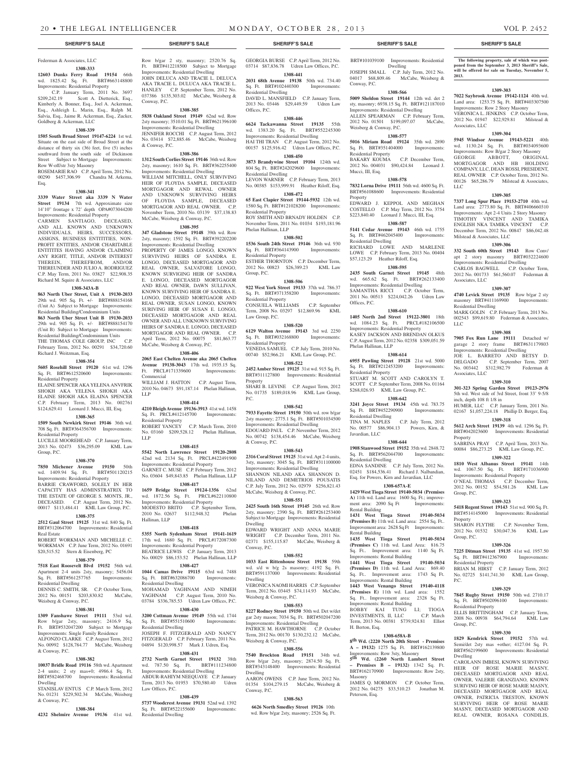# Federman & Associates, LLC

# **1308-333**

**12603 Dunks Ferry Road 19154** 66th wd. 1825.42 Sq. Ft. BRT#663148800 Improvements: Residential Property

 C.P. January Term, 2011 No. 3697 \$209,242.19 Scott A. Dietterick, Esq., Kimberly A. Bonner, Esq., Joel A. Ackerman, Esq., Ashleigh L. Marin, Esq., Ralph M. Salvia, Esq., Jaime R. Ackerman, Esq., Zucker, Goldberg & Ackerman, LLC

#### **1308-339**

**1505 South Broad Street 19147-6224** 1st wd. Situate on the east side of Broad Street at the distance of thirty six (36) feet, five (5) inches southward from the south side of Dickinson Street Subject to Mortgage Improvements: Row W-off/str 3sty Masonry ROSEMARIE RAO C.P. April Term, 2012 No.

00290 \$457,306.99 Chandra M. Arkema, Esq.

### **1308-341**

**3339 Water Street aka 3339 N Water Street 19134** 7th wd. Approximate size 14'10" frontage x 72' depth OPA#073044200 Improvements: Residential Property CARMEN SANTIAGO, DECEASED, AND ALL KNOWN AND UNKNOWN INDIVIDUALS, HEIRS, SUCCESSORS, ASSIGNS, BUSINESS ENTITITIES, NON-PROFIT ENTITIES, AND/OR CHARITABLE ENTITITES HAVING AND/OR CLAIMING ANY RIGHT, TITLE, AND/OR INTEREST

THEREIN, THEREFROM, AND/OR THEREUNDER AND JULIO A. RODRIGUEZ C.P. May Term, 2011 No. 03827 \$22,908.35 Richard M. Squire & Associates, LLC **1308-343A-B**

**863 North Uber Street, Unit A 19130-2033**  29th wd. 905 Sq. Ft. +/- BRT#888154168 (Unit A) Subject to Mortgage Improvements: Residential Building/Condominium Units **863 North Uber Street Unit B 19130-2033**  29th wd. 905 Sq. Ft. +/- BRT#888154170 (Unit B) Subject to Mortgage Improvements: Residential Building/Condominium Units<br>THE THOMAS COLE GROUP. INC. C.P. THE THOMAS COLE GROUP, INC February Term, 2012 No. 00291 \$34,720.60 Richard J. Weitzman, Esq.

#### **1308-354**

**5605 Rosehill Street 19120** 61st wd. 1296 Sq. Ft. BRT#612520600 Improvements: Residential Property ELAINE SPENCER AKA YELENA ANVFRIK SHOKH AKA YELENA SHOKH AKA ELAINE SHOKH AKA ELAINA SPENCER

C.P. February Term, 2013 No. 002761 \$124,629.41 Leonard J. Mucci, III, Esq. **1308-365 1509 South Newkirk Street 19146** 36th wd.

708 Sq. Ft. BRT#364356700 Improvements: Residential Property LUCILLE MOOREHEAD C.P. January Term, 2013 No. 02473 \$36,295.09 KML Law

# **1308-370**

Group, P.C.

**7850 Michener Avenue 19150** 50th wd. 1409.94 Sq. Ft. BRT#501120215 Improvements: Residential Property BARRIE CRAWFORD, SOLELY IN HER CAPACITY HAS ADMINSTRATRIX TO THE ESTATE OF GEORGE S. MONTS, JR., DECEASED. C.P. August Term, 2012 No. 00017 \$113,484.41 KML Law Group, P.C.

#### **1308-375**

**2512 Gaul Street 19125** 31st wd. 840 Sq. Ft. BRT#312064700 Improvements: Residential Real Estate ROBERT WORKMAN AND MICHELLE C.

WORKMAN C.P. June Term, 2012 No. 01691 \$20,515.52 Stern & Eisenberg, PC **1308-379**

**7518 East Roosevelt Blvd 19152** 56th wd. Apartment 2-4 units 2sty, masonry; 5456.04 Sq. Ft. BRT#561257765 Improvements: Residential Dwelling DENNIS C. SMITH, SR. C.P. October Term,

2012 No. 00151 \$203,830.82 McCabe, Weisberg & Conway, P.C.

# **1308-381**

**1309 Fanshawe Street 19111** 53rd wd. Row b/gar 2sty, masonry; 2416.9 Sq. Ft. BRT#532047200 Subject to Mortgage Improvements: Single Family Residence ALFONZO CLARKE C.P. August Term, 2012 No. 00992 \$128,784.77 McCabe, Weisberg & Conway, P.C.

#### **1308-382**

**10037 Bridle Road 19116** 58th wd. Apartment 2-4 units; 2 sty mas+0; 4986.4 Sq. Ft. BRT#582468700 Improvements: Residential Dwelling

STANISLAV ENTUS C.P. March Term, 2012 No. 01231 \$229,502.34 McCabe, Weisberg

**1308-384 4232 Shelmire Avenue 19136** 41st wd.

& Conway, P.C.

Row b/gar 2 sty, masonry; 2520.76 Sq. Ft. BRT#412218500 Subject to Mortgage Improvements: Residential Dwelling JOHN DELUCA AND TRACIE L. DELUCA AKA TRACIE L. DULUCA AKA TRACIE L. HANLEY C.P. September Term, 2012 No.

037386 \$135,303.02 McCabe, Weisberg & Conway, P.C. **1308-385 5838 Oakland Street 19149** 62nd wd. Row 2sty masonry; 3510.01 Sq. Ft. BRT#621396100

Improvements: Residential Dwelling JENNIFER ROCCHI C.P. August Term, 2012 No. 03414 \$72,885.46 McCabe, Weisberg & Conway, P.C.

#### **1308-386 1312 South Corlies Street 19146** 36th wd. Row

2sty, masonry; 1610 Sq. Ft. BRT#362255400 Improvements: Residential Dwelling WILLIAM MITCHELL, ONLY SURVIVING HEIR OF FLOYDA SAMPLE, DECEASED MORTGAGOR AND REWAL OWNER AND UNKNOWN SURVIVING HEIRS OF FLOYDA SAMPLE, DECEASED MORTGAGOR AND REAL OWNER. C.P. November Term, 2010 No. 03139 \$37,138.83

## McCabe, Weisberg & Conway, P.C. **1308-395**

**347 Gladstone Street 19148** 39th wd. Row 2sty, masonry; 1592 Sq. Ft. BRT#392202200 Improvements: Residential Dwelling

PROPERTY OF JAMES LONGO, KNOWN SURVIVING HEIRS OF SANDRA E. LONGO, DECEASED MORTGAGOR AND REAL OWNER, SALVATORE LONGO, KNOWN SURVIGING HEIR OF SANDRA E. LONGO, DECEASED MORTGAGOR AND REAL OWNER, DAWN SULLIVAN, KNOWN SURVIVING HEIR OF SANDRA E. LONGO, DECEASED MORTGAGOR AND REAL OWNER, SUSAN LONGO, KNOWN SURIVING HEIR OF SUSAN E. LONGO, DECEASED MORTGAGOR AND REAL OWNER AND ALL UNKNOWN SURVIVING HEIRS OF SANDRA E. LONGO, DECEASED MORTGAGOR AND REAL OWNER. C.P. April Term, 2012 No. 00075 \$81,863.77 McCabe, Weisberg & Conway, P.C.

### **1308-406**

**2065 East Chelten Avenue aka 2065 Chelten Avenue 19138-3043** 17th wd. 1935.15 Sq. Ft. PRCL#171339600 Improvements: Commercial WILLIAM J. HATTON C.P. August Term,

2010 No. 04673 \$91,187.14 Phelan Hallinan, LLP

# **1308-414**

**4210 Bleigh Avenue 19136-3913** 41st wd. 1458 Sq. Ft. PRCL#412145700 Improvements: Residential Property ROBERT YANCEY C.P. March Term, 2010 No. 03160 \$209,528.12 Phelan Hallinan, LLP

#### **1308-415**

**5542 North Lawrence Street 19120-2808**  42nd wd. 2134 Sq. Ft. PRCL#422491900 Improvements: Residential Property GARNET C. MUSE C.P. February Term, 2012 No. 03604 \$49,843.85 Phelan Hallinan, LLP **1308-417**

**1659 Bridge Street 19124-1356** 62nd wd. 1872.56 Sq. Ft. PRCL#622110800 Improvements: Residential Property MODESTO BRITO C.P. September Term, 2010 No. 02637 \$112,948.32 Phelan Hallinan, LLP

#### **1308-418**

**5355 North Sydenham Street 19141-1619**  17th wd. 1680 Sq. Ft. PRCL#172087300 Improvements: Residential Property BEATRICE LEWIS C.P. January Term, 2013 No. 00029 \$86,153.52 Phelan Hallinan, LLP

#### **1308-427 1044 Camas Drive 19115** 63rd wd. 7488

Sq. Ft. BRT#632086700 Improvements: Residential Dwelling MOHAMAD YAGHNAM AND NIMEH

YAGHNAM C.P. August Term, 2010 No. 03784 \$336,785.53 Udren Law Offices, P.C.

# **1308-430**

**3200 Cottman Avenue 19149** 55th wd. 1744 Sq. Ft. BRT#551510600 Improvements: Residential Dwelling JOSEPH F. FITZGERALD AND NANCY FITZGERALD C.P. February Term, 2011 No.

04894 \$120,998.57 Mark J. Udren, Esq. **1308-431**

**2732 North Garnet Street 19132** 38th wd. 787.50 Sq. Ft. BRT#111234800 Improvements: Residential Dwelling ABDUR-RAHIYM NEEQUAYE C.P. January Term, 2013 No. 01953 \$70,580.40 Udren Law Offices, P.C.

#### **1308-439**

**5737 Woodcrest Avenue 19131** 52nd wd. 1392 Sq. Ft. BRT#522155600 Improvements: Residential Dwelling

#### **SHERIFF'S SALE SHERIFF'S SALE SHERIFF'S SALE SHERIFF'S SALE SHERIFF'S SALE**

GEORGIA BURSE C.P. April Term, 2012 No. 03714 \$87,836.78 Udren Law Offices, P.C. **1308-441**

**2031 68th Avenue 19138** 50th wd. 734.40 Sq. Ft. BRT#102440300 Improvements: Residential Dwelling

DAVID L. MANSFIELD C.P. January Term, 2013 No. 03446 \$29,449.59 Udren Law Offices, P.C.

# **1308-446**

**6624 Tackawanna Street 19135** 55th wd. 1383.20 Sq. Ft. BRT#552245300 Improvements: Residential Dwelling HAI THI TRAN C.P. August Term, 2012 No. 00157 \$125,916.42 Udren Law Offices, P.C.

**1308-450 3873 Brandywine Street 19104** 124th wd. 804 Sq. Ft. BRT#242029600 Improvements: Residential Dwelling

LEVON WARNER C.P. February Term, 2013 No. 00385 \$153,999.91 Heather Riloff, Esq. **1308-472**

**65 East Clapier Street 19144-5932** 12th wd. 1580 Sq. Ft. BRT#121028200 Improvements: Residential Property

ROY SMITH AND BRNADY HOLDEN C.P. November Term, 2011 No. 01034 \$193,181.96 Phelan Hallinan, LLP

# **1308-502**

**1536 South 24th Street 19146** 36th wd. 930 Sq. Ft. BRT#364143900 Improvements: Residential Property ESTHER THORNTON C.P. December Term,

2012 No. 00823 \$26,389.23 KML Law Group, P.C.

#### **1308-506 922 West York Street 19133** 37th wd. 786.37

Sq. Ft. BRT#371358200 Improvements: Residential Property CONSUELA WILLIAMS C.P. September Term, 2008 No. 03297 \$12,869.96 KML Law Group, P.C.

#### **1308-520**

**6129 Walton Avenue 19143** 3rd wd. 2250 Sq. Ft. BRT#032168800 Improvements: Residential Property VENEDA SAMUEL C.P. July Term, 2010 No. 00740 \$52,966.21 KML Law Group, P.C.

**1308-522**

**2452 Amber Street 19125** 31st wd. 915 Sq. Ft. BRT#311127800 Improvements: Residential Property SHARI B. LEVINE C.P. August Term, 2012 No. 01735 \$189,018.96 KML Law Group, P.C.

#### **1308-542**

**7933 Fayette Street 19150** 50th wd. row b/gar 2sty masonry; 2775.1 Sq. Ft. BRT#501034500 Improvements: Residential Dwelling EDOUARD PAUL C.P. November Term, 2012 No. 00742 \$138,454.46 McCabe, Weisberg & Conway, P.C.

#### **1308-543**

**2316 Coral Street 19125** 31st wd. Apt 2-4 units, 3sty, masonry; 3045 Sq. Ft. BRT#311100000 Improvements: Residential Dwelling SHANNON NILAND AKA SHANNON D. NILAND AND DEMETRIOS POUSATIS C.P. July Term, 2012 No. 02979 \$256,821.43 McCabe, Weisberg & Conway, P.C.

# **1308-551**

**2425 South 16th Street 19145** 26th wd. Row 2sty, masonry; 2390 Sq. Ft. BRT#261253400 Subject to Mortgage Improvements: Residential Dwelling

EDWARD WRIGHT AND ANNA MARIE WRIGHT C.P. December Term, 2011 No. 02371 \$155,115.87 McCabe, Weisberg & Conway, P.C.

#### **1308-552**

**1033 East Rittenhouse Street 19138** 59th wd. s/d w b/g 2s masonry; 4192 Sq. Ft. BRT#591137000 Improvements: Residential Dwelling

VERONICA NAOMI HARRIS C.P. September Term, 2012 No. 03445 \$74,114.93 McCabe, Weisberg & Conway, P.C.

### **1308-553**

**8227 Rodney Street 19150** 50th wd. Det w/det gar 2sty mason; 7034 Sq. Ft. BRT#502047200 Improvements: Residential Dwelling PATRICE M. HAWTHORNE C.P. Term, 2012 No. 00170 \$130,232.12 McCabe, Weisberg & Conway, P.C.

#### **1308-556**

**7540 Brockton Road 19151** 34th wd. Row b/gar 2sty, masonry; 2874.50 Sq. Ft. BRT#343148400 Improvements: Residential Dwelling

AARON OWENS C.P. June Term, 2012 No. 01354 \$104,279.15 McCabe, Weisberg & Conway, P.C.

#### **1308-563**

**6626 North Smedley Street 19126** 10th wd. Row b/gar 2sty, masonry; 2526 Sq. Ft.

BRT#101039100 Improvements: Residential Dwelling JOSEPH SMALL C.P. July Term, 2012 No.<br>04017 \$68,809.46 McCabe, Weisberg &  $McCabe$ , Weisberg & Conway, P.C.

**The following property, sale of which was post-poned from the September 3, 2013 Sheriff's Sale, will be offered for sale on Tuesday, November 5,** 

**1309-303 7022 Saybrook Avenue 19142-1124** 40th wd. Land area: 1253.75 Sq. Ft. BRT#403307500 Improvements: Row 2 Story Masonry VERONICA L. JENKINS C.P. October Term, 2012 No. 01947 \$22,929.81 Milstead &

**1309-304 5945 Windsor Avenue 19143-5221** 40th wd. 1130.24 Sq. Ft. BRT#034093600 Improvements: Row B/gar 2 Story Masonry GEORGE ABBOTT, ORIGINAL MORTGAGOR AND HB HOLDING COMPANY, LLC, DEAN ROSSI, PRESIDENT, REAL OWNER C.P. October Term, 2012 No. 00126 \$65,286.79 Milstead & Associates,

**1309-305 7337 Long Spur Place 19153-2710** 40th wd. Land area: 2773.80 Sq. Ft. BRT#406660310 Improvements: Apt 2-4 Units 2 Story Masonry TIMOTHY VINCENT AND ENGLISH NKA TAMIKA VINCENT C.P. December Term, 2012 No. 00847 \$86,042.48

**1309-306 332 South 60th Street 19143** Row Conv/ apt 2 story masonry BRT#032224600 Improvements: Residential Dwelling CARLOS BAGWELL C.P. October Term, 2012 No. 001733 \$61,560.07 Federman &

**1309-307 4740 Levick Street 19135** Row b/gar 2 sty masonry BRT#411169900 Improvements:

MARK GOLIN C.P. February Term, 2013 No. 002543 \$99,619.80 Federman & Associates,

**1309-308 7905 Fox Run Lane 19111** Detached w/ garage 2 story frame BRT#631179803 Improvements: Residential Dwelling JOE L. BARRETO AND BETSY D. DELGADO C.P. September Term, 2007 No. 003442 \$312,982.79 Federman &

**1309-310 301-323 Spring Garden Street 19123-2976**  5th wd. West side of 3rd Street, front 33' 9-5/8

HUMER, LLC C.P. January Term, 2011 No. 02167 \$1,057,224.18 Phillip D. Berger, Esq. **1309-318 5612 Arch Street 19139** 4th wd. 1296 Sq. Ft. BRT#042023600 Improvements: Residential

SABRINA PRAY C.P. April Term, 2013 No. 00084 \$86,273.25 KML Law Group, P.C. **1309-322 1810 West Albanus Street 19141** 14th wd. 1067.50 Sq. Ft. BRT#171036900 Improvements: Residential Property O'NEAL THOMAS C.P. December Term, 2012 No. 00152 \$54,581.26 KML Law

**1309-323 5418 Regent Street 19143** 51st wd. 900 Sq. Ft. BRT#514145000 Improvements: Residential

SHARON FLYTHE C.P. November Term, 2012 No. 01532 \$30,047.36 KML Law

**1309-326 7225 Ditman Street 19135** 41st wd. 1957.50 Sq. Ft. BRT#412367900 Improvements:

BRIAN M. HIRST C.P. January Term, 2012 No. 02725 \$141,741.30 KML Law Group,

**1309-329 7845 Rugby Street 19150** 50th wd. 2710.17

ELLIS BRITTINGHAM C.P. January Term, 2008 No. 00938 \$64,794.64 KML Law

**1309-330 1829 Kendrick Street 19152** 57th wd. Semi/det 2sty mas +other; 4127.04 Sq. Ft. BRT#562199600 Improvements: Residential

CAROLANN IMBESI, KNOWN SURVIVING HEIR OF ROSE MARIE MASNY, DECEASED MORTGAGOR AND REAL OWNER, VALERIE GRANZIANO, KNOWN SURIVING HEIR OF ROSE MARIE MASNY, DECEASED MORTGAGOR AND REAL OWNER, PATRICIA TRESTON, KNOWN SURVIVING HEIR OF ROSE MARIE MASNY, DECEASED MORTGAGOR AND REAL OWNER, ROSANA CONDILIS,

Milstead & Associates, LLC

Associates, LLC

Residential Dwelling

Associates, LLC

Property

Group, P.C.

Property

P.C.

Group, P.C.

Dwelling

Group, P.C.

Residential Property

Sq. Ft. BRT#502096100 Residential Property

inch, depth 108 ft 1/8 in

LLC

**2013.**

LLC

Associates, LLC

# **1308-566**

Weisberg & Conway, P.C.

Sq. Ft. BRT#351404000 Residential Property

Mucci, III, Esq.

Residential Dwelling

Offices, P.C.

Phelan Hallinan, LLP

Residential Property

Residential Dwelling

Residential Dwelling

Rental Building

Rental Building

H. Berton, Esq.

Masonry

Peterson, Esq.

Javardian, LLC

Property

**5009 Sheldon Street 19144** 12th wd. det 2 sty, masonry; 6938.15 Sq. Ft. BRT#121187010 Improvements: Residential Dwelling ALLEN SPEARMAN C.P. February Term, 2012 No. 01501 \$199,097.07 McCabe,

**1308-577 5016 Miriam Road 19124** 35th wd. 2890

BAKARY KOUMA C.P. December Term, 2012 No. 004031 \$90,424.84 Leonard J.

**1308-578 7832 Lorna Drive 19111** 56th wd. 4600 Sq. Ft. BRT#561088600 Improvements: Residential

EDWARD J. KEPPOL AND MEGHAN COSTELLO C.P. May Term, 2012 No. 3754 \$223,840.40 Leonard J. Mucci, III, Esq. **1308-587 5141 Cedar Avenue 19143** 46th wd. 1755 Sq. Ft. BRT#462045400 Improvements:

RICHARD LOWE AND MARLENE LOWE C.P. February Term, 2013 No. 00404

**1308-595 2435 South Garnet Street 19145** 48th wd. 665.62 Sq. Ft. BRT#262133400 Improvements: Residential Dwelling SAMANTHA RICCI C.P. October Term, 2011 No. 00513 \$224,042.26 Udren Law

**1308-610 1405 North 2nd Street 19122-3801** 18th wd. 1084.23 Sq. Ft. PRCL#182106500 Improvements: Residential Property KASEY JACKSON AND BRENDAN OLKUS C.P. August Term, 2012 No. 02358 \$309,051.59

**1308-614 6955 Pawling Street 19128** 21st wd. 5000 Sq. Ft. BRT#212453200 Improvements:

STUART M. SCOTT AND CAROLYN T. SCOTT C.P. September Term, 2008 No. 01164 \$268,026.93 KML Law Group, P.C. **1308-642 3241 Joyce Street 19134** 45th wd. 783.75 Sq. Ft. BRT#452290900 Improvements:

TINA M. NAPLES C.P. July Term, 2012 No. 00577 \$86,904.13 Powers, Kirn, &

**1308-644 1908 Stanwood Street 19152** 35th wd. 2848.72 Sq. Ft. BRT#562044700 Improvements:

EDNA SANDINE C.P. July Term, 2012 No. 02451 \$184,536.41 Richard J. Nalbandian, Esq. for Powers, Kirn and Javardian, LLC **1308-657A-E 1429 West Tioga Street 19140-5034 (Premises A)** 11th wd. Land area: 1600 Sq. Ft.; improvement area: 2090 Sq Ft Improvements:

**1431 West Tioga Street 19140-5034 (Premises B)** 11th wd. Land area: 2554 Sq. Ft.. Improvement area: 2628 Sq Ft Improvements:

**1435 West Tioga Street 19140-5034 (Premises C)** 11th wd. Land Area: 816.75 Sq. Ft.. Improvement area: 1140 Sq Ft.

**1441 West Tioga Street 19140-5034 (Premises D)** 11th wd. Land Area: 869.40 Sq. Ft.. Improvement area: 1743 Sq Ft.

**1443 West Venango Street 19140-4118 (Premises E)** 11th wd. Land area: 1552 Sq. Ft.. Improvement area: 2328 Sq Ft.

BOBBY KAI TUNG LI; TIOGA INVESTMENTS, II, LLC C.P. March Term, 2013 No. 00381 \$739,924.81 Elliot

**1308-658A-B 8th Wd. (2220 North 20th Street - Premises A – 19132)** 1275 Sq. Ft. BRT#162139800 Improvements: Row 3sty, Masonry

**5th Wd. (2260 North Lambert Street – Premises B – 19132)** 1342 Sq. Ft. BRT#162170900 Improvements: Row 2sty,

JAMES O. MORMON C.P. October Term, 2012 No. 04275 \$33,510.23 Jonathan M.

Improvements: Rental Building

Improvements: Rental Building

Improvements: Rental Building

\$57,123.29 Heather Riloff, Esq.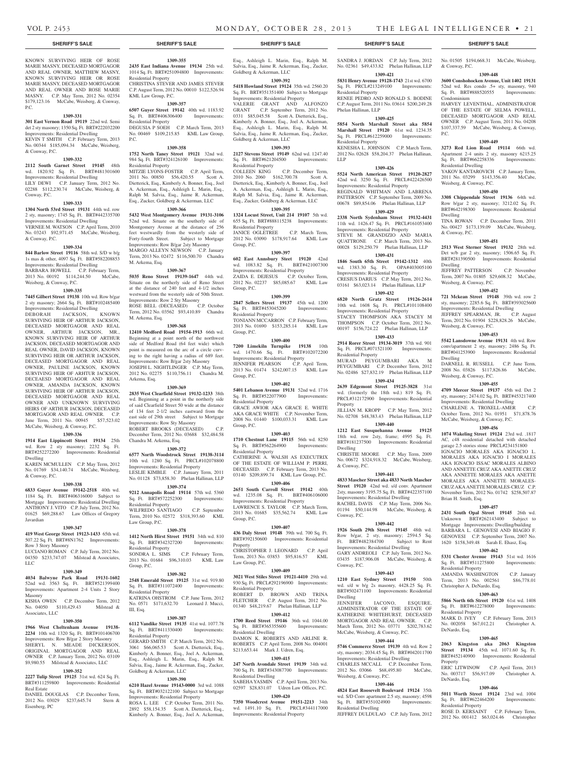#### **SHERIFF'S SALE SHERIFF'S SALE SHERIFF'S SALE SHERIFF'S SALE SHERIFF'S SALE**

KNOWN SURVIVING HEIR OF ROSE MARIE MASNY, DECEASED MORTGAGOR AND REAL OWNER, MATTHEW MASNY, KNOWN SURVIVING HEIR OR ROSE MARIE MASNY, DECEASED MORTGAGOR AND REAL OWNER AND ROSE MARIE MASNY. C.P. May Term, 2012 No. 02354 \$179,123.16 McCabe, Weisberg, & Conway, P.C.

#### **1309-331**

**301 East Vernon Road 19119** 22nd wd. Semi det 2 sty masonry; 1350 Sq. Ft. BRT#222032200 Improvements: Residential Dwelling KEVIN T SMITH C.P. February Term, 2013 No. 00344 \$185,094.34 McCabe, Weisberg,

# & Conway, P.C.

**1309-332 2112 South Garnet Street 19145** 48th wd. 1820.92 Sq. Ft. BRT#481301600 Improvements: Residential Dwelling LILY DEWI C.P. January Term, 2012 No. 02288 \$112,230.74 McCabe, Weisberg, &

#### **1309-333**

Conway, P.C.

& Conway, P.C.

**1304 North 53rd Street 19131** 44th wd. row 2 sty, masonry; 1745 Sq. Ft. BRT#442335700 Improvements: Residential Dwelling VERNEE M. WATSON C.P. April Term, 2010 No. 03243 \$92,971.45 McCabe, Weisberg,

### **1309-334**

**844 Barlow Street 19116** 58th wd. S/D w b/g 1s mas & other, 4097 Sq. Ft. BRT#582208853 Improvements: Residential Dwelling BARBARA HOWELL C.P. February Term,

2013 No. 00192 \$114,244.50 McCabe, Weisberg, & Conway, P.C. **1309-335**

**7445 Gilbert Street 19138** 10th wd. Row b/gar 2 sty masonry; 2664 Sq. Ft. BRT#102485400 Improvements: Residential Dwelling DEBORAH JACKSON, KNOWN SURVIVING HEIR OF ARTHUR JACKSON, DECEASED MORTGAGOR AND REAL OWNER, ARTHUR JACKSON, MR., KNOWN SURVIVING HEIR OF ARTHUR JACKSON, DECEASED MORTGAGOR AND REAL OWNER, DAVID JACKSON, KNOWN SURVIVING HEIR OR ARTHUR JACKSON, DECEASED MORTGAGOR AND REAL OWNER, PAULINE JACKSON, KNOWN SURVIVING HEIR OF ARHTUR JACKSON, DECEAESD MORTGAGOR AND REAL OWNER, AMANDA JACKSON, KNOWN SURVIVING HEIR OF ARTHUR JACKSON, DECEASED MORTGAGOR AND REAL OWNER AND UNKNOWN SURVIVING HEIRS OF ARTHUR JACKSON, DECEASED MORTGAGOR AND REAL OWNER. C.P. June Term, 2011 No. 00945 \$57,523.02 McCabe, Weisberg, & Conway, P.C.

#### **1309-336**

**1914 East Lippincott Street 19134** 25th wd. Row 2 sty masonry; 2232 Sq. Ft. BRT#252272200 Improvements: Residential Dwelling KAREN MCMULLEN C.P. May Term, 2012

No. 01769 \$34,140.74 McCabe, Weisberg, & Conway, P.C.

#### **1309-338**

**6833 Guyer Avenue 19142-2518** 40th wd. 1184 Sq. Ft. BRT#406316000 Subject to Mortgage Improvements: Residential Dwelling ANTHONY J. VITO C.P. July Term, 2012 No. 01625 \$69,288.67 Law Offices of Gregory Javardian

#### **1309-347**

**419 West George Street 19123-1433** 65th wd. 507.22 Sq. Ft. BRT#8N1762 Improvements:

#### Row 3 Story Masonry LUCIANO ROMAN C.P. July Term, 2012 No. 04350 \$233,747.07 Milstead & Associates, LLC

### **1309-349**

**4034 Balwyne Park Road 19131-1602**  52nd wd. 3563 Sq. Ft. BRT#521399400 Improvements: Apartment 2-4 Units 2 Story Masonry

KISHA OWEN C.P. December Term, 2012 No. 04050 \$110,429.43 Milstead & Associates, LLC

#### **1309-350**

**1966 West Cheltenham Avenue 19138- 2234** 10th wd. 1320 Sq. Ft. BRT#101406700 Improvements: Row B/gar 2 Story Masonry SHERYL N. MEADE DICKERSON, ORIGINAL MORTGAGOR AND REAL OWNER C.P. January Term, 2012 No. 03109 \$9,980.55 Milstead & Associates, LLC

#### **1309-352**

**2227 Tulip Street 19125** 31st wd. 624 Sq. Ft. BRT#311259800 Improvements: Residential Real Estate

DANIEL DOUGLAS C.P. December Term, 2012 No. 03029 \$237,645.74 Stern & Eisenberg, PC

**1309-355**

**2435 East Indiana Avenue 19134** 25th wd. 1014 Sq. Ft. BRT#251094800 Improvements: Residential Property CHRISTINA STEVER AND JAMES STEVER C.P. August Term, 2012 No. 00010 \$122,526.94 KML Law Group, P.C.

#### **1309-357**

**6507 Guyer Street 19142** 40th wd. 1183.92 Sq. Ft. BRT#406306400 Improvements: Residential Property DEGUSIA P SOEH C.P. March Term, 2013

No. 00469 \$109,215.85 KML Law Group, P.C.

# **1309-358**

**1752 North Taney Street 19121** 32nd wd. 984 Sq. Ft. BRT#324126100 Improvements: Residential Property MITZIE LYONS-FOSTER C.P. April Term, 2011 No. 00850 \$56,420.55 Scott A. Dietterick, Esq., Kimberly A. Bonner, Esq., Joel A. Ackerman, Esq., Ashleigh L. Marin, Esq.,

Ralph M. Salvia, Esq., Jaime R. Ackerman, Esq., Zucker, Goldberg & Ackerman, LLC **1309-366**

**5432 West Montgomery Avenue 19131-3106**  52nd wd. Situate on the southerly side of Montgomery Avenue at the distance of 256 feet westwardly from the westerly side of Forty-fourth Street. Subject to Mortgage Improvements: Row B/gar 2sty Masonry MARGO ALLEYN NEWSON C.P. January Term, 2013 No. 02472 \$116,500.70 Chandra M. Arkema, Esq.

#### **1309-367**

**5035 Reno Street 19139-1647** 44th wd. Situate on the northerly side of Reno Street at the distance of 240 feet and 4-1/2 inches westward from the westerly side of 50th Street. Improvements: Row 2 Sty Masonry ROSE BELL (DECEASED) C.P. October Term, 2012 No. 03562 \$93,410.89 Chandra

## M. Arkema, Esq. **1309-368**

**12410 Medford Road 19154-1913** 66th wd. Beginning at a point north of the northwest side of Medford Road (64 feet wide) which point is measured on the arc of a circle curving to the right having a radius of 689 feet. Improvements: Row B/gar 2sty Masonry JOSEPH L. NIGHTLINGER C.P. May Term, 2012 No. 02275 \$110,756.11 Chandra M. Arkema, Esq.

#### **1309-369**

**2835 West Clearfield Street 19132-1233** 38th wd. Beginning at a point in the northerly side of said Clearfield Street 50 wide at the distance of 134 feet 2-1/2 inches eastward from the east side of 29th street Subject to Mortgage Improvements: Row Sty Masonry ROBERT BROOKS (DECEASED) C.P. December Term, 2012 No. 03688 \$32,484.58 Chandra M. Arkema, Esq.

#### **1309-372**

**6577 North Woodstrock Street 19138-3114**  10th wd. 1280 Sq. Ft. PRCL#102078800 Improvements: Residential Property LESLIE KIMBLE C.P. January Term, 2011 No. 01128 \$73,858.30 Phelan Hallinan, LLP

### **1309-374**

**9212 Annapolis Road 19114** 57th wd. 5360 Sq. Ft. BRT#572252300 Improvements: Residential Property WILFREDO SANTIAGO C.P. September Term, 2010 No. 02572 \$318,393.60 KML Law Group, P.C.

#### **1309-378**

**1412 North Hirst Street 19151** 34th wd. 810 Sq. Ft. BRT#342327200 Improvements: Residential Property SONDRA L. SIMS C.P. February Term,

2013 No. 01684 \$96,310.03 KML Law Group, P.C.

# **1309-382**

**2548 Emerald Street 19125** 31st wd. 919.80 Sq. Ft. BRT#311072400 Improvements: Residential Property KATRINA OHSTROM C.P. June Term, 2012

No. 0571 \$171,632.70 Leonard J. Mucci, III, Esq. **1309-387**

#### **6112 Vandike Street 19135** 41st wd. 1077.78 Sq. Ft. BRT#411330400 Improvements: Residential Property

GERARD SMITH C.P. March Term, 2012 No. 3061 \$66,065.53 Scott A. Dietterick, Esq., Kimberly A. Bonner, Esq., Joel A. Ackerman, Esq., Ashleigh L. Marin, Esq., Ralph M. Salvia, Esq., Jaime R. Ackerman, Esq., Zucker, Goldberg & Ackerman, LLC

#### **1309-390**

**6210 Hazel Avenue 19143-0000** 3rd wd. 1088 Sq. Ft. BRT#032122100 Subject to Mortgage Improvements: Residential Property

ROSA L. LEE C.P. October Term, 2011 No. 2892 \$58,154.35 Scott A. Dietterick, Esq., Kimberly A. Bonner, Esq., Joel A. Ackerman,

Esq., Ashleigh L. Marin, Esq., Ralph M. Salvia, Esq., Jaime R. Ackerman, Esq., Zucker, Goldberg & Ackerman, LLC

# **1309-392**

**5418 Howland Street 19124** 35th wd. 2560.20 Sq. Ft. BRT#351351400 Subject to Mortgage Improvements: Residential Property VALERIE GRANT AND ALFONZO GRANT C.P. September Term, 2012 No. 0331 \$85,045.58 Scott A. Dietterick, Esq., Kimberly A. Bonner, Esq., Joel A. Ackerman, Esq., Ashleigh L. Marin, Esq., Ralph M. Salvia, Esq., Jaime R. Ackerman, Esq., Zucker, Goldberg & Ackerman, LLC

#### **1309-393**

**2127 Stevens Street 19149** 62nd wd. 1247.40 Sq. Ft. BRT#621204500 Improvements: Residential Property

COLLEEN KING C.P. December Term, 2010 No. 2060 \$162,700.78 Scott A. Dietterick, Esq., Kimberly A. Bonner, Esq., Joel A. Ackerman, Esq., Ashleigh L. Marin, Esq., Ralph M. Salvia, Esq., Jaime R. Ackerman, Esq., Zucker, Goldberg & Ackerman, LLC

#### **1309-395**

**1324 Locust Street, Unit 214 19107** 5th wd. 655 Sq. Ft. BRT#888115238 Improvements: Residential Property JANICE OGLETREE C.P. March Term,

2012 No. 03090 \$178,917.64 KML Law Group, P.C.

# **1309-397**

**602 East Annsbury Steet 19120** 42nd wd. 1083.82 Sq. Ft. BRT#421007300 Improvements: Residential Property ZAIDA E. DEJESUS C.P. October Term, 2012 No. 02237 \$85,085.67 KML Law Group, P.C.

# **1309-399**

**2847 Sellers Street 19137** 45th wd. 1200 Sq. Ft. BRT#453045200 Improvements: Residential Property TONIANN MCCARRON C.P. February Term, 2013 No. 01690 \$153,285.14 KML Law Group, P.C.

#### **1309-400**

**7200 Limekiln Turnpike 19138** 10th wd. 1470.66 Sq. Ft. BRT#102072200 Improvements: Residential Property JENNIFER PEARSON C.P. April Term, 2013 No. 01474 \$242,007.15 KML Law

Group, P.C. **1309-402**

#### **5401 Lebanon Avenue 19131** 52nd wd. 1716 Sq. Ft. BRT#522077900 Improvements: Residential Property GRACE AWIOR AKA GRACE E. WHITE AKA GRACE WHITE C.P. November Term, 2008 No. 01440 \$100,033.31 KML Law Group, P.C.

**1309-403**

**1710 Chestnut Lane 19115** 56th wd. 8250 Sq. Ft. BRT#562264900 Improvements: Residential Property CATHERINE A. WALSH AS EXECUTRIX OF THE ESTATE OF WILLIAM P. PERRI, DECEASED. C.P. February Term, 2013 No. 03140 \$209,899.74 KML Law Group, P.C.

#### **1309-406**

**2651 South Carroll Street 19142** 40th wd. 1235.08 Sq. Ft. BRT#406106000 Improvements: Residential Property LAWRENCE S. TAYLOR C.P. March Term,

2013 No. 01685 \$35,562.74 KML Law Group, P.C. **1309-407**

# **436 Daly Street 19148** 39th wd. 700 Sq. Ft. BRT#392150600 Improvements: Residential

Property CHRISTOPHER J. LEONARD C.P. April Term, 2013 No. 03853 \$95,816.57 KML Law Group, P.C.

### **1309-409**

**3021 West Stiles Street 19121-4410** 29th wd. 930 Sq. Ft. PRCL#292196900 Improvements: Residential Property ROBERT D. BROWN AND TRINA FLETCHER C.P. August Term, 2012 No. 01340 \$48,219.67 Phelan Hallinan, LLP

# **1309-412**

**1700 Reed Street 19146** 36th wd. 1044.00 Sq. Ft. BRT#365355600 Improvements: Residential Dwelling DAMON K. ROBERTS AND ARLINE R.

ROBERTS C.P. April Term, 2008 No. 004001 \$213,653.44 Mark J. Udren, Esq. **1309-415**

**247 North Avondale Street 19139** 34th wd. 700 Sq. Ft. BRT#343087700 Improvements: Residential Dwelling SABEHA YASMIN C.P. April Term, 2013 No. 02597 \$28,831.07 Udren Law Offices, P.C.

#### **1309-420**

**7350 Woodcrest Avenue 19151-2213** 34th wd. 1491.10 Sq. Ft. PRCL#344117000 Improvements: Residential Property

# SANDRA J. JORDAN C.P. July Term, 2012 No. 02361 \$49,433.82 Phelan Hallinan, LLP

No. 01505 \$194,668.31 McCabe, Weisberg,

**1309-448 3600 Conshohocken Avenue, Unit 1402 19131**  52nd wd. Res condo .5+ sty, masonry, 940 Sq. Ft. BRT#888520555 Improvements:

HARVEY LEVENTHAL, ADMINISTRATOR OF THE ESTATE OF SELMA POWELL, DECEASED MORTGAGOR AND REAL OWNER C.P. August Term, 2011 No. 04208 \$107,337.59 McCabe, Weisberg, & Conway,

**1309-449 3273 Red Lion Road 19114** 66th wd. Apartment 2-4 units 2 sty, masonry 6215.25 Sq. Ft. BRT#662258336 Improvements:

YAKOV KANTAROVICH C.P. January Term, 2011 No. 03299 \$143,356.40 McCabe,

**1309-450 3308 Chippendale Street 19136** 64th wd. Row b/gar 2 sty, masonry; 3212.02 Sq. Ft. BRT#642198300 Improvements: Residential

TINA ROWAN C.P. December Term, 2011 No. 00427 \$173,139.09 McCabe, Weisberg,

**1309-451 2513 West Sterner Street 19132** 28th wd. Det w/b gar 2 sty, masonry; 1506.65 Sq. Ft. BRT#281390500 Improvements: Residential

JEFFREY PATTERSON C.P. November Term, 2007 No. 01805 \$29,608.32 McCabe,

**1309-452 721 Mckean Street 19148** 39th wd. row 2 sty, masonry; 2285.6 Sq. Ft. BRT#393025600 Improvements: Residential Dwelling **JEFFREY SPEARMAN, JR. C.P. August** Term, 2012 No. 01904 \$228,828.26 McCabe,

**1309-453 5542 Lansdowne Avenue 19131** 4th wd. Row conv/apartment 2 sty, masonry; 2486 Sq. Ft. BRT#041253900 Improvements: Residential

DARNELL R. RUSSELL C.P. June Term, 2008 No. 03826 \$117,826.86 McCabe,

**1309-455 4709 Mercer Street 19137** 45th wd. Det 2 sty, masonry; 2474.02 Sq. Ft. BRT#453217400 Improvements: Residential Dwelling CHARLENE A. TROXELL-AMER C.P. October Term, 2012 No. 01951 \$71,878.76 McCabe, Weisberg, & Conway, P.C. **1309-456 1074 Wakeling Street 19124** 23rd wd. .1817 AC, c48 residential detached with detached garage 2.5 stories stone PRCL#234151800 IGNACIO MORALES AKA IGNACIO L. MORALES AKA IGNACIO I MORALES AKA IGNACIO ISSAC MORALES ALBINO AND ANNETTE CRUZ AKA ANETTE CRUZ AKA ANNETTE MORALES AKA ANETTE MORALES AKA ANNETTE MORALES-CRUZ AKA ANETTE MORALES-CRUZ C.P. November Term, 2012 No. 01742 \$258,507.87

& Conway, P.C.

Condominium

Residential Dwelling

Weisberg, & Conway, P.C.

P.C.

Dwelling

Dwelling

Dwelling

& Conway, P.C.

Weisberg, & Conway, P.C.

Weisberg, & Conway, P.C.

Weisberg, & Conway, P.C.

Brian H. Smith, Esq.

Residential Property

Residential Property

DeNardo, Esq.

Property

DeNardo, Esq.

Residential Property

Term, 2013 No. 002561 Christopher A. DeNardo, Esq.

**1309-457 2431 South Opal Street 19145** 26th wd. Unknown BRT#262143400 Subject to Mortgage Improvements: Dwelling/building BARBARA L. GENOVESI AND BIAGIO F. GENOVESI C.P. September Term, 2007 No. 1620 \$158,349.48 Sarah E. Ehasz, Esq. **1309-462 5331 Chester Avenue 19143** 51st wd. 1616 Sq. Ft. BRT#511275800 Improvements:

AMANDA WASHINGTON C.P. January<br>Term. 2013 No. 002561 \$86.778.01

**1309-463 5866 North 6th Street 19120** 61st wd. 1408 Sq. Ft. BRT#612278000 Improvements:

MARK D. IVEY C.P. February Term, 2013 No. 002058 \$67,012.21 Christopher A.

**1309-465 2063 Kingston aka 2063 Kingston Street 19134** 45th wd. 1071.60 Sq. Ft. BRT#452140900 Improvements: Residential

ERIC LITWINOW C.P. April Term, 2013 No. 003717 \$56,917.09 Christopher A.

**1309-466 5011 Worth Street 19124** 23rd wd. 1004 Sq. Ft. BRT#622464200 Improvements:

ROSE D. KERSAINT C.P. February Term, 2012 No. 001412 \$63,024.46 Christopher

**1309-421 5831 Henry Avenue 19128-1743** 21st wd. 6700 Sq. Ft. PRCL#213249100 Improvements: Residential Property RENEE PEDRO AND RONALD S. BODINE C.P. August Term, 2011 No. 03614 \$200,249.28 Phelan Hallinan, LLP

# **1309-425**

**5854 North Marshall Street aka 5854 Marshall Street 19120** 61st wd. 1234.35

#### Sq. Ft. PRCL#612259000 Improvements: Residential Property KENESHA L. JOHNSON C.P. March Term, 2012 No. 02628 \$58,204.37 Phelan Hallinan,

LLP **1309-426**

42nd wd. 3250 Sq. Ft. PRCL#422426500 Improvements: Residential Property REGINALD WHITMAN AND LABRENA PATTERSON C.P. September Term, 2009 No. 00678 \$89,854.06 Phelan Hallinan, LLP **1309-429 2338 North Sydenham Street 19132-4431**  11th wd. 1426.47 Sq. Ft. PRCL#161053400 Improvements: Residential Property STEVE M. GRANDIZIO AND MARIA QUATTRONE C.P. March Term, 2013 No. 00028 \$129,250.79 Phelan Hallinan, LLP **1309-431 1846 South 65th Street 19142-1312** 40th wd. 1383.30 Sq. Ft. OPA#403005100 Improvements: Residential Property CRESIUS DARIUS C.P. May Term, 2012 No. 03161 \$63,023.14 Phelan Hallinan, LLP **1309-432 6820 North Gratz Street 19126-2614**  10th wd. 1608 Sq. Ft. PRCL#101108400 Improvements: Residential Property STACEY THOMPSON AKA STACEY M THOMPSON C.P. October Term, 2012 No. 00197 \$156,724.22 Phelan Hallinan, LLP **1309-433 2914 Rorer Street 19134-3019** 37th wd. 901 Sq. Ft. PRCL#071521100 Improvements:

# **5524 North American Street 19120-2827**

Residential Property

Property

Dwelling

& Conway, P.C.

Conway, P.C.

Conway, P.C.

Dwelling

Weisberg, & Conway, P.C.

Residential Dwelling

MURAD PEYGUMBARI AKA M PEYGUMBARI C.P. December Term, 2012 No. 02486 \$27,832.19 Phelan Hallinan, LLP **1309-434 2639 Edgemont Street 19125-3828** 31st wd. (formerly the 18th wd.) 819 Sq. Ft. PRCL#312172900 Improvements: Residential

JILLIAN M. KROPP C.P. May Term, 2012 No. 02708 \$48,383.43 Phelan Hallinan, LLP **1309-440 1212 East Susquehanna Avenue 19125**  18th wd. row 2sty, frame; 4995 Sq. Ft. BRT#181237500 Improvements: Residential

CHRISTIE MOORE C.P. May Term, 2009 No. 00672 \$324,918.32 McCabe, Weisberg,

**1309-441 4833 Mascher Street aka 4833 North Mascher Street 19120** 42nd wd. s/d conv. Apartment 2sty, masonry 3195.75 Sq. Ft. BRT#422357100 Improvements: Residential Dwelling RACHEL DAVIS C.P. May Term, 2006 No. 01194 \$50,144.98 McCabe, Weisberg, &

**1309-442 1926 South 29th Street 19145** 48th wd. Row b/gar, 2 sty, masonry; 2594.5 Sq. Ft. BRT#482384700 Subject to Rent Improvements: Residential Dwelling GARY ANDREOLI C.P. July Term, 2012 No. 03435 \$187,906.08 McCabe, Weisberg, &

**1309-443 1210 East Sydney Street 19150** 50th wd. s/d w b/g 2s masonry, 4428.25 Sq. Ft. BRT#502471100 Improvements: Residential

JENNIFER IACONO, ESQUIRE, ADMINISTRATOR OF THE ESTATE OF KATHERINE WHITEHURST, DECEASED MORTGAGOR AND REAL OWNER. C.P. March Term, 2012 No. 03771 \$202,783.62 McCabe, Weisberg, & Conway, P.C. **1309-444 5746 Commerce Street 19139** 4th wd. Row 2 sty, masonry; 2034.45 Sq. Ft. BRT#042011700 Improvements: Residential Dwelling CHARLES MCCALL C.P. December Term, 2012 No. 03066 \$68,495.80 McCabe,

**1309-446 4824 East Roosevelt Boulevard 19124** 35th wd. S/D Conv apartment 2.5 sty, masonry; 4598 Sq. Ft. BRT#351024900 Improvements:

JEFFREY DULDULAO C.P. July Term, 2012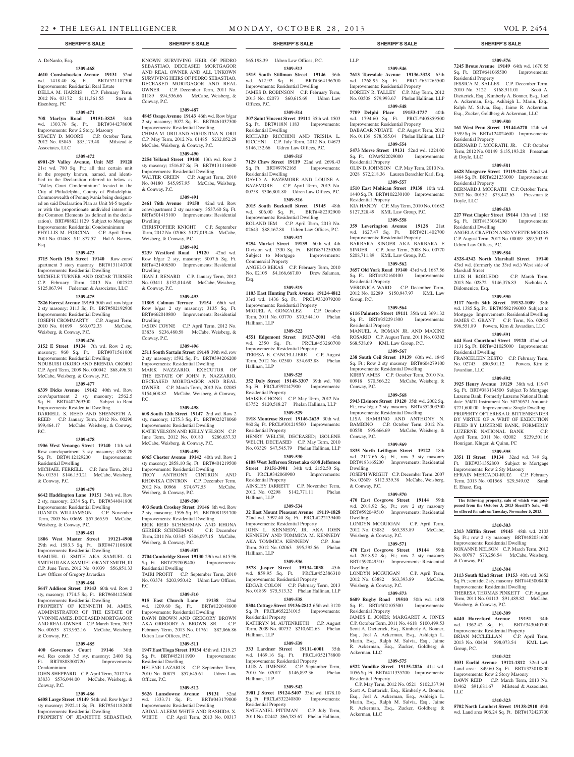# A. DeNardo, Esq.

#### **1309-468**

Associates, LLC

**4610 Conshohocken Avenue 19131** 52nd wd. 1418.40 Sq. Ft. BRT#521187300 Improvements: Residential Real Estate DELLA M. HARRIS C.P. February Term, 2012 No. 03172 \$111,361.55 Stern & Eisenberg, PC

#### **1309-471**

**708 Marlyn Road 19151-3825** 34th wd. 1303.76 Sq. Ft. BRT#344278600 Improvements: Row 2 Story, Masonry STACEY D. MOORE C.P. October Term, 2012 No. 03845 \$35,179.48 Milstead &

### **1309-472**

**6901-29 Valley Avenue, Unit M5 19128**  21st wd. 780 Sq. Ft.; all that certain unit in the property known, named, and identified in the Declaration referred to below as "Valley Court Condominium" located in the City of Philadelphia, County of Philadelphia, Commonwealth of Pennsylvania being designated on said Declaration Plan as Unit M-5 together with the proportionate undivided interest in the Common Elements (as defined in the declaration). BRT#888211129 Subject to Mortgage Improvements: Residential Condominimum PHYLLIS M. FORCINA C.P. April Term, 2011 No. 01468 \$11,877.57 Hal A. Barrow, Esq.

#### **1309-473**

**3715 North 15th Street 19140** Row conv/ apartment 3 story masonry BRT#131140700 Improvements: Residential Dwelling MICHELE TURNER AND OSCAR TURNER C.P. February Term, 2013 No. 002522 \$125,067.94 Federman & Associates, LLC

#### **1309-475**

**7826 Forrest Avenue 19150** 50th wd. row b/gar 2 sty masonry; 3113 Sq. Ft. BRT#502192900 Improvements: Residential Dwelling JOSEPH CROMMARTY C.P. August Term, 2010 No. 01699 \$63,072.33 McCabe, Weisberg, & Conway, P.C.

#### **1309-476**

**3152 E Street 19134** 7th wd. Row 2 sty, masonry; 960 Sq. Ft. BRT#071561000 Improvements: Residential Dwelling NDUBUISI OKORO AND BRENDA OKORO C.P. April Term, 2009 No. 000042 \$68,496.31 McCabe, Weisberg, & Conway, P.C.

# **1309-477**

**6339 Dicks Avenue 19142** 40th wd. Row conv/apartment 2 sty masonry; 2562.5 Sq. Ft. BRT#402269300 Subject to Rent Improvements: Residential Dwelling DARRELL S. REED AND SHENNETH A. REED C.P. January Term, 2012 No. 00290 \$99,464.17 McCabe, Weisberg, & Conway, P.C.

### **1309-478**

**1906 West Venango Street 19140** 11th wd. Row conv/apartment 3 sty masonry; 4389.28 Sq. Ft. BRT#112129200 Improvements: Residential Dwelling

MICHAEL FERRELL C.P. June Term, 2012 No. 01351 \$146,150.21 McCabe, Weisberg, & Conway, P.C.

#### **1309-479**

**6642 Haddington Lane 19151** 34th wd. Row 2 sty, masonry; 2334 Sq. Ft. BRT#344041800 Improvements: Residential Dwelling JUANITA WILLIAMSON C.P. November Term, 2005 No. 00669 \$57,365.95 McCabe,

### Weisberg, & Conway, P.C. **1309-481**

**1806 West Master Street 19121-4908**  29th wd. 1583.3 Sq. Ft. BRT#471108100 Improvements: Residential Dwelling SAMUEL G. SMITH AKA SAMUEL G. SMITH III AKA SAMUEL GRANT SMITH, III C.P. June Term, 2012 No. 01039 \$56,851.33 Law Offices of Gregory Javardian

#### **1309-484**

& Conway, P.C.

**5647 Addison Street 19143** 60th wd. Row 2 sty, masonry; 1774.5 Sq. Ft. BRT#604125600 Improvements: Residential Dwelling PROPERTY OF KENNETH M. AMES. ADMINISTRATOR OF THE ESTATE OF YVONNE AMES, DECEASED MORTGAGOR AND REAL OWNER C.P. March Term, 2013 No. 00633 \$73,952.16 McCabe, Weisberg,

#### **1309-485**

**400 Governors Court 19146** 30th wd. Res condo 3.5 sty, masonry; 2400 Sq. Ft. BRT#888300720 Improvements: Condominium

#### JOHN SHEPPARD C.P. April Term, 2012 No. 03833 \$576,044.00 McCabe, Weisberg, & Conway, P.C.

#### **1309-486**

**6408 Large Street 19149** 54th wd. Row b/gar 2 sty masonry; 2922.11 Sq. Ft. BRT#541182400 Improvements: Residential Dwelling PROPERTY OF JEANETTE SEBASTIAO,

KNOWN SURVIVING HEIR OF PEDRO SEBASTIAO, DECEASED MORTGAGOR AND REAL OWNER AND ALL UNKOWN SURVIVING HEIRS OF PEDRO SEBASTIAO, DECEASED MORTGAGOR AND REAL OWNER C.P. December Term, 2011 No. 01189 \$94,536.66 McCabe, Weisberg, & Conway, P.C.

#### **1309-487**

**4845 Osage Avenue 19143** 46th wd. Row b/gar 2 sty masonry; 3072 Sq. Ft. BRT#461037300 Improvements: Residential Dwelling CHIMA M. ORJI AND AUGUSTINA N. ORJI C.P. May Term, 2012 No. 01485 \$232,052.28 McCabe, Weisberg, & Conway, P.C.

# **1309-490**

**2254 Yelland Street 19140** 13th wd. Row 2 sty masonry; 1516.87 Sq. Ft. BRT#131416600 Improvements: Residential Dwelling WALTER GREEN C.P. August Term, 2010 No. 04180 \$45,957.95 McCabe, Weisberg, & Conway, P.C.

#### **1309-491**

**2461 76th Avenue 19150** 42nd wd. Row conv/apartment 2 sty masonry; 3537.60 Sq. Ft. BRT#501415100 Improvements: Residential Dwelling

CHRISTOPHER KNIGHT C.P. September Term, 2012 No. 02068 \$127,019.46 McCabe, Weisberg, & Conway, P.C.

#### **1309-492**

**5239 Westford Road 19120** 42nd wd. Row b/gar 2 sty, masonry; 3007.6 Sq. Ft. Improvements: Residential Dwelling JEAN J. RENARD C.P. January Term, 2012 No. 03411 \$132,014.68 McCabe, Weisberg, & Conway, P.C.

#### **1309-493**

**11805 Colman Terrace 19154** 66th wd. Row b/gar 2 sty masonry; 3135 Sq. Ft. BRT#662010800 Improvements: Residential Dwelling JASON COYNE C.P. April Term, 2012 No. 03836 \$236,480.58 McCabe, Weisberg, &

Conway, P.C. **1309-496**

**2511 South Sartain Street 19148** 39th wd. row 2 sty masonry; 1592 Sq. Ft. BRT#394206200 Improvements: Residential Dwelling MARK NAZZARIO, EXECUTOR OF THE ESTATE OF JOHN F. NAZZARIO, DECEASED MORTGAGOR AND REAL OWNER C.P. March Term, 2013 No. 02085 \$154,608.82 McCabe, Weisberg, & Conway,

#### **1309-498**

**608 South 12th Street 19147** 2nd wd. Row 2 sty, masonry; 1275.3 Sq. Ft. BRT#023278060 Improvements: Residential Dwelling KATIE YELSON AND KELLY YELSON C.P. June Term, 2012 No. 00180 \$286,637.33 McCabe, Weisberg, & Conway, P.C.

#### **1309-499 6065 Chester Avenue 19142** 40th wd. Row 2

P.C.

P.C.

sty masonry; 2858.10 Sq. Ft. BRT#401219500 Improvements: Residential Dwelling TROY ANTHONY CINTRON AND RHONIKA CINTRON C.P. December Term, 2012 No. 00966 \$74,677.55 McCabe, Weisberg, & Conway, P.C.

#### **1309-500**

**403 South Croskey Street 19146** 8th wd. Row 2 sty, masonry; 1596 Sq. Ft. BRT#081191700 Improvements: Residential Dwelling ERIK REID SCHNEIMAN AND RHONA GERBER SCHNEIMAN C.P. December Term, 2011 No. 03345 \$306,097.15 McCabe, Weisberg, & Conway, P.C.

# **1309-507**

**2704 Cambridge Street 19130** 29th wd. 615.96 Sq. Ft. BRT#292009400 Improvements: Residential Dwelling TAIRI PROFIT C.P. September Term, 2010 No. 03374 \$203,950.42 Udren Law Offices,

# **1309-510**

**915 East Church Lane 19138** 22nd wd. 1209.60 Sq. Ft. BRT#122048600 Improvements: Residential Dwelling DAWN BROWN AND GREGORY BROWN AKA GREGORY A. BROWN, SR. C.P. February Term, 2013 No. 01761 \$82,066.86 Udren Law Offices, P.C.

#### **1309-511**

**1947 East Tioga Street 19134** 45th wd. 1219.27 Sq. Ft. BRT#452111900 Residential Dwelling HELENE LAZARUS C.P. September Term, 2010 No. 00879 \$57,645.61 Udren Law Offices, P.C.

#### **1309-512**

**5626 Lansdowne Avenue 19131** 52nd wd. 1333.71 Sq. Ft. BRT#043179000 Improvements: Residential Dwelling ABDAL ALEEM WHITE AND RASHIDA X. WHITE C.P. April Term, 2013 No. 00317 \$65,198.39 Udren Law Offices, P.C.

**1309-513 1515 South Stillman Street 19146** 36th wd. 612.92 Sq. Ft. BRT#364196700 Improvements: Residential Dwelling JAMES D. ROBINSON C.P. February Term, 2013 No. 02073 \$60,615.69 Udren Law Offices, P.C.

#### **1309-514**

**307 Saint Vincent Street 19111** 35th wd. 1503 Sq. Ft. BRT#118N 1183 Improvements: Residential Dwelling

RICHARD RICCHINI AND TRISHA L. RICCHNI C.P. July Term, 2012 No. 04673 \$146,132.66 Udren Law Offices, P.C.

# **1309-515**

**7129 Chew Street 19119** 22nd wd. 2698.43<br>Sq. Ft. BRT#97N2165 Improvements: Sq. Ft. BRT#97N2165 Residential Dwelling DAVID A. BAZEMORE AND LOUISE A.

BAZEMORE C.P. April Term, 2013 No. 00758 \$306,801.80 Udren Law Offices, P.C. **1309-516**

**2015 South Bucknell Street 19145** 48th wd. 806.00 Sq. Ft. BRT#482292900 Improvements: Residential Dwelling ROLAND IEM C.P. April Term, 2013 No.

02643 \$88,167.88 Udren Law Offices, P.C. **1309-517**

**5254 Market Street 19139** 60th wd. 4th Division wd. 1330 Sq. Ft. BRT#871250300 Subject to Mortgage Improvements: Commercial Property

ANGELO BEKAS C.P. February Term, 2010 No. 02105 \$4,166,667.00 Drew Salaman, Esq.

#### **1309-519**

**1103 East Hunting Park Avenue 19124-4812**  33rd wd. 1436 Sq. Ft. PRCL#332079200 Improvements: Residential Property<br>MIGUEL A. GONZALEZ C.P. October MIGUEL A. GONZALEZ Term, 2011 No. 03770 \$70,544.10 Phelan Hallinan, LLP

#### **1309-522**

**4551 Edgemont Street 19137-2001** 45th wd. 2350 Sq. Ft. Improvements: Residential Property<br>TERESA E. CANCELLIERE C.P. August TERESA E. CANCELLIERE Term, 2012 No. 02580 \$54,693.88 Phelan Hallinan, LLP

#### **1309-525**

**352 Daly Street 19148-3307** 39th wd. 700 Sq. Ft. PRCL#392147900 Improvements: Residential Property MAISIE CHONG C.P. May Term, 2012 No.

03752 \$120,518.27 Phelan Hallinan, LLP **1309-529**

**1918 Montrose Street 19146-2629** 30th wd. 960 Sq. Ft. PRCL#301219500 Improvements: Residential Property HENRY WELCH, DECEASED; ISOLENE WELCH, DECEASED C.P. May Term, 2010 No. 03329 \$47,545.79 Phelan Hallinan, LLP

#### **1309-530 6108 West Jefferson Street aka 6108 Jefferson**

**Street 19151-3901** 34th wd. 2152.50 Sq. Ft. PRCL#342060900 Improvements: Residential Property

AINSLEY JARRETT C.P. November Term, 2012 No. 02298 \$142,771.11 Phelan Hallinan, LLP

#### **1309-534**

**32 East Mount Pleasant Avenue 19119-1828**  22nd wd. 3997.40 Sq. Ft. PRCL#222139400 Improvements: Residential Property JOHN L. KENNEDY, JR. AKA JOHN KENNEDY AND TOMMICA M. KENNEDY AKA TOMMICA KENNEDY C.P. June Term, 2012 No. 02063 \$95,595.56 Phelan Hallinan, LLP

#### **1309-536**

**3578 Jasper Street 19134-2038** 45th wd. 859.95 Sq. Ft. PRCL#452386310 Improvements: Residential Property EDGAR COLON C.P. February Term, 2013 No. 01839 \$75,513.32 Phelan Hallinan, LLP

#### **1309-538 8304 Cottage Street 19136-2812** 65th wd. 3120

Sq. Ft. PRCL#652231015 Improvements: Residential Property KATHRYN M. AUTENRIETH C.P. August

Term, 2009 No. 00732 \$210,602.63 Phelan Hallinan, LLP

### **1309-539**

**333 Lardner Street 19111-6001** 35th wd. 1469.16 Sq. Ft. PRCL#352178800 Improvements: Residential Property LUIS A. JIMENEZ C.P. September Term, 2010 No. 02017 \$146,892.36 Phelan

#### **1309-542**

Hallinan, LLP

**3901 J Street 19124-5407** 33rd wd. 1878.10 Sq. Ft. PRCL#332240800 Improvements: Residential Property

NATHANIEL PITTMAN C.P. July Term, 2011 No. 02442 \$66,785.67 Phelan Hallinan,

#### **SHERIFF'S SALE SHERIFF'S SALE SHERIFF'S SALE SHERIFF'S SALE SHERIFF'S SALE**

# **1309-546**

Residential Property

Residential Property

Residential Property

Sq. Ft. BRT#352291300 Residential Property

Group, P.C.

Conway, P.C.

Conway, P.C.

Dwelling

Dwelling

Dwelling

& Conway, P.C.

Weisberg, & Conway, P.C.

Weisberg, & Conway, P.C.

Sq. Ft. BRT#502105500 Residential Property

Ackerman, LLC

Residential Property

Ackerman, LLC

LLP

**7613 Toresdale Avenue 19136-3328** 65th wd. 1268.95 Sq. Ft. PRCL#651265500 Improvements: Residential Property DOREEN R. TALLEY C.P. May Term, 2012

**1309-576 7245 Brous Avenue 19149** 64th wd. 1670.55 Sq. Ft. BRT#641065500 Improvements:

JESSICA M. SALLES C.P. December Term, 2010 No. 3122 \$168,911.01 Scott A. Dietterick, Esq., Kimberly A. Bonner, Esq., Joel A. Ackerman, Esq., Ashleigh L. Marin, Esq., Ralph M. Salvia, Esq., Jaime R. Ackerman, Esq., Zucker, Goldberg & Ackerman, LLC **1309-580 161 West Penn Street 19144-6270** 12th wd. 3599 Sq. Ft. BRT#124024600 Improvements:

BERNARD J. MCGRATH, JR. C.P. October Term, 2012 No. 00149 \$135,193.28 Pressman

**1309-581 6628 Musgrave Street 19119-2216** 22nd wd. 1464 Sq. Ft. BRT#221233000 Improvements:

BERNARD J. MCGRATH C.P. October Term, 2012 No. 00152 \$73,442.65 Pressman &

**1309-583 227 West Clapier Street 19144** 13th wd. 1185 Sq. Ft. BRT#133064200 Improvements:

ANGELA CRAFTON AND YVETTE MOORE C.P. August Term, 2012 No. 00089 \$99,703.97

**1309-584 4328-4342 North Marshall Street 19140**  43rd wd. (formerly the 33rd wd.) West side of

LUIS H. ROBLEDO C.P. March Term, 2013 No. 02872 \$146,376.83 Nicholas A.

**1309-590 3117 North 34th Street 19132-1009** 38th wd. 1385 Sq. Ft. BRT#3582196000 Subject to Mortgage Improvements: Residential Dwelling JAMES C. GRANT C.P. Term, No. 02045 \$96,551.89 Powers, Kirn & Javardian, LLC **1309-591 644 East Courtland Street 19120** 42nd wd. 1131 Sq. Ft. BRT#421025000 Improvements:

FRANCELEEN RESTO C.P. February Term, No. 02743 \$90,901.12 Powers, Kirn &

**1309-592 3925 Henry Avenue 19129** 38th wd. 11947 Sq. Ft. BRT#383134500 Subject To Mortgage Luzerne Bank, Formerly Luzerne National Bank date: 5/4/01 Instrument No. 50250521 Amount: \$271,600.00 Improvements: Single Dwelling PROPERTY OF TERESA O. BITTENBENDER BY VIRTUE OF A WRIT OF EXECUTION FILED BY LUZERNE BANK, FORMERLY LUZERNE NATIONAL BANK C.P. April Term, 2011 No. 02002 \$239,501.16

**1309-595 3351 H Street 19134** 32nd wd. 749 Sq. Ft. BRT#331352800 Subject to Mortgage Improvements: Row 2 Sty Masonry EFRAIN MERCADO-RUIZ C.P. February Term, 2013 No. 001568 \$29,549.02 Sarah

**The following property, sale of which was postponed from the October 3, 2013 Sheriff's Sale, will be offered for sale on Tuesday, November 5, 2013.**

**1310-303 2313 Mifflin Street 19145** 48th wd. 2103 Sq. Ft.; row 2 sty masonry BRT#482031600 Improvements: Residential Dwelling ROXANNE NELSON C.P. March Term, 2012 No. 00787 \$73,256.54 McCabe, Weisberg,

**1310-304 3113 South 82nd Street 19153** 40th wd. 3652 Sq. Ft.; semi det 2 sty, masonry BRT#405008400 Improvements: Residential Dwelling THERESA THOMAS PINKETT C.P. August Term, 2011 No. 04113 \$91,489.82 McCabe,

**1310-309 6440 Haverford Avenue 19151** 34th wd. 1362.42 Sq. Ft. BRT#343040700 nents: Residential Property BRIAN MCCLELLAN C.P. April Term, 2013 No. 00434 \$98,073.54 KML Law

**1310-322 3031 Euclid Avenue 19121-1812** 32nd wd. Land area: 849.60 Sq. Ft. BRT#323018800 Improvements: Row 2 Story Masonry DAWN REID C.P. March Term, 2013 No. 03462 \$91,681.67 Milstead & Associates,

**1310-323 5702 North Lambert Street 19138-2910** 49th wd. Land area 906.24 Sq. Ft. BRT#172423700

Hourigan, Kluger, & Quinn, PC

Residential Property

Residential Property

Residential Property

Residential Dwelling

Marshall Street

Didomenico, Esq.

Residential Dwelling

Javardian, LLC

E. Ehasz, Esq.

& Conway, P.C.

Group, P.C.

LLC

Weisberg, & Conway, P.C.

Udren Law Offices, P.C.

& Doyle, LLC

Doyle, LLC

# No. 03508 \$79,993.67 Phelan Hallinan, LLP

**1309-548 7709 Delphi Place 19153-1737** 40th wd. 1794.60 Sq. Ft. PRCL#405859500 Improvements: Residential Property

BABACAR NDIAYE C.P. August Term, 2012 No. 01138 \$78,355.04 Phelan Hallinan, LLP **1309-554 5473 Morse Street 19131** 52nd wd. 1224.00 Sq. Ft. OPA#522029000 Improvements:

OLIN D. JOHNSON C.P. May Term, 2010 No. 2028 \$72,218.36 Lauren Berschler Karl, Esq. **1309-557 1510 East Mohican Street 19138** 10th wd. 1440 Sq. Ft. BRT#102230100 Improvements:

KIA HANDY C.P. May Term, 2010 No. 01682 \$127,328.49 KML Law Group, P.C. **1309-558 359 Leverington Avenue 19128** 21st wd. 1627.47 Sq. Ft. BRT#211402700 Improvements: Residential Property BARBARA SINGER AKA BARBARA E SINGER C.P. June Term, 2008 No. 00770 \$208,711.89 KML Law Group, P.C. **1309-562 3657 Old York Road 19140** 43rd wd. 1687.56 Sq. Ft. BRT#432160100 Improvements:

VERONICA WARD C.P. December Term, 2012 No. 02289 \$150,947.97 KML Law

**1309-564 6116 Palmetto Street 19111** 35th wd. 3691.32<br>Sq. Ft. BRT#352291300 Improvements:

MANUEL A. ROMAN JR. AND MAXINE ROSARIO C.P. August Term, 2011 No. 03302 \$68,538.69 KML Law Group, P.C. **1309-567 238 South Ceil Street 19139** 60th wd. 1845 Sq. Ft.; Row 2 sty masonry BRT#604279100 Improvements: Residential Dwelling KIRBY AMES C.P. October Term, 2010 No. 00918 \$70,566.22 McCabe, Weisberg, &

**1309-568 5943 Elsinore Street 19120** 35th wd. 2002 Sq. Ft.; row b/gar 2 sty masonry BRT#352303300 Improvements: Residential Dwelling LISA BAMBINO AND ANTHONY N. BAMBINO C.P. October Term, 2012 No. 00558 \$95,666.69 McCabe, Weisberg, &

**1309-569 1835 North Leithgow Street 19122** 18th wd. 2117.66 Sq. Ft., row 3 sty masonry BRT#183165200 Improvements: Residential

JOSEPH WRIGHT C.P. December Term, 2007 No. 02609 \$112,539.38 McCabe, Weisberg,

**1309-570 470 East Cosgrove Street 19144** 59th wd. 2018.92 Sq. Ft.; row 2 sty masonry BRT#592049510 Improvements: Residential

LONDYN MCGUIGAN C.P. April Term, 2012 No. 03882 \$63,393.89 McCabe,

**1309-571 470 East Cosgrove Street 19144** 59th wd. 2018.92 Sq. Ft.; row 2 sty masonry BRT#592049510 Improvements: Residential

LONDYN MCGUIGAN C.P. April Term, 2012 No. 03882 \$63,393.89 McCabe,

**1309-573 8609 Rugby Road 19510** 50th wd. 1458

JAMES E. JONES; MARGARET A. JONES C.P. October Term, 2011 No. 4618 \$100,499.53 Scott A. Dietterick, Esq., Kimberly A. Bonner, Esq., Joel A. Ackerman, Esq., Ashleigh L. Marin, Esq., Ralph M. Salvia, Esq., Jaime R. Ackerman, Esq., Zucker, Goldberg &

**1309-575 6522 Vandike Street 19135-2826** 41st wd. 1056 Sq. Ft. BRT#411335200 Improvements:

 C.P. May Term, 2012 No. 0521 \$102,337.94 Scott A. Dietterick, Esq., Kimberly A. Bonner, Esq., Joel A. Ackerman, Esq., Ashleigh L. Marin, Esq., Ralph M. Salvia, Esq., Jaime R. Ackerman, Esq., Zucker, Goldberg &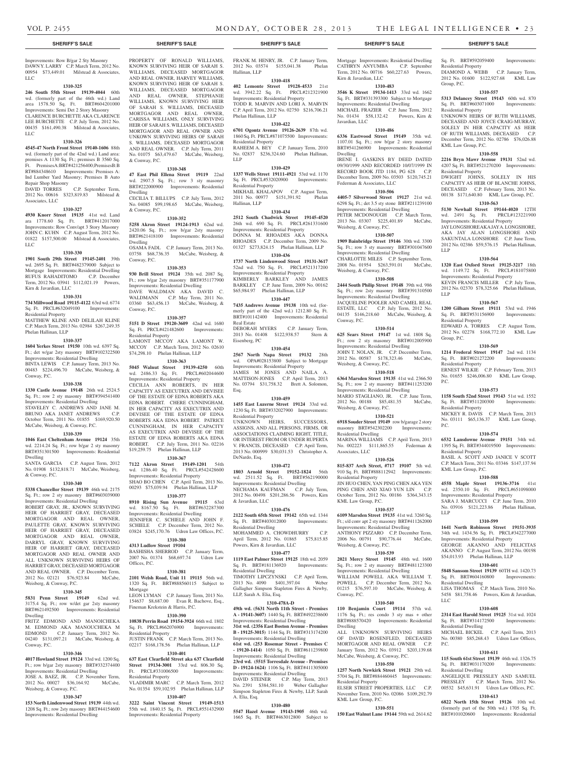#### Improvements: Row B/gar 2 Sty Masonry DAWN Y. LARRY C.P. March Term, 2012 No. 00954 \$73,449.01 Milstead & Associates, LLC

#### **1310-325**

**246 South 55th Street 19139-4044** 60th wd. (formerly part of the 46th wd.) Land area 1578.50 Sq. Ft. BRT#604201000 Improvements: Semi Det 2 Story Masonry CLARENCE BURCHETTE AKA CLARENCE LEE BURCHETTE C.P. July Term, 2012 No. 00435 \$161,490.38 Milstead & Associates, LLC

#### **1310-326**

**4545-47 North Front Street 19140-1606** 88th wd. (formerly part of the 42nd wd.) Land area: premises A 1130 Sq. Ft.; premises B 3560 Sq. Ft. PremisesA:BRT#421256400;PremisesB:B RT#884348610 Improvements: Premises A: Ind Lumber Yard Masonry; Premises B Auto Repair Shop Masonry

DAVID TORRES C.P. September Term, 2012 No. 00616 \$323,819.83 Milstead & Associates, LLC

#### **1310-327**

**4930 Knorr Street 19135** 41st wd. Land ara 1778.60 Sq. Ft. BRT#412017000 Improvements: Row Conv/apt 3 Story Masonry JOHN C. KUHN C.P. August Term, 2012 No. 01822 \$157,500.00 Milstead & Associates, LLC

#### **1310-330**

**1901 South 29th Street 19145-2401** 39th wd. 2695 Sq. Ft. BRT#482379000 Subject to Mortgage Improvements: Residential Dwelling RUFUS RAHADITOMO C.P. December Term, 2012 No. 03941 \$112,021.19 Powers, Kirn & Javardian, LLC

#### **1310-331**

**734 Millwood Road 19115-4122** 63rd wd. 6774 Sq. Ft. PRCL#632049100 Improvements: Residential Property

MATTHEW KLINE AND DELILAH KLINE C.P. March Term, 2013 No. 02984 \$267,249.35 Phelan Hallinan, LLP

#### **1310-337**

**1604 Yerkes Street 19150** 10th wd. 6397 Sq. Ft.; det w/gar 2sty masonry BRT#102322500 Improvements: Residential Dwelling

BINTA LEWIS C.P. January Term, 2013 No. 00483 \$224,496.70 McCabe, Weisberg, & Conway, P.C.

# **1310-338**

**1330 Castle Avenue 19148** 26th wd. 2524.5 Sq. Ft.; row 2 sty masonry BRT#394541400 Improvements: Residential Dwelling STAVELEY C. ANDREWS AND JANE M. BRUNO AKA JANET ANDREWS C.P. October Term, 2011 No. 01855 \$169,920.50 McCabe, Weisberg, & Conway, P.C.

# **1310-339**

**1046 East Cheltenham Avenue 19124** 35th wd. 2214.24 Sq. Ft.; row b/gar 2 sty masonry BRT#351301500 Improvements: Residential Dwelling

SANTA GARCIA C.P. August Term, 2012 No. 01908 \$132,818.71 McCabe, Weisberg, & Conway, P.C.

#### **1310-340**

**5338 Chancellor Street 19139** 46th wd. 2175 Sq. Ft.; row 2 sty masonry BRT#603039000

Improvements: Residential Dwelling ROBERT GRAY, JR., KNOWN SURVIVING HEIR OF HARRIET GRAY, DECEASED MORTGAGOR AND REAL OWNER, PAULETTE GRAY, KNOWN SURVIVING HEIR OF HARRIET GRAY, DECEASED MORTGAGOR AND REAL OWNER, DARRYL GRAY, KNOWN SURVIVING HEIR OF HARRIET GRAY, DECEASED MORTGAGOR AND REAL OWNER AND ALL UNKNOWN SURVIVING HEIRS OF HARRIET GRAY, DECEASED MORTGAGOR AND REAL OWNER. C.P. December Term, 2012 No. 02121 \$76,923.84 McCabe, Weisberg, & Conway, P.C.

#### **1310-345**

**5831 Penn Street 19149** 62nd wd. 3175.4 Sq. Ft.; row w/det gar 2sty masonry BRT#621492500 Improvements: Residential Dwelling

FRITZ EDMOND AND MANOICHEKA M. EDMOND AKA MANOUCHEKA M EDMOND C.P. January Term, 2012 No. 04240 \$131,097.21 McCabe, Weisberg, & Conway, P.C.

#### **1310-346**

**4017 Howland Street 19124** 33rd wd. 1200 Sq. Ft.; row b/gar 2sty masonry BRT#332374400 Improvements: Residential Dwelling JOSE A. BAEZ, JR. C.P. November Term, 2012 No. 00027 \$36,164.92 McCabe, Weisberg, & Conway, P.C.

#### **1310-347**

**153 North Lindenwood Street 19139** 44th wd. 1208 Sq. Ft.; row 2sty masonry BRT#44154600 Improvements: Residential Dwelling

PROPERTY OF RONALD WILLIAMS, KNOWN SURVIVING HEIR OF SARAH S. WILLIAMS, DECEASED MORTGAGOR AND REAL OWNER, HARVEY WILLIAMS, KNOWN SURVIVING HEIR OF SARAH S. WILLIAMS, DECEASED MORTGAGOR AND REAL OWNER, STEPHANIE WILLIAMS, KNOWN SURVIVING HEIR OF SARAH S. WILLIAMS, DECEASED MORTGAGOR AND REAL OWNER, CARISSA WILLIAMS, ONLY SURVIVING HEIR OF SARAH S. WILLIAMS, DECEASED MORTGAGOR AND REAL OWNER AND UNKOWN SURVIVING HEIRS OF SARAH S. WILLIAMS, DECEASED MORTGAGOR AND REAL OWNER. C.P. July Term, 2011 No. 01075 \$63,479.67 McCabe, Weisberg, & Conway, P.C.

#### **1310-348**

**47 East Phil Ellena Street 19119** 22nd wd. 2907.5 Sq. Ft.; row 3 sty masonry BRT#222000900 Improvements: Residential Dwelling

CECILIA T. BILLUPS C.P. July Term, 2012 No. 04085 \$99,198.65 McCabe, Weisberg, & Conway, P.C.

#### **1310-352**

**5258 Akron Street 19124-1913** 62nd wd. 2420.06 Sq. Ft.; row b/gar 2sty masonry BRT#621418100 Improvements: Residential Dwelling OSAMA FADL C.P. January Term, 2013 No. 03758 \$68,736.35 McCabe, Weisberg, & Conway, P.C.

#### **1310-353**

**930 Brill Street 19124** 35th wd. 2087 Sq. Ft.; row b/gar 2sty masonry BRT#351177900 Improvements: Residential Dwelling DAVE WALDMAN AKA DAVID C. WALDMANN C.P. May Term, 2011 No. 03360 \$63,456.13 McCabe, Weisberg, & Conway, P.C.

# **1310-357**

**5151 D Street 19120-3609** 42nd wd. 1680 Sq. Ft. PRCL#421482600 Improvements: Residential Property

LAMONT MCCOY AKA LAMONT W. MCCOY C.P. March Term, 2012 No. 02610 \$74,298.10 Phelan Hallinan, LLP

# **1310-363**

**5045 Walnut Street 19139-4250** 60th wd. 2486.33 Sq. Ft. PRCL#602044600 Improvements: Residential Property CECILIA ANN ROBERTS, IN HER CAPACITY AS EXECUTRIX AND DEVISEE

OF THE ESTATE OF EDNA ROBERTS AKA EDNA ROBERT. CHERE CUNNINGHAM, IN HER CAPACITY AS EXECUTRIX AND DEVISEE OF THE ESTATE OF EDNA ROBERTS AKA EDNA ROBERT. PATRICE CUNNINGHAM, IN HER CAPACITY AS EXECUTRIX AND DEVISEE OF THE ESTATE OF EDNA ROBERTS AKA EDNA ROBERT. C.P. July Term, 2011 No. 02216 \$19,259.75 Phelan Hallinan, LLP

#### **1310-367**

**7122 Akron Street 19149-1201** 54th wd. 1286.40 Sq. Ft. PRCL#542428600 Improvements: Residential Property SHAO BO CHEN C.P. April Term, 2013 No. 00293 \$75,039.94 Phelan Hallinan, LLP

# **1310-377**

**8910 Rising Sun Avenue 19115** 63rd wd. 8167.50 Sq. Ft. BRT#632287300 Improvements: Residential Dwelling JENNIFER C. SCHIELE AND JOHN F. SCHIELE C.P. December Term, 2012 No. 03824 \$245,170.76 Udren Law Offices, P.C. **1310-380**

#### **4313 Ludlow Street 19104**

BASHISHA SHERROD C.P. January Term, 2007 No. 01374 \$68,697.74 Udren Law Offices, P.C.

#### **1310-381**

Fineman Krekstein & Harris, P.C. **1310-390 10838 Perrin Road 19154-3924** 66th wd. 1802 Sq. Ft. PRCL#662076900 Improvements:

Residential Property

Residential Property

**2101 Welsh Road, Unit 11 19115** 56th wd. 1320 Sq. Ft. BRT#888560115 Subject to Mortgage LEON LYMAN C.P. January Term, 2013 No. 154637 \$8,687.00 Evan R. Bachove, Esq.,

JUSTIN FRANK C.P. March Term, 2013 No. 02217 \$168,178.56 Phelan Hallinan, LLP **1310-401 637 East Clearfield Street aka 637 Clearfield Street 19134-3001** 33rd wd. 806.30 Sq. Ft. PRCL#331006500 Improvements:

VLADIMIR MARC C.P. March Term, 2012 No. 01354 \$59,102.95 Phelan Hallinan, LLP **1310-407 3222 Saint Vincent Street 19149-1513**  55th wd. 1840.15 Sq. Ft. PRCL#551432900 Improvements: Residential Property

#### **1310-478A-D**

**49th wd. (5631 North 11th Street - Premises A - 19141-3607)** 1440 Sq. Ft. BRT#492238600 Improvements: Residential Dwelling **31st wd. (2356 East Boston Avenue - Premises B - 19125-3015)** 1144 Sq. Ft. BRT#313174200 Improvements: Residential Dwelling **61st wd. (253 Rosemar Street - Premises C - 19120-1414)** 1050 Sq. Ft. BRT#611239800

Improvements: Residential Dwelling **23rd wd. (5515 Torresdale Avenue - Premises D - 19124-1624)** 1106 Sq. Ft. BRT#411305000

#### Improvements: Residential Dwelling DAVID STEINER C.P. May Term, 2013 No. 2391 \$384,581.10 Weber Gallagher

Simpson Stapleton Fires & Newby, LLP, Sarah A. Elia, Esq.

#### **1310-480**

**5547 Hazel Avenue 19143-1905** 46th wd. 1665 Sq. Ft. BRT#463012800 Subject to

#### **SHERIFF'S SALE SHERIFF'S SALE SHERIFF'S SALE SHERIFF'S SALE SHERIFF'S SALE**

FRANK M. HENRY, JR. C.P. January Term, 2012 No. 03574 \$155,041.38 Phelan

**1310-418 402 Lemonte Street 19128-4533** 21st wd. 3942.22 Sq. Ft. PRCL#212321900 Improvements: Residential Property TODD R. MARVIN AND LORI A. MARVIN C.P. April Term, 2012 No. 02750 \$216,706.21

**1310-422 6701 Ogontz Avenue 19126-2639** 87th wd. 1860 Sq. Ft. PRCL#871075500 Improvements:

RAHEEM A. BEY C.P. January Term, 2010 No. 02837 \$236,324.60 Phelan Hallinan,

**1310-429 1337 Wells Street 19111-4921** 53rd wd. 1170 Sq. Ft. PRCL#532020900 Improvements:

MIKHAIL KHALAPOV C.P. August Term, 2011 No. 00977 \$151,391.92 Phelan

**1310-434 2512 South Chadwick Street 19145-4520**  26th wd. 690 Sq. Ft. PRCL#261331600 Improvements: Residential Property DONNA M. RHOADES AKA DONNA RHOADES C.P. December Term, 2009 No. 01327 \$273,824.15 Phelan Hallinan, LLP **1310-436 1737 North Lindenwood Street 19131-3617**  52nd wd. 750 Sq. Ft. PRCL#521317200 Improvements: Residential Property KIMBERLY BARKLEY AND JAMES BARKLEY C.P. June Term, 2009 No. 00162 \$65,984.97 Phelan Hallinan, LLP **1310-447 7435 Andrews Avenue 19138** 10th wd. (formerly part of the 42nd wd.) 1212.80 Sq. Ft. BRT#101142400 Improvements: Residential

DEBORAH MYERS C.P. January Term, 2013 No. 01408 \$122,938.57 Stern &

**1310-454 2567 North Napa Street 19132** 28th wd. OPA#028153800 Subject to Mortgage Improvements: Residential Property JAMES M JONES AND NAILA A. MATTISON-JONES C.P. April Term, 2013 No. 03794 \$31,758.32 Brett A. Solomon,

**1310-459 1455 East Luzerne Street 19124** 33rd wd. 1230 Sq. Ft. BRT#332027900 Improvements:

UNKNOWN HEIRS, SUCCESSORS, ASSIGNS, AND ALL PERSONS, FIRMS, OR ASSOCIATIONS CLAIMING RIGHT, TITLE, OR INTEREST FROM OR UNDER RUPERTA V. FRANCIS, DECEASED C.P. April Term, 2013 No. 000999 \$30,031.53 Christopher A.

**1310-472 1803 Arnold Street 19152-1824** 56th wd. 2511.52 Sq. Ft. BRT#562190000 Improvements: Residential Dwelling NECHAMA KAUFMAN C.P. July Term, 2012 No. 00498 \$201,286.56 Powers, Kirn

**1310-476 2122 South 65th Street 19142** 65th wd. 1344 Sq. Ft. BRT#403012000 Improvements:

MOHAMMED A. CHOWDHURRY C.P. April Term, 2012 No. 01865 \$75,815.85

**1310-477 1119 East Palmer Street 19125** 18th wd. 2059 Sq. Ft. BRT#181136920 Improvements:

TIMOTHY LIPCZYNSKI C.P. April Term, 2013 No. 4090 \$401,397.04 Weber Gallagher Simpson Stapleton Fires & Newby,

Hallinan, LLP

Phelan Hallinan, LLP

Residential Property

Residential Property

Hallinan, LLP

Real Estate

Esq.

Eisenberg, PC

Residential Property

DeNardo, Esq.

& Javardian, LLC

Residential Dwelling

Residential Dwelling

LLP, Sarah A. Elia, Esq.

Powers, Kirn & Javardian, LLC

LLP

Mortgage Improvements: Residential Dwelling CATHRYN ANYUMBA C.P. September Term, 2012 No. 00716 \$60,227.63 Powers, Kirn & Javardian, LLC

# **1310-483**

**3546 K Street 19134-1413** 33rd wd. 1662 Sq. Ft. BRT#331393300 Subject to Mortgage Improvements: Residential Dwelling MICHAEL FRAZIER C.P. June Term, 2012 No. 01434 \$58,132.42 Powers, Kirn & Javardian, LLC

#### **1310-486**

**6336 Eastwood Street 19149** 35th wd. 1107.01 Sq. Ft.; row b/gar 2 story masonry BRT#541266900 Improvements: Residential Dwelling

IRENE I. GASKINS BY DEED DATED 09/30/1999 AND RECORDED 10/07/1999 IN RECORD BOOK JTD 1184, PG 628 C.P. December Term, 2009 No. 03503 \$120,745.21 Federman & Associates, LLC

#### **1310-506**

**4405-7 Silverwood Street 19127** 21st wd. 6298 Sq. Ft.; det 3.5 sty stone BRT#211239100 Improvements: Residential Dwelling PETER MCDONOUGH C.P. March Term, 2013 No. 03307 \$225,401.89 McCabe, Weisberg, & Conway, P.C.

# **1310-507**

**1909 Bainbridge Street 19146** 30th wd. 3300 Sq. Ft.; row 3 sty masonry BRT#301047600 Improvements: Residential Dwelling CHARLOTTE MILES C.P. September Term, 2008 No. 01954 \$263,591.01 McCabe, Weisberg, & Conway, P.C.

#### **1310-508**

**2444 South Philip Street 19148** 39th wd. 986 Sq. Ft.; row 2sty masonry BRT#391310500 Improvements: Residential Dwelling JACQUELINE POOLER AND CAMEL REAL ESTATE, LLC C.P. July Term, 2012 No. 04135 \$146,218.60 McCabe, Weisberg, & Conway, P.C.

#### **1310-514 625 Sears Street 19147** 1st wd. 1808 Sq.

Ft.; row 2 sty masonry BRT#012005900 Improvements: Residential Dwelling JOHN T. NOLAN, JR. C.P. December Term 2012 No. 00587 \$178,323.46 McCabe, Weisberg, & Conway, P.C. **1310-518**

# **6364 Marsden Street 19135** 41st wd. 2366.50

Sq. Ft.; row 2 sty masonry BRT#411253200 Improvements: Residential Dwelling MARIO STAGLIANO, JR. C.P. June Term, 2012 No. 00188 \$85,481.35 McCabe, Weisberg, & Conway, P.C.

# **1310-521**

**6918 Souder Street 19149** row b/garage 2 story masonry BRT#542302200 Improvements: Residential Dwelling MARINA WILLIAMS C.P. April Term, 2013

No. 002223 \$111,865.55 Federman & Associates, LLC **1310-526**

**815-837 Arch Street, #717 19107** 5th wd. 910 Sq. Ft. BRT#888112942 Improvements: Residential Property JIN HUO CHEN, YAN PING CHEN AKA YEN PING CHEN AND XIAO YUN LIN C.P. October Term, 2012 No. 00186 \$364,343.15 KML Law Group, P.C.

#### **1310-537**

**6109 Marsden Street 19135** 41st wd. 3260 Sq. Ft.; s/d conv apt 2 sty masonry BRT#411262000 Improvements: Residential Dwelling ANTHONY PIZZARO C.P. December Term, 2006 No. 00791 \$90,776.44 McCabe, Weisberg, & Conway, P.C.

# **1310-539**

**2021 Mercy Street 19145** 48th wd. 1600 Sq. Ft.; row 2 sty masonry BRT#481123300 Improvements: Residential Dwelling WILLIAM POWELL AKA WILLIAM T. POWELL C.P. December Term, 2012 No. 01215 \$76,597.10 McCabe, Weisberg, & Conway, P.C.

#### **1310-540**

**110 Benjamin Court 19114** 57th wd. 1176 Sq. Ft.; res condo 3 sty mas + other BRT#888570420 Improvements: Residential Dwelling

ALL UNKNOWN SURVIVING HEIRS OF DAVID ROSENFLED, DECEASED MORTGAGOR AND REAL OWNER C.P. January Term, 2012 No. 03912 \$203,139.68 McCabe, Weisberg, & Conway, P.C.

# **1310-550**

**1257 North Newkirk Street 19121** 29th wd. 5704 Sq. Ft. BRT#884460445 Improvements: Residential Property ELSER STREET PROPERTIES, LLC C.P. November Term, 2010 No. 02086 \$109,292.79 KML Law Group, P.C.

**1310-551 150 East Walnut Lane 19144** 59th wd. 2614.62

Sq. Ft. BRT#592059400 Improvements: Residential Property DIAMOND A. WEBB C.P. January Term, 2012 No. 01600 \$122,927.68 KML Law Group, P.C.

### **1310-557**

Residential Property

LLP

LLP

Residential Property

Residential Property

Residential Property

Residential Property

KML Law Group, P.C.

Residential Dwelling

Residential Dwelling

Residential Dwelling

Group, P.C.

P.C.

P.C.

LLP

LLC

P.C.

**5313 Delancey Street 19143** 60th wd. 870 Sq. Ft. BRT#603071000 Improvements: Residential Property

UNKNOWN HEIRS OF RUTH WILLIAMS, DECEASED AND JOYCE CRAIG-MURRAY, SOLELY IN HER CAPACITY AS HEIR OF RUTH WILLIAMS, DECEASED C.P. December Term, 2012 No. 02786 \$76,026.88 KML Law Group, P.C. **1310-558**

**2216 Bryn Mawr Avenue 19131** 52nd wd. 4207 Sq. Ft. BRT#521270200 Improvements:

DWIGHT JOHNS, SOLELY IN HIS CAPACITY AS HEIR OF BLANCHE JOHNS, DECEASED C.P. February Term, 2013 No. 00138 \$171,640.80 KML Law Group, P.C. **1310-563 5130 Newhall Street 19144-4020** 12TH wd. 2491 Sq. Ft. PRCL#123221900 Improvements: Residential Property JAY LONGSHORE AKA JAY A. LONGSHORE, AKA JAY ALAN LONGSHORE AND SAKUNTALA LONSHORE C.P. June Term, 2012 No. 02386 \$59,576.15 Phelan Hallinan,

**1310-564 1320 East Oxford Street 19125-3217** 18th wd. 1149.72 Sq. Ft. PRCL#181075800 Improvements: Residential Property KEVIN FRANCIS MILLER C.P. July Term, 2012 No. 02370 \$78,325.66 Phelan Hallinan,

**1310-567 1200 Gilham Street 19111** 53rd wd. 1946 Sq. Ft. BRT#531156900 Improvements:

EDWARD A. TORRES C.P. August Term, 2012 No. 02278 \$168,772.10 KML Law

**1310-569 1214 Frederal Street 19147** 2nd wd. 1134 Sq. Ft. BRT#021272200 Improvements:

ERNEST WILKIE C.P. February Term, 2013 No. 01655 \$246,006.80 KML Law Group,

**1310-573 1158 South 52nd Street 19143** 51st wd. 1552 Sq. Ft. BRT#511200300 Improvements:

MICKEY R. DAVIS C.P. March Term, 2013 No. 03111 \$65,136.37 KML Law Group,

**1310-574 6532 Lansdowne Avenue 19151** 34th wd. 1395 Sq. Ft. BRT#344019500 Improvements:

BASIL A. SCOTT AND JANICE V SCOTT C.P. March Term, 2011 No. 03346 \$147,137.94

**1310-588 4558 Maple Street 19136-3716** 41st wd. 2350.10 Sq. Ft. PRCL#651098000 Improvements: Residential Property SARA J. MARCUCCI C.P. June Term, 2010 No. 03916 \$121,223.86 Phelan Hallinan,

**1310-599 1641 North Robinson Street 19151-3935**  34th wd. 1434.56 Sq. Ft. PRCL#342277000 Improvements: Residential Property GEORGE AKANNO AND FELICITAS AKANNO C.P. August Term, 2012 No. 00198 \$54,013.93 Phelan Hallinan, LLP **1310-601 5848 Sansom Street 19139** 60TH wd. 1420.73 Sq. Ft. BRT#604160800 Improvements:

LISA THOMAS C.P. March Term, 2010 No. 5458 \$81,758.46 Powers, Kirn & Javardian,

**1310-608 2314 East Harold Street 19125** 31st wd. 1024 Sq. Ft. BRT#314172500 Improvements:

MICHAEL BICKEL C.P. April Term, 2013 No. 00380 \$85,268.43 Udren Law Offices

**1310-611 115 South 61st Street 19139** 46th wd. 1326.75 Sq. Ft. BRT#031170200 Improvements:

ANGELIQUE PRESSLEY AND SAMUEL PRESSLEY C.P. March Term, 2012 No. 00532 \$45,631.91 Udren Law Offices, P.C. **1310-613 6822 North 15th Street 19126** 10th wd. (formerly part of the 50th wd.) 1705 Sq. Ft. BRT#101020600 Improvements: Residential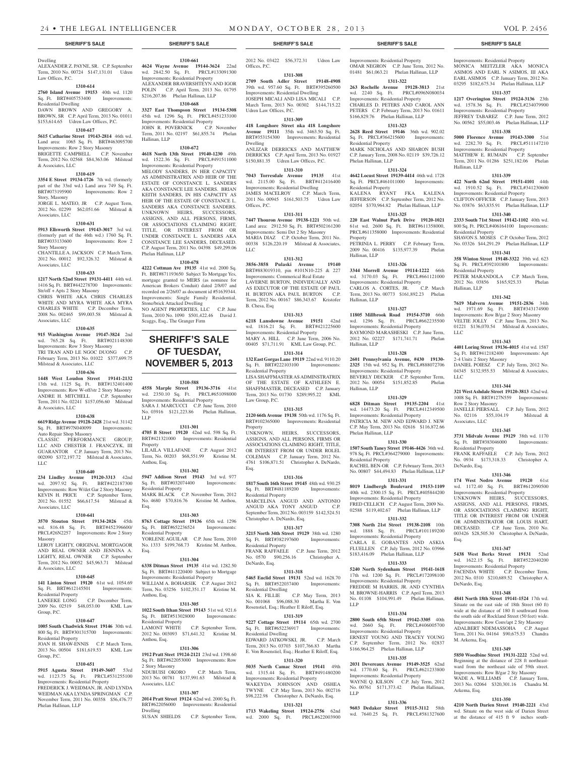#### Dwelling ALEXANDER Z. PAYNE, SR. C.P. September **4624 Wayne Avenue 19144-3624** 22nd Term, 2010 No. 00724 \$147,131.01 Udren Law Offices, P.C.

#### **1310-614**

**2760 Island Avenue 19153** 40th wd. 1120 Sq. Ft. BRT#405753400 Improvements: Residential Dwelling

DAWN BROWN AND GREGORY A. BROWN, SR C.P. April Term, 2013 No. 01011 \$153,614.65 Udren Law Offices, P.C.

## **1310-617**

**5615 Catharine Street 19143-2814** 46th wd. Land area: 1065 Sq. Ft. BRT#463095700 Improvements: Row 2 Story Masonry BRIGETTE CAMPBELL C.P. November Term, 2012 No. 02568 \$84,363.06 Milstead & Associates, LLC

#### **1310-619**

**3354 E Street 19134-1726** 7th wd. (formerly part of the 33rd wd.) Land area 749 Sq. Ft.<br>BRT#073195900 Improvements: Row 2 Improvements: Row 2 Story, Masonry

JORGE L. MATEO, JR C.P. August Term, 2012 No. 02299 \$62,051.66 Milstead & Associates, LLC

#### **1310-631**

**5913 Ellsworth Street 19143-3017** 3rd wd. (formerly part of the 46th wd.) 1760 Sq. Ft. BRT#033133600 Improvements: Row 2 Story Masonry CHANTILLE A. JACKSON C.P. March Term,

2012 No. 00012 \$92,326.32 Milstead & Associates, LLC

# **1310-633**

**1217 North 52nd Street 19131-4411** 44th wd. 1416 Sq. Ft. BRT#442278700 Improvements: Str/off + Apts 2 Story Masonry

CHRIS WHITE AKA CHRIS CHARLES WHITE AND MYRA WHITE AKA MYRA CHARLES WHITE C.P. December Term, 2008 No. 002465 \$99,003.58 Milstead & Associates, LLC

#### **1310-635**

**915 Washington Avenue 19147-3824** 2nd wd. 765.28 Sq. Ft. BRT#021148300 Improvements: Row 3 Story Masonry TRI TRAN AND LE NGOC DUONG C.P. February Term, 2013 No. 01022 \$377,699.75 Milstead & Associates, LLC

#### **1310-636**

**1448 West Loudon Street 19141-2132**  13th wd. 1125 Sq. Ft. BRT#132401400 Improvements: Row W-off/str 2 Story Masonry ANDRE H. MITCHELL C.P. September Term, 2011 No. 02241 \$157,056.60 Milstead & Associates, LLC

### **1310-638**

**6619 Ridge Avenue 19128-2428** 21st wd. 31142 Sq. Ft. BRT#97N040099 Improvements: Auto Repair Shop Masonry

CLASSIC PERFORMANCE GROUP, LLC AND CHESTER J. FRANCZYK, III GUARANTOR C.P. January Term, 2013 No. 002090 \$372,197.72 Milstead & Associates, LLC

#### **1310-640**

**234 Lindley Avenue 19120-3313** 42nd wd. 2097.92 Sq. Ft. BRT#422187300 Improvements: Row W/det Gar 2 Story Masonry KEVIN H. PRICE C.P. September Term, 2012 No. 01552 \$66,617.54 Milstead & Associates, LLC

#### **1310-641**

**3570 Stouton Street 19134-2026** 45th wd. 816.48 Sq. Ft. BRT#452396600/ PRCL#26N2257 Improvements: Row 2 Story Masonry LEROY LIGHTY, ORIGINAL MORTGAGOR

AND REAL OWNER AND JENNINA A. LIGHTY, REAL OWNER C.P. September Term, 2012 No. 00052 \$45,963.71 Milstead & Associates, LLC

#### **1310-645**

**141 Linton Street 19120** 61st wd. 1054.69 Sq. Ft. BRT#612145501 Improvements: Residential Property LANEEKE LONG C.P. December Term, 2009 No. 02519 \$48,053.00 KML Law

Group, P.C. **1310-647**

#### **1005 South Chadwick Street 19146** 30th wd. 800 Sq. Ft. BRT#301315700 Improvements: Residential Property

JOAN H. SHAW-ENNIS C.P. March Term, 2013 No. 00504 \$181,619.53 KML Law Group, P.C.

#### **1310-651**

**5915 Agusta Street 19149-3607** 53rd wd. 1123.75 Sq. Ft. PRCL#531255100 Improvements: Residential Property FREDERICK J. WEIDMAN, JR. AND LYNDA

WEIDMAN AKA LYNDA SPRINGMAN C.P. November Term, 2011 No. 00358 \$56,476.77 Phelan Hallinan, LLP

wd. 2842.50 Sq. Ft. PRCL#133091300 Improvements: Residential Property ALEXANDER BRAVERSHTEYN AND IGOR POLIN C.P. April Term, 2013 No. 01795 \$216,207.86 Phelan Hallinan, LLP

**1310-661**

**1310-668 3327 East Thompson Street 19134-5308**  45th wd. 1296 Sq. Ft. PRCL#451233100 Improvements: Residential Property JOHN R. POVERNICK C.P. November Term, 2011 No. 02197 \$61,855.74 Phelan Hallinan, LLP

#### **1310-672**

**4618 North 13th Street 19140-1230** 49th wd. 1522.36 Sq. Ft. PRCL#491511000 Improvements: Residential Property

MELODY SANDERS, IN HER CAPACITY AS ADMINISTRATRIX AND HEIR OF THE ESTATE OF CONSTANCE L. SANDERS AKA CONSTANCE LEE SANDERS. BRIAN KEITH SANDERS, IN HIS CAPACITY AS HEIR OF THE ESTATE OF CONSTANCE L. SANDERS AKA CONSTANCE SANDERS. UNKNOWN HEIRS, SUCCESSORS, ASSIGNS, AND ALL PERSONS, FIRMS, OR ASSOCIATIONS CLAIMING RIGHT, TITLE, OR INTEREST FROM OR UNDER CONSTANCE L. SANDERS AKA CONSTANCE LEE SANDERS, DECEASED. C.P. August Term, 2011 No. 04398 \$49,299.06 Phelan Hallinan, LLP

#### **1310-678**

**4222 Cottman Ave 19135** 41st wd. 2000 Sq. Ft. BRT#871193650 Subject To Mortgage Yes, mortgage granted to MERS (as nominee for American Brokers Conduit) dated 2/8/07 and recorded on 2/26/07 as document id #51639344. Improvements: Single Family Residential, Stone/brick Attacked Dwelling NO AGENT PROPERTIES, LLC C.P. June

# Term, 2010 No. 1090 \$501,422.46 David J. Scaggs, Esq., The Granger Firm

# **SHERIFF'S SALE OF TUESDAY, November 5, 2013**

# **1310-588**

**4558 Marple Street 19136-3716** 41st wd. 2350.10 Sq. Ft. PRCL#651098000 Improvements: Residential Property SARA J. MARCUCCI C.P. June Term, 2010 No. 03916 \$121,223.86 Phelan Hallinan, LLP

#### **1311-301**

**4705 B Street 19120** 42nd wd. 598 Sq. Ft. BRT#421321000 Improvements: Residential Property LILAILA VILLAFANE C.P. August 2012 Term, No. 00203 \$68,551.99 Kristine M. Anthou, Esq.

#### **1311-302**

**5947 Addison Street 19143** 3rd wd. 977 Sq. Ft. BRT#032074400 Improvements: Residential Property MARK BLACK C.P. November Term, 2012 No. 4680 \$70,816.76 Kristine M. Anthou, Esq.

#### **1311-303**

**8763 Cottage Street 19136** 65th wd. 1296 Sq. Ft. BRT#652236524 Improvements: Residential Property YORLENE AGUILAR C.P. June Term, 2010 No. 1333 \$199,768.73 Kristine M. Anthou, Esq.

# **1311-304**

**6338 Ditman Street 19135** 41st wd. 1282.50 Sq. Ft. BRT#411220400 Subject to Mortgage Improvements: Residential Property WILLIAM A. BOHARSIK C.P. August 2012 Term, No. 03256 \$102,351.17 Kristine M. Anthou, Esq.

#### **1311-305**

**1022 South Ithan Street 19143** 51st wd. 921.6 Sq. Ft. BRT#513028000 Improvements: Residential Property<br>LAMONT WHITE C.P. September Term, 2012 No. 003093 \$71,641.32 Kristine M. Anthou, Esq.

#### **1311-306**

**1912 Pratt Steet 19124-2121** 23rd wd. 1398.60 Sq. Ft. BRT#622053000 Improvements: Row 2 Story Masonry NDUBUISI OKORO C.P. March Term, 2013 No. 00781 \$137,991.63 Milstead & Associates, LLC

#### **1311-307**

**2014 Pratt Street 19124** 62nd wd. 2000 Sq. Ft. BRT#622056000 Improvements: Residential Dwelling SUSAN SHIELDS C.P. September Term,

2012 No. 03422 \$56,372.31 Udren Law

# Offices, P.C.

**1311-308 2709 South Adler Street 19148-4908**  39th wd. 957.60 Sq. Ft. BRT#395260500 Improvements: Residential Dwelling JOSEPH MICALI AND LISA MICALI C.P. March Term, 2013 No. 00302 \$144,715.22 Udren Law Offices, P.C.

### **1311-309**

**418 Longshore Street nka 418 Longshore Avenue 19111** 35th wd. 3463.50 Sq. Ft. BRT#353154300 Improvements: Residential Dwelling ANLIZAR DERRICKS AND MATTHEW

DERRICKS C.P. April Term, 2013 No. 01927 \$150,881.35 Udren Law Offices, P.C. **1311-310**

#### **7043 Torresdale Avenue 19135** 41st wd. 2115.00 Sq. Ft. BRT#412416400 wd. 2115.00 Sq. Ft. BRT#4<br>Improvements: Residential Dwelling JAMES MACELROY C.P. March Term, 2011 No. 00945 \$161,503.75 Udren Law Offices, P.C.

**1311-311**

**7447 Thouron Avenue 19138-1221** 50th wd. Land area: 2912.50 Sq. Ft. BRT#502161200 Improvements: Semi Det 2 Sty Masonry MARIA DIAZ C.P. October Term, 2011 No. 00338 \$126,220.19 Milstead & Associates,  $ILC$ 

### **1311-312**

**3856-3858 Pulaski Avenue 19140**  BRT#883019310, pin #101N10-225 & 227 Improvements: Commerical Real Estate LAVERNE BURTON, INDIVIDUALLY AND AS EXECUTOR OF THE ESTATE OF PAUL H. BURTON AKA PAUL BURTON C.P. Term, 2012 No. 00167 \$86,343.67 Kristofer B. Chesa, Esq

#### **1311-313 6218 Lansdowne Avenue 19151** 42nd

wd. 1816.21 Sq. Ft. BRT#421225600 Improvements: Residential Property MARY A. HILL C.P. June Term, 2006 No. 00405 \$71,711.91 KML Law Group, P.C.

**1311-314 132 East Gorgas Lane 19119** 22nd wd. 9110.20 Sq. Ft. BRT#222103100 Improvements: Residential Property LISA SHAFFMASTER AS ADMINSTRATRIX OF THE ESTATE OF KATHLEEN E.

SHAFFMASTER, DECEASED C.P. January Term, 2013 No. 01730 \$289,995.22 KML Law Group, P.C.

#### **1311-315 2120 66th Avenue 19138** 50th wd. 1176 Sq. Ft.

BRT#102365000 Improvements: Residential Property UNKNOWN, HEIRS, SUCCESSORS,

ASSIGNS, AND ALL PERSONS, FIRMS OR ASSOCIATIONS CLAIMING RIGHT, TITLE, OR INTEREST FROM OR UNDER ROLEL COLEMAN C.P. January Term, 2012 No. 4761 \$106,871.51 Christopher A. DeNardo, Esq.

#### **1311-316**

**1817 South 16th Street 19145** 48th wd. 930.25 Sq. Ft. BRT#481189200 Improvements: Residential Property MARCELINA ANGUD AND ANTONIO ANGUD AKA TONY ANGUD September Term, 2012 No. 003159 \$142,524.51 Christopher A. DeNardo, Esq.

#### **1311-317**

**3215 North 34th Street 19129** 38th wd. 1280 Sq. Ft. BRT#382197600 Improvements: Residential Property FRANK RAFFAELE C.P. June Term, 2012 No. 0570 \$90,256.16 Christopher A. DeNardo, Esq.

#### **1311-318**

**5465 Euclid Street 19131** 52nd wd. 1628.70 Sq. Ft. BRT#522037400 Improvements: Residential Dwelling SIA K. FILLIE C.P. May Term, 2013 No. 001068 \$96,088.30 Martha E. Von Rosenstiel, Esq.; Heather E Riloff, Esq.

# **1311-319**

**9227 Cottage Street 19114** 65th wd. 2700 Sq. Ft. BRT#652236917 Improvements: Residential Dwelling EDWARD JATKOWSKI, JR. C.P. March Term, 2013 No. 03703 \$107,766.83 Martha

# E. Von Rosenstiel, Esq.; Heather E Riloff, Esq. **1311-320**

**5035 North Camac Street 19141** 49th wd. 1315.44 Sq. Ft. BRT#491480200 Improvements: Residential Property WAKEYDA JOHNSON AND OSHEA TWYNE C.P. May Term, 2013 No. 002716 \$98,222.98 Christopher A. DeNardo, Esq.

# **1311-321**

**1713 Wakeling Street 19124-2756** 62nd wd. 2000 Sq. Ft. PRCL#622003900

#### **SHERIFF'S SALE SHERIFF'S SALE SHERIFF'S SALE SHERIFF'S SALE SHERIFF'S SALE**

Improvements: Residential Property OMAR NEGRON C.P. June Term, 2012 No. 01481 \$61,063.21 Phelan Hallinan, LLP

Improvements: Residential Property MONICA MEITZLER AKA MONICA ASIMOS AND EARL N ASIMOS, III AKA EARL ASIMOS C.P. January Term, 2012 No. 03295 \$182,675.34 Phelan Hallinan, LLP **1311-337 1217 Overington Street 19124-3136** 23th wd. 1578.36 Sq. Ft. PRCL#234079900 Improvements: Residential Property JEFFREY TABAREZ C.P. June Term, 2012 No. 00562 \$55,003.46 Phelan Hallinan, LLP **1311-338 5000 Florence Avenue 19143-3300** 51st wd. 2282.70 Sq. Ft. PRCL#511147210 Improvements: Residential Property MATTHEW E. RUMAIN C.P. September Term, 2011 No. 01286 \$251,182.06 Phelan

**1311-339 422 North 62nd Street 19151-4101** 44th wd. 1910.52 Sq. Ft. PRCL#341230600 Improvements: Residential Property CLIFTON OFFICER C.P. January Term, 2013 No. 03876 \$63,835.91 Phelan Hallinan, LLP **1311-340 2333 South 71st Street 19142-1102** 40th wd. 800 Sq. Ft. PRCL#406164100 Improvements:

SHAVON S. MOSES C.P. October Term, 2012 No. 03326 \$44,291.29 Phelan Hallinan, LLP **1311-341 358 Winton Street 19148-3322** 39th wd. 623 Sq. Ft. PRCL#392101800 Improvements:

PETER MARANDOLA C.P. March Term 2012 No. 03856 \$165,925.33 Phelan

**1311-342 7619 Malvern Avenue 19151-2836** 34th wd. 1971.69 Sq. Ft. BRT#343174900 Improvements: Row B/gar 2 Story Masonry VELTIE JOLLY C.P. June Term, 2013 No. 01221 \$136,070.54 Milstead & Associates,

**1311-343 4401 Loring Street 19136-4015** 41st wd. 1587 Sq. Ft. BRT#412182400 Improvements: Apt

DANIEL POIESZ C.P. July Term, 2012 No. 04345 \$132,955.53 Milstead & Associates,

**1311-344 321 West Ashdale Street 19120-3813** 42nd wd. 1008 Sq. Ft. BRT#127N559 Improvements:

JANELLE PIERSALL C.P. July Term, 2012 No. 02116 \$55,104.19 Milstead &

**1311-345 3731 Midvale Avenue 19129** 38th wd. 1170 Sq. Ft. BRT#383046000 Improvements:

FRANK RAFFAELE C.P. July Term, 2012 No. 0934 \$173,318.33 Christopher A.

**1311-346 174 West Nedro Avenue 19120** 61st wd. 1172.40 Sq. Ft. BRT#612090500 Improvements: Residential Property UNKNOWN HEIRS, SUCCESSORS, ASSIGNS, AND ALL PERSONS, FIRMS, OR ASSOCIATIONS CLAIMING RIGHT, TITLE OR INTEREST FROM OR UNDER OR ADMINISTRATOR OR LOUIS HART, DECEASED. C.P. June Term, 2010 No. 003426 \$28,505.30 Christopher A. DeNardo,

**1311-347 5438 West Berks Street 19131** 52nd wd. 1622.15 Sq. Ft. BRT#522040200 Improvements: Residential Property FACENDA WHITE C.P. December Term, 2012 No. 0310 \$210,689.52 Christopher A.

**1311-348 4841 North 18th Street 19141-1524** 17th wd. Situate on the east side of 18th Street (60 ft) wide at the distance of 180 ft southward from the south side of Rockland Street (50 feet) wide. Improvements: Row Conv/apt 2 Sty Masonry ADALBERT NDEMASSOHA C.P. August Term, 2011 No. 04164 \$90,675.53 Chandra

**1311-349 5850 Woodbine Street 19131-2222** 52nd wd. Beginning at the distance of 228 ft northeastward from the northeast side of 59th street. Improvements: Row B/gar 2 Sty Masonry WADE A. WILLIAMS C.P. January Term, 2013 No. 02064 \$320,301.16 Chandra M.

**1311-350 4210 North Darien Street 19140-2221** 43rd wd. Situate on the west side of Darien Street at the distance of 415 ft 9 inches south-

Hallinan, LLP

Residential Property

Residential Property

2-4 Units 2 Story Masonry

Row 2 Story Masonry

Associates, LLC

Residential Property

DeNardo, Esq.

Esq.

DeNardo, Esq.

M. Arkema, Esq.

Arkema, Esq.

Hallinan, LLP

LLC

LLC

#### **1311-322**

**263 Rochelle Avenue 19128-3813** 21st wd. 2240 Sq. Ft. PRCL#096N080034 Improvements: Residential Property CHARLES D. PETERS AND CAROL ANN PETERS C.P. February Term, 2013 No. 01611 \$166,829.76 Phelan Hallinan, LLP

### **1311-323**

**2628 Reed Street 19146** 36th wd. 902.02 Sq. Ft. PRCL#364215600 Improvements: Residential Property MARK NICHOLAS AND SHARON BUSH C.P. January Term, 2008 No. 02119 \$39,726.12

**4642 Locust Street 19139-4414** 46th wd. 1728 Sq. Ft. PRCL#461011000 Improvements:

KALENA RYANT FKA KALENA JEFFERSON C.P. September Term, 2012 No. 02054 \$370,964.82 Phelan Hallinan, LLP **1311-325 220 East Walnut Park Drive 19120-1021**  61st wd. 2600 Sq. Ft. BRT#611358000, PRCL#611358000 Improvements: Residential

PETRINIA L. PERRY C.P. February Term, 2009 No. 00416 \$135,977.39 Phelan

**1311-326 3344 Morrell Avenue 19114-1222** 66th wd. 3170.03 Sq. Ft. PRCL#661121000 Improvements: Residential Property CARLOS A. CORTES, JR. C.P. March Term, 2013 No. 00773 \$161,892.23 Phelan

**1311-327 11805 Millbrook Road 19154-3710** 66th wd. 1296 Sq. Ft. PRCL#662235500 Improvements: Residential Property RAYMOND MARASHESKI C.P. June Term, 2012 No. 02227 \$171,741.71 Phelan

**1311-328 2601 Pennsylvania Avenue, #430 19130- 2325** 15th wd. 952 Sq. Ft. PRCL#888072706 Improvements: Residential Property BEVERLY DECKER C.P. September Term,<br>2012 No. 00054 \$151,852.85 Phelan 2012 No. 00054 \$151,852.85

**1311-329 6828 Ditman Street 19135-2204** 41st wd. 14473.20 Sq. Ft. PRCL#412349500 Improvements: Residential Property PATRICIA M. NEW AND EDWARD J. NEW C.P. May Term, 2013 No. 02616 \$116,872.66

**1311-330 1507 South Taney Street 19146-4426** 36th wd. 978 Sq. Ft. PRCL#364279000 Improvements:

RACHEL BEN-OR C.P. February Term, 2013 No. 00807 \$44,494.83 Phelan Hallinan, LLP **1311-331 8019 Lindbergh Boulevard 19153-1109**  40th wd. 2300.15 Sq. Ft. PRCL#405844200 Improvements: Residential Property FRED CELLICH C.P. August Term, 2009 No. 02588 \$119,402.67 Phelan Hallinan, LLP **1311-332 7308 North 21st Street 19138-2108** 10th wd. 1888 Sq. Ft. PRCL#101189200 Improvements: Residential Property CARLA E. GOBANTES AND ASKIA FLUELLEN C.P. July Term, 2012 No. 03966 \$183,416.09 Phelan Hallinan, LLP **1311-333 5240 North Sydenham Street 19141-1618**  17th wd. 1200 Sq. Ft. PRCL#172098100 Improvements: Residential Property FREDDIE M HARRIS, JR. AND CYNTHIA M. BROWNE-HARRIS C.P. April Term, 2013 No. 01108 \$104,991.49 Phelan Hallinan,

**1311-334 2800 South 65th Street 19142-3305** 40th wd. 2660 Sq. Ft. PRCL#406005700 Improvements: Residential Property

ERNEST YOUNG AND TRACEY YOUNG C.P. September Term, 2012 No. 02837 \$166,964.25 Phelan Hallinan, LLP **1311-335 2031 Devereaux Avenue 19149-3525** 62nd wd. 1770.60 Sq. Ft. PRCL#621233800 Improvements: Residential Property WAYNE Q. KILSON C.P. July Term, 2012 No. 00761 \$171,373.42 Phelan Hallinan,

**1311-336 9603 Dedaker Street 19115-3112** 58th wd. 7640.25 Sq. Ft. PRCL#581327600

# **1311-324**

Phelan Hallinan, LLP

Residential Property

Property

Hallinan, LLP

Hallinan, LLP

Hallinan, LLP

Hallinan, LLP

Phelan Hallinan, LLP

Residential Property

LLP

LLP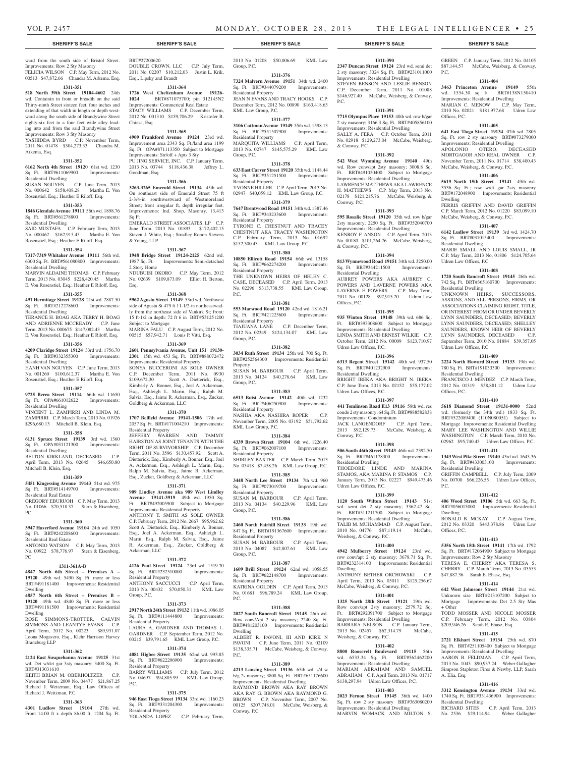P.C.

& Conway, P.C.

Conway, P.C.

& Conway, P.C.

Offices, P.C.

Residential Dwelling

Udren Law Offices, P.C.

Residential Dwelling

Udren Law Offices, P.C.

Conway, P.C.

Dwelling

Residential Dwelling

Udren Law Offices, P.C.

Improvements: Condominium

**1311-390 2347 Duncan Street 19124** 23rd wd. semi det 2 sty masonry; 3024 Sq. Ft. BRT#231011000 Improvements: Residential Dwelling STEVEN BENSON AND LESLIE BENSON C.P. December Term, 2011 No. 01088 \$146,927.40 McCabe, Weisberg, & Conway,

GREEN C.P. January Term, 2012 No. 04105 \$87,144.57 McCabe, Weisberg, & Conway,

**1311-404 3463 Princeton Avenue 19149** 55th wd. 1554.30 sq ft BRT#138N150410 Improvements: Residential Dwelling MARIAN C. MENOW C.P. May Term, 2010 No. 02021 \$181,977.68 Udren Law

**1311-405 641 East Tioga Street 19134** 07th wd. 2805 Sq. Ft. row 2 sty masonry BRT#073279000 Improvements: Residential Dwelling APOLONIO OTERO, DECEASED MORTGAGOR AND REAL OWNER C.P. November Term, 2011 No. 01714 \$38,400.43 McCabe, Weisberg, & Conway, P.C. **1311-406 5619 North 15th Street 19141** 49th wd. 3536 Sq. Ft.; row w/dt gar 2sty masonry BRT#172048900 Improvements: Residential

FERRIS GRIFFIN AND DAVID GRIFFIN C.P. March Term, 2012 No. 01220 \$83,099.10 McCabe, Weisberg, & Conway, P.C. **1311-407 6142 Ludlow Street 19139** 3rd wd. 1424.70 Sq. Ft. BRT#031015400 Improvements:

MARIE SMALL AND LOUIS SMALL, IR C.P. May Term, 2013 No. 01806 \$124,705.64

**1311-408 1720 South Bancroft Street 19145** 26th wd. 742 Sq. Ft. BRT#365160700 Improvements:

UNKNOWN HEIRS, SUCCESSORS, ASSIGNS, AND ALL PERSONS, FIRMS, OR ASSOCIATIONS CLAIMING RIGHT, TITLE, OR INTEREST FROM OR UNDER BEVERLY LYNN SAUNDERS, DECEASED; BEVERLY LYNN SAUNDERS, DECEASED; SHELLEY SAUNDERS, KNOWN HEIR OF BEVERLY LYNN SAUNDERS, DECEASED C.P. September Term, 2010 No. 01884 \$39,357.05

**1311-409 2224 North Howard Street 19133** 19th wd. 780 Sq. Ft. BRT#191033300 Improvements:

FRANCISCO J. MENDEZ C.P. March Term, 2012 No. 01319 \$58,881.12 Udren Law

**1311-410 5618 Diamond Street 19131-0000** 52nd wd. (formerly the 34th wd.) 1833 Sq. Ft. BRT#522089400 (110N080051) Subject to Mortgage Improvements: Residential Dwelling MARY LEE WASHINGTON AND WILLIE WASHINGTON C.P. March Term, 2010 No. 02962 \$95,740.45 Udren Law Offices, P.C. **1311-411 1343 West Pike Street 19140** 43rd wd. 1643.36 Sq. Ft. BRT#433003100 Improvements:

GRIFFIN CAMPBELL C.P. July Term, 2009 No. 00700 \$66,226.55 Udren Law Offices,

**1311-412 406 Wood Street 19106** 5th wd. 663 Sq. Ft. BRT#056015000 Improvements: Residential

RONALD B. MCKAY C.P. August Term, 2012 No. 03320 \$443,378.86 Udren Law

**1311-413 5356 North 15th Street 19141** 17th wd. 1792 Sq. Ft. BRT#172064900 Subject to Mortgage Improvements: Row 2 Sty Masonry TERESA E. CHERRY AKA TERESA S. CHERRY C.P. March Term, 2013 No. 03553

**1311-414 642 West Johnsons Street 19144** 21st wd. Unknown size BRT#213107200 Subject to Mortgage Improvements: Det 2.5 Sty Mas

TODD MOSSER AND NICOLE MOSSER C.P. February Term, 2012 No. 03804 \$209,946.26 Sarah E. Ehasz, Esq. **1311-415 2721 Elkhart Street 19134** 25th wd. 870 Sq. Ft. BRT#251105400 Subject to Mortgage Improvements: Residential Dwelling AARON B. FELDMAN C.P. April Term, 2013 No. 1043 \$90,937.24 Weber Gallagher Simpson Stapleton Fires & Newby, LLP, Sarah

**1311-416 3312 Kensington Avenue 19134** 33rd wd. 1740 Sq. Ft. BRT#331436900 Improvements:

RICHARD SITES C.P. April Term, 2013 No. 2536 \$29,114.94 Weber Gallagher

\$47,887.36 Sarah E. Ehasz, Esq.

P.C.

Offices, P.C.

Dwelling

Residential Dwelling

Udren Law Offices, P.C.

Residential Dwelling

Udren Law Offices, P.C.

Residential Dwelling

Residential Dwelling

P.C.

Dwelling

+ Other

A. Elia, Esq.

Residential Dwelling

Offices, P.C.

Offices, P.C.

**1311-391 7715 Olympus Place 19153** 40th wd. row b/gar 2 sty masonry; 3166.3 Sq. Ft. BRT#405856100 Improvements: Residential Dwelling SALLY A. FERA C.P. October Term, 2011 No. 02918 \$129,273.04 McCabe, Weisberg,

**1311-392 542 West Wyoming Avenue 19140** 49th wd. Row conv/apt 2sty masonry; 3008.8 Sq. Ft. BRT#491050400 Subject to Mortgage Improvements: Residential Dwelling LAWRENCE MATTHEWS AKA LAWRENCE H. MATTHEWS C.P. May Term, 2013 No. 02178 \$121,215.76 McCabe, Weisberg, &

**1311-393 595 Rosalie Street 19120** 35th wd. row b/gar 2sty masonry; 2250 Sq. Ft. BRT#352040700 Improvements: Residential Dwelling KENROY F. ANSON C.P. April Term, 2013 No. 00180 \$101,264.76 McCabe, Weisberg,

**1311-394 813 Wynnewood Road 19151** 34th wd. 3250.00 Sq. Ft. BRT#344211500 Improvements:

AUBREY POWERS AKA AUBREY C. POWERS AND LAVERNE POWERS AKA LAVERNE E POWERS C.P. May Term, 2011 No. 00128 \$97,915.20 Udren Law

**1311-395 935 Winton Street 19148** 39th wd. 686 Sq. Ft. BRT#393308600 Subject to Mortgage Improvements: Residential Dwelling LINDA SMITH AND ERNEST WILKIE C.P. October Term, 2012 No. 00009 \$123,710.97

**1311-396 6313 Regent Street 19142** 40th wd. 937.50 Sq. Ft. BRT#401232900 Improvements:

BRIGHT IBEKA AKA BRIGHT N. IBEKA C.P. June Term, 2013 No. 02152 \$55,177.02

**1311-397 441 Tomlinson Road E13 19116** 58th wd. res condo 2 sty masonry; 64 Sq. Ft. BRT#888582838

JACK LANGENDORF C.P. April Term, 2013 \$92,129.73 McCabe, Weisberg, &

**1311-398 506 South 46th Street 19143** 46th wd. 2392.50 Sq. Ft. BRT#461178300 Improvements:

THOEDORE LINDE AND MARINA STAMOS, AKA MARINA P. STAMOS C.P. January Term, 2013 No. 02227 \$949,473.46

**1311-399 1120 South Wilton Street 19143** 51st wd. semi det 2 sty masonry; 3362.47 Sq. Ft. BRT#511211700 Subject to Mortgage Improvements: Residential Dwelling TALIB M. MUHAMMAD C.P. August Term,<br>2010 No. 04776 \$87.119.14 McCabe. 2010 No. 04776 \$87,119.14 Weisberg, & Conway, P.C.

**1311-400 4942 Mulberry Street 19124** 23rd wd. row conv/apt 2 sty masonry; 3678.71 Sq. Ft. BRT#232314100 Improvements: Residential

ANTHONY BETHER ORCHOWSKI C.P. April Term, 2013 No. 05011 \$125,256.67 McCabe, Weisberg, & Conway, P.C. **1311-401 1325 North 28th Street 19121** 29th wd. Row conv/apt 2sty masonry; 2579.72 Sq. Ft. BRT#292091700 Subject to Mortgage Improvements: Residential Dwelling BARBARA NELSON C.P. January Term,

**1311-402 8800 Roosevelt Boulevard 19115** 56th wd. 6533.34 Sq. Ft. BRT#562462200 Improvements: Residential Dwelling MARIAM ABRAHAM AND SAMUEL ABRAHAM C.P. April Term, 2013 No. 01717 \$138,297.94 Udren Law Offices, P.C. **1311-403 2023 Fernon Street 19145** 36th wd. 1400 Sq. Ft. row 2 sty masonry BRT#363080200 Improvements: Residential Dwelling MARVIN WOMACK AND MILTON S.

2013 No. 02457 \$62,314.79 Weisberg, & Conway, P.C.

#### **SHERIFF'S SALE SHERIFF'S SALE SHERIFF'S SALE SHERIFF'S SALE SHERIFF'S SALE**

ward from the south side of Bristol Street. Improvements: Row 2 Sty Masonry FELICIA WILSON C.P. May Term, 2012 No. 00513 \$47,872.66 Chandra M. Arkema, Esq.

#### **1311-351**

**518 North 39th Street 19104-4602** 24th wd. Containin in front or breadth on the said Thirty-ninth Street sixteen feet, four inches and extending of that width in length or depth westward along the south side of Brandywine Street eighty-six feet to a four feet wide alley leading into and from the said Brandywine Street Improvements: Row 3 Sty Masonry

YASHIDDA BYRD C.P. November Term, 2011 No. 01478 \$304,273.33 Chandra M. Arkema, Esq.

#### **1311-352**

**6162 North 4th Street 19120** 61st wd. 1230 Sq. Ft. BRT#611069900 Improvements: Residential Dwelling

SUSAN NGUYEN C.P. June Term, 2013 No. 000642 \$158,408.28 Martha E. Von Rosenstiel, Esq.; Heather E Riloff, Esq.

#### **1311-353**

**1846 Glendale Avenue 19111** 56th wd. 1898.76 Sq. Ft. BRT#561278800 Improvements: Residential Dwelling SAID MUSTAFA C.P. February Term, 2013 No. 000462 \$162,915.45 Martha E. Von

# Rosenstiel, Esq.; Heather E Riloff, Esq. **1311-354**

**7317-7319 Whitaker Avenue 19111** 56th wd. 6300 Sq. Ft. BRT#561080800 Improvements:

Residential Dwelling MARVIN ALDAINE THOMAS C.P. February Term, 2013 No. 03045 \$228,420.45 Martha

E. Von Rosenstiel, Esq.; Heather E Riloff, Esq.

#### **1311-355**

**491 Hermitage Street 19128** 21st wd. 2887.50 Sq. Ft. BRT#212278600 Improvements: Residential Dwelling

TERANCE H. BOAG AKA TERRY H. BOAG AND ADRIENNE MCCREADY C.P. June Term, 2013 No. 000675 \$147,082.43 Martha E. Von Rosenstiel, Esq.; Heather E Riloff, Esq.

# **1311-356**

**4209 Claridge Street 19124** 33rd wd. 1756.70

#### Sq. Ft. BRT#332355300 Improvements: Residential Dwelling

HANH VAN NGUYEN C.P. June Term, 2013 No. 001260 \$100,612.37 Martha E. Von Rosenstiel, Esq.; Heather E Riloff, Esq.

# **1311-357**

**9725 Berea Street 19114** 66th wd. 11650 Sq. Ft. OPA#661012622 Improvements:

#### Residential Dwelling VINCENT L. ZAMPIRRI AND LINDA M. ZAMPIRRI C.P. March Term, 2013 No. 01926 \$296,680.13 Mitchell B. Klein, Esq.

**1311-358**

**6131 Spruce Street 19139** 3rd wd. 1360 Sq. Ft. OPA#031121300 Improvements: Residential Dwelling BELTON KIRKLAND, DECEASED C.P.

April Term, 2013 No. 02645 \$46,650.80 Mitchell B. Klein, Esq.

# **1311-359**

**5451 Kingessing Avenue 19143** 51st wd. 975 Sq. Ft. BRT#514149700 Improvements: Residential Real Estate GREGORY EBURUOH C.P. May Term, 2013

# No. 01066 \$70,518.37 Stern & Eisenberg,

#### **1311-360**

PC

**3947 Haverford Avenue 19104** 24th wd. 1050 Sq. Ft. BRT#242208600 Improvements: Residential Real Estate

ANTONIO WATSON C.P. May Term, 2013 No. 00922 \$78,776.97 Stern & Eisenberg, PC

# **1311-361A-B**

**4847 North 6th Street – Premises A – 19120** 49th wd. 5490 Sq. Ft. more or less BRT#491181400 Improvements: Residential Dwelling

#### **4857 North 6th Street – Premises B – 19120** 49th wd. 4840 Sq. Ft. more or less BRT#491181500 Improvements: Residential Dwelling

ROSE SIMMONS-TROTTER, CALVIN SIMMONS AND LEANTYE EVANS C.P. April Term, 2012 No. 00223 \$89,931.07 Leona Mogavero, Esq., Klehr Harrison Harvey Branzburg LLP

# **1311-362**

**2124 East Susquehanna Avenue 19125** 31st wd. Det w/det gar 3sty masonry; 3400 Sq. Ft. BRT#313031610

KEITH BRIAN M. OBERHOLTZER C.P. November Term, 2009 No. 04477 \$21,867.25 Richard J. Weitzman, Esq.; Law Offices of Richard J. Weitzman, P.C.

#### **1311-363**

**4301 Ludlow Street 19104** 27th wd. Front 14.00 ft x depth 86.00 ft, 1204 Sq. Ft. BRT#27200620

DOUBLE CROWN, LLC C.P. July Term, 2011 No. 02207 \$10,212,03 Justin L. Krik, Esq., Lipsky and Brandt

#### **1311-364 1726 West Cheltenham Avenue 19126-**

**1024** BRT#871075700; pin 312145N2 Improvements: Commerical Real Estate STACY WILLIAMS C.P. December Term, 2012 No. 001310 \$159,706.29 Kristofer B. Chiesa, Esq

#### **1311-365**

**4909 Frankford Avenue 19124** 23rd wd. Improvement area 2343 Sq. Ft./land area 1199 Sq. Ft. OPA#871113350 Subject to Mortgage Improvements: Str/off + Apts 3 Sty PU JING SERVICE, INC. C.P. January Term, 2013 No. 03744 \$118,436.38 Jeffrey L. Goodman, Esq.

#### **1311-366**

**3263-3265 Emerald Street 19134** 45th wd. On southeast side of Emerald Street 75 ft 2-3/4-in southwestward of Westmoreland Street; front irregular ft, depth irregular feet. Improvements: Ind. Shop, Masonry, 13,413 Sq Ft

EMERALD STREET ASSOCIATES, LP C.P. June Term, 2013 No. 01893 \$172,402.15 Steven J. White, Esq.; Stradley Ronon Stevens & Young, LLP

#### **1311-367**

**1948 Bridge Street 19124-2125** 62nd wd. 1987 Sq. Ft. Improvements: Semi-detached 2 Story Home NDUBUISI OKORO C.P. May Term, 2012 No. 02639 \$109,873.09 Elliot H. Berton, Esq.

#### **1311-368**

**5962 Agusta Street 19149** 53rd wd. Northwest side of Agusta St 479 ft 11-1/2-in northeastwadly from the northeast side of Vankirk St; front: 15 ft-1/2 in depth: 72 ft 6 in BRT#531251200 Subject to Mortgage MARINA FALU C.P. August Term, 2012 No. 00515 \$57,942.71 Louis P. Vitti, Esq.

#### **1311-369**

**2601 Pennsylvania Avenue, Unit 151 19130- 2301** 15th wd. 453 Sq. Ft. BRT#888072472 Improvements: Residential Property SONYA BUCCERONI AS SOLE OWNER C.P. December Term, 2011 No. 0930 \$109,672.30 Scott A. Dietterick, Esq., Kimberly A. Bonner, Esq., Joel A. Ackerman, Esq., Ashleigh L. Marin, Esq., Ralph M. Salvia, Esq., Jaime R. Ackerman, Esq., Zucker, Goldberg & Ackerman, LLC

#### **1311-370**

**1707 Belfield Avenue 19141-1506** 17th wd. 2057 Sq. Ft. BRT#171004210 Improvements: Residential Property

JEFFERY WARREN AND TAMMY HAIRSTON AS JOINT TENANTS WITH THE RIGHT OF SURVIVORSHIP C.P. December Term, 2011 No. 3596 \$130,457.92 Scott A. Dietterick, Esq., Kimberly A. Bonner, Esq., Joel A. Ackerman, Esq., Ashleigh L. Marin, Esq., Ralph M. Salvia, Esq., Jaime R. Ackerman, Esq., Zucker, Goldberg & Ackerman, LLC

#### **1311-371**

**909 Lindley Avenue aka 909 West Lindley Avenue 19141-3919** 49th wd. 1950 Sq. Ft. BRT#492005900 Subject to Mortgage Improvements: Residential Property ANTHONY T. SMITH AS SOLE OWNER C.P. February Term, 2012 No. 2667 \$95,962.62 Scott A. Dietterick, Esq., Kimberly A. Bonner, Esq., Joel A. Ackerman, Esq., Ashleigh L. Marin, Esq., Ralph M. Salvia, Esq., Jaime R. Ackerman, Esq., Zucker, Goldberg &

### **1311-372**

Ackerman, LLC

**4126 Paul Street 19124** 23rd wd. 1519.70 Sq. Ft. BRT#232510000 Improvements: Residential Property ANTHONY SACCUCCI C.P. April Term, 2013 No. 00432 \$70,050.31 KML Law Group, P.C.

#### **1311-373**

**2917 North 24th Street 19132** 11th wd. 1086.05 Sq. Ft. BRT#111444800 Improvements: Residential Property LAURA A. GARDNER AND THOMAS L.

# GARDNER C.P. September Term, 2012 No.

03215 \$39,791.65 KML Law Group, P.C. **1311-374 4081 Higbee Street 19135** 62nd wd. 993.85<br>Sq. Ft. BRT#622206900 Improvements: Sq. Ft. BRT#622206900 Residential Property BARRY WILLIAMS C.P. July Term, 2012

No. 04697 \$94,805.99 KML Law Group, P.C.

# **1311-375**

**946 East Tioga Street 19134** 33rd wd. 1160.23 Sq. Ft. BRT#331204300 Improvements: Residential Property YOLANDA LOPEZ C.P. February Term,

2013 No. 01208 \$50,006.69 KML Law Group, P.C.

#### **1311-376 7324 Malvern Avenue 19151** 34th wd. 2400

Sq. Ft. BRT#344079200 Improvements: Residential Property JEAN N EVANS AND TRACY HOOKS C.P. December Term, 2012 No. 00890 \$163,418.63 KML Law Group, P.C.

#### **1311-377**

**3106 Cottman Avenue 19149** 55th wd. 1598.13 Sq. Ft. BRT#551507900 Improvements: Residential Property MARQUITA WILLIAMS C.P. April Term,

2013 No. 02747 \$145,575.29 KML Law Group, P.C. **1311-378**

#### **633 East Carver Street 19120** 35th wd. 1148.44 Sq. Ft. BRT#351251500 Improvements: Residential Property YVONNE HILLER C.P. April Term, 2013 No.

02947 \$40,059.12 KML Law Group, P.C. **1311-379**

#### **7647 Brentwood Road 19151** 34th wd. 1387.46

Sq. Ft. BRT#343233600 Improvements: Residential Property TYRONE C. CHESTNUT AND TRACEY CHESTNUT AKA TRACEY WASHINGTON C.P. February Term, 2013 No. 01692 \$152,300.43 KML Law Group, P.C.

### **1311-380**

**10850 Ellicott Road 19154** 66th wd. 13158 Sq. Ft. BRT#662274200 Improvements: Residential Property THE UNKNOWN HEIRS OF HELEN C. CASE, DECEASED C.P. April Term, 2013 No. 02296 \$313,738.55 KML Law Group, P.C.

#### **1311-381**

**553 Marwood Road 19120** 42nd wd. 1816.21 Sq. Ft. BRT#421225600 Improvements: Residential Property<br>TIAJUANA LANE C.P. December Term, 2012 No. 02349 \$124,134.07 KML Law Group, P.C.

# **1311-382**

**3034 Ruth Street 19134** 25th wd. 700 Sq. Ft. BRT#252564300 Improvements: Residential Property SUSAN M. BARBOUR C.P. April Term, 2013 No. 04124 \$40,278.64 KML Law Group, P.C.

#### **1311-383**

**6513 Buist Avenue 19142** 40th wd. 1232 Sq. Ft. BRT#406250900 Improvements: Residential Property NASHIA AKA NASHIRA ROPER C.P. November Term, 2005 No. 03192 \$51,792.62 KML Law Group, P.C.

#### **1311-384**

**4339 Brown Street 19104** 6th wd. 1226.40 Sq. Ft. BRT#062007100 Improvements: Residential Property SHIRLEY BAXTER C.P. March Term, 2013 No. 03418 \$7,458.26 KML Law Group, P.C.

#### **1311-385**

**3448 North Lee Street 19134** 7th wd. 960 Sq. Ft. BRT#073019700 Improvements: Residential Property SUSAN M. BARBOUR C.P. April Term, 2013 No. 04134 \$40,229.96 KML Law Group, P.C.

#### **1311-386**

**2460 North Fairhill Street 19133** 19th wd. 847 Sq. Ft. BRT#191367600 Improvements: Residential Property SUSAN M. BARBOUR C.P. April Term, 2013 No. 04087 \$42,807.61 KML Law Group, P.C.

#### **1311-387**

**1609 Brill Street 19124** 62nd wd. 1058.55 Sq. Ft. BRT#622148700 Improvements: Residential Property KATRINA GOLDEN C.P. April Term, 2013 No. 01681 \$96,789.24 KML Law Group,

#### **1311-388**

**2027 South Bancroft Street 19145** 26th wd. Row conv/Apt 2 sty masonry; 2240 Sq. Ft. BRT#481203100 Improvements: Residential

ALBERT R. PAVONI, III AND KIRK N PAVONI C.P. June Term, 2011 No. 02109 \$138,335.71 McCabe, Weisberg, & Conway,

**1311-389 4213 Lansing Street 19136** 65th wd. s/d w b/g 2s masonry; 3808 Sq. Ft. BRT#651176600 Improvements: Residential Dwelling RAYMOND BROWN AKA RAY BROWN AKA RAY G. BROWN AKA RAYMOND G. BROWN C.P. November Term, 2007 No. 00125 \$207,748.01 McCabe, Weisberg, &

P.C.

Dwelling

Conway, P.C.

P.C.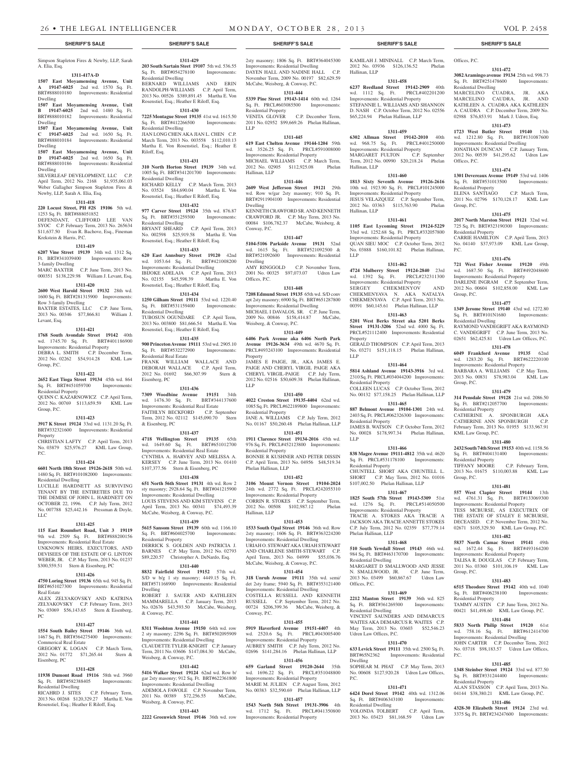Simpson Stapleton Fires & Newby, LLP, Sarah A. Elia, Esq.

#### **1311-417A-D**

**1507 East Moyamensing Avenue, Unit A 19147-6025** 2nd wd. 1570 Sq. Ft. BRT#888010180 Improvements: Residential Dwelling

**1507 East Moyamensing Avenue, Unit B 19147-6025** 2nd wd. 1480 Sq. Ft. BRT#888010182 Improvements: Residential Dwelling

**1507 East Moyamensing Avenue, Unit C 19147-6025** 2nd wd. 1650 Sq. Ft. BRT#888010184 Improvements: Residential Dwelling

#### **1507 East Moyamensing Avenue, Unit D 19147-6025** 2nd wd. 1650 Sq. Ft. BRT#888010186 Improvements: Residential

Dwelling SILVERLEAF DEVELOPMENT, LLC C.P. April Term, 2012 No. 2168 \$1,935,061.03 Weber Gallagher Simpson Stapleton Fires & Newby, LLP, Sarah A. Elia, Esq.

#### **1311-418**

**220 Locust Street, PH #2S 19106** 5th wd. 1253 Sq. Ft. BRT#888051852 DEFENDANT, CLIFFORD LEE VAN SYOC C.P. February Term, 2013 No. 265634 \$11,637.50 Evan R. Bachove, Esq., Fineman Krekstein & Harris, P.C.

#### **1311-419**

**6207 Vine Street 19139** 34th wd. 1312 Sq. Ft. BRT#341039400 Improvements: Row 3-family Dwelling

MARC BAXTER C.P. June Term, 2013 No. 000351 \$138,229.98 William J. Levant, Esq.

# **1311-420**

**2600 West Harold Street 19132** 28th wd. 1600 Sq. Ft. BRT#281315900 Improvements: Row 3-family Dwelling BAXTER ESTATES, LLC C.P. June Term, 2013 No. 00346 \$77,866.81 William J.

#### Levant, Esq. **1311-421**

**1768 South Avondale Street 19142** 40th wd. 1745.70 Sq. Ft. BRT#401186900

Improvements: Residential Property DEBRA L. SMITH C.P. December Term, 2012 No. 02262 \$54,914.28 KML Law Group, P.C.

#### **1311-422**

#### **2652 East Tioga Street 19134** 45th wd. 864 Sq. Ft. BRT#451059700 Improvements: Residential Property

QUINN C. KAZARNOWICZ C.P. April Term, 2012 No. 00769 \$113,659.59 KML Law Group, P.C.

# **1311-423**

**3917 K Street 19124** 33rd wd. 1131.20 Sq. Ft. BRT#332321600 Improvements: Residential Property CHRISTIAN LAFTY C.P. April Term, 2013 No. 03879 \$25,976.27 KML Law Group, P.C.

#### **1311-424**

**6601 North 18th Street 19126-2618** 50th wd. 1480 Sq. Ft. BRT#101082000 Improvements: Residential Dwelling

LUCILLE HARDNETT AS SURVIVING TENANT BY THE ENTIRETIES DUE TO THE DEMISE OF JOHN L. HARDNETT ON OCTOBER 22, 1996. C.P. July Term, 2012 No. 007788 \$25,442.16 Pressman & Doyle, LLC

#### **1311-425**

**115 East Roumfort Road, Unit 3 19119**  9th wd. 2509 Sq. Ft. BRT#888200156 Improvements: Residential Real Estate

UNKNOWN HEIRS, EXECUTORS, AND DEVISEES OF THE ESTATE OF G. LINTON WEBER, JR. C.P. May Term, 2013 No. 01237 \$300,559.51 Stern & Eisenberg, PC

### **1311-426**

**4750 Loring Street 19136** 65th wd. 945 Sq. Ft. BRT#651027300 Improvements: Residential Real Estate ALEX ZELYAKOVSKY AND KATRINA ZELYAKOVSKY C.P. February Term, 2013

No. 03069 \$56,143.65 Stern & Eisenberg, PC **1311-427**

**1554 South Bailey Street 19146** 36th wd. 1467 Sq. Ft. BRT#364275400 Improvements: Commerical Real Estate

GREGORY K. LOGAN C.P. March Term, 2012 No. 01772 \$71,265.44 Stern & Eisenberg, PC

#### **1311-428**

**11938 Dumont Road 19116** 58th wd. 3960<br>Sq. Ft. BRT#582388405 Improvements: Sq. Ft. BRT#582388405 Residential Dwelling

RICAHRD J. SITES C.P. February Term, 2013 No. 00268 \$120,329.27 Martha E. Von Rosenstiel, Esq.; Heather E Riloff, Esq.

#### **1311-429 203 South Sartain Steet 19107** 5th wd. 536.55 Sq. Ft. BRT#054278100 Improvements: Residential Dwelling

BERNARD WILLIAMS AND ERIN RANDOLPH-WILLIAMS C.P. April Term, 2013 No. 00526 \$389,891.45 Martha E. Von Rosenstiel, Esq.; Heather E Riloff, Esq.

# **1311-430**

**7225 Montague Street 19135** 41st wd. 1615.50 Sq. Ft. BRT#412266500 Improvements: Residential Dwelling JIAN LONG CHEN AKA JIAN L. CHEN C.P. March Term, 2013 No. 003558 \$112,010.13 Martha E. Von Rosenstiel, Esq.; Heather E Riloff, Esq.

#### **1311-431**

**310 North Horton Street 19139** 34th wd. 1005 Sq. Ft. BRT#341201700 Improvements: Residential Dwelling RICHARD KELLY C.P. March Term, 2013 No. 03524 \$84,690.04 Martha E. Von Rosenstiel, Esq.; Heather E Riloff, Esq.

#### **1311-432**

**977 Carver Street 19124** 35th wd. 876.87 Sq. Ft. BRT#351259300 Improvements: Residential Dwelling BRYANT SHEARD C.P. April Term, 2013 No. 002598 \$25,919.58 Martha E. Von Rosenstiel, Esq.; Heather E Riloff, Esq.

#### **1311-433 620 East Annsbury Street 19120** 42nd

wd. 1053.64 Sq. Ft. BRT#421008200 Improvements: Residential Dwelling IBIJOKE ADELAJA C.P. April Term, 2013 No. 02155 \$45,598.39 Martha E. Von Rosenstiel, Esq.; Heather E Riloff, Esq.

#### **1311-434**

**1250 Gilham Street 19111** 53rd wd. 1220.40 Sq. Ft. BRT#531159400 Improvements: Residential Dwelling TUBOSUN OGUNDARE C.P. April Term, 2013 No. 003800 \$81,666.54 Martha E. Von Rosenstiel, Esq.; Heather E Riloff, Esq.

# **1311-435**

**900 Princeton Avenue 19111** 53rd wd. 2905.10 Sq. Ft. BRT#532272900 Improvements: Residential Real Estate FRANK WILLIAM WALLACE AND DEBORAH WALLACE C.P. April Term, 2012 No. 01692 \$66,307.99 Stern & Eisenberg, PC

#### **1311-436**

**7309 Woodbine Avenue 19151** 34th wd. 1476.30 Sq. Ft. BRT#344137600 Improvements: Residential Real Estate FAITHLYN BECKFORD C.P. September Term, 2012 No. 02112 \$145,090.70 Stern & Eisenberg, PC

#### **1311-437**

**4718 Wellington Street 19135** 65th wd. 1649.60 Sq. Ft. BRT#651012700 Improvements: Residential Real Estate CYNTHIA A. HARVEY AND MELISSA A. KERSEY C.P. June Term, 2013 No. 01410 \$107,377.56 Stern & Eisenberg, PC

#### **1311-438**

**651 North 56th Street 19131** 4th wd. Row 2 sty masonry; 2928.64 Sq. Ft. BRT#041215900 Improvements: Residential Dwelling LOUIS STEVENS AND KIM STEVENS C.P. April Term, 2013 No. 00341 \$74,493.39 McCabe, Weisberg, & Conway, P.C.

### **1311-439**

**5615 Sansom Street 19139** 60th wd. 1166.10 Sq. Ft. BRT#604025700 Improvements: Residential Property DERRICK S. GOLDEN AND PATRICIA J. BARNES C.P. May Term, 2012 No. 02793 \$89,220.57 Christopher A. DeNardo, Esq.

### **1311-440**

**8832 Fairfield Street 19152** 57th wd. S/D w b/g 1 sty masonry; 4449.15 Sq. Ft. BRT#571168900 Improvements: Residential Dwelling ROBERT J. SAUER AND KATHLEEN MAMMARELLA C.P. January Term, 2013 No. 02676 \$43,593.50 McCabe, Weisberg, & Conway, P.C.

#### **1311-441**

**8311 Woolston Avenue 19150** 64th wd. row 2 sty masonry; 2296 Sq. Ft. BRT#502095909 Improvements: Residential Dwelling CLAUDETTE TYLER-KNIGHT C.P. January

Term, 2011 No. 03606 \$147,084.30 McCabe, Weisberg, & Conway, P.C. **1311-442**

**5416 Walker Street 19124** 62nd wd. Row b/ gar 2sty masonry; 912 Sq. Ft. BRT#622361800 Improvements: Residential Dwelling ADEMOLA FAWOLE C.P. November Term, 2011 No. 00389 \$72,256.55 McCabe,

# **1311-443**

Weisberg, & Conway, P.C.

**2222 Greenwich Street 19146** 36th wd. row

### **SHERIFF'S SALE SHERIFF'S SALE SHERIFF'S SALE SHERIFF'S SALE SHERIFF'S SALE**

KAMILAH J. MININALL C.P. March Term, 2012 No. 03936 \$126,136.52 Phelan Offices, P.C.

Offices, P.C.

Group, P.C.

P.C.

Group, P.C.

Group, P.C.

Residential Property

KML Law Group, P.C.

Residential Property

Group, P.C.

Group, P.C.

P.C.

Residential Property

Residential Property

Residential Dwelling

Residential Property

Residential Property

Residential Dwelling

**1311-472 3082 Aramingo avenue 19134** 25th wd. 998.73 Sq. Ft. BRT#251478600 Improvements:

MARCELINO CUADRA, JR. AKA MARCELINO CAUDRA, JR. AND KATHLEEN A. CUADRA AKA KATHLEEN A. CAUDRA C.P. December Term, 2009 No. 02988 \$76,853.91 Mark J. Udren, Esq. **1311-473 1723 West Butler Street 19140** 13th wd. 1212.80 Sq. Ft. BRT#131087600 Improvements: Residential Dwelling JONATHAN DUNCAN C.P. January Term, 2012 No. 00539 \$41,295.62 Udren Law

**1311-474 1301 Devereaux Avenue 19149** 53rd wd. 1406 Sq. Ft. BRT#531013500 Improvements:

ELENA SANTIAGO C.P. March Term, 2011 No. 02796 \$170,128.17 KML Law

**1311-475 2017 North Marston Street 19121** 32nd wd. 725 Sq. Ft. BRT#323190300 Improvements:

CARRIE HAMILTON C.P. April Term, 2013 No. 04140 \$37,973.09 KML Law Group,

**1311-476 721 West Fisher Avenue 19120** 49th wd. 1687.50 Sq. Ft. BRT#492048600 Improvements: Residential Property DARLENE INGRAM C.P. September Term, 2012 No. 00604 \$102,858.00 KML Law

**1311-477 1349 Jerome Street 19140** 43rd wd. 1272.80 Sq. Ft. BRT#101N1680 Improvements:

RAYMOND VANDEGRIFT AKA RAYMOND C. VANDEGRIFT C.P. June Term, 2013 No. 02651 \$62,425.81 Udren Law Offices, P.C. **1311-478 6049 Frankford Avenue 19135** 62nd wd. 1283.20 Sq. Ft. BRT#622220100 Improvements: Residential Property BARBARA A. WILLIAMS C.P. May Term, 2013 No. 00831 \$78,983.04 KML Law

**1311-479 314 Pensdale Street 19128** 21st wd. 2086.50 Sq. Ft. BRT#212057700 Improvements:

CATHERINE A. SPONBURGH AKA CATHERINE ANN SPONBURGH C.P. February Term, 2013 No. 01955 \$133,967.91

**1311-480 2432 South 74th Street 19153** 40th wd. 1158.56 Sq. Ft. BRT#404131400 Improvements:

TIFFANY MOORE C.P. February Term, 2013 No. 01675 \$110,003.88 KML Law

**1311-481 557 West Clapier Street 19144** 13th wd. 4761.31 Sq. Ft. BRT#133069300 Improvements: Residential Property TESS MCBURSE, AS EXECUTRIX OF THE ESTATE OF STALEY E MCBURSE, DECEASED. C.P. November Term, 2012 No. 02671 \$105,329.50 KML Law Group, P.C. **1311-482 5837 North Camac Street 19141** 49th wd. 1672.44 Sq. Ft. BRT#493164200 Improvements: Residential Property TALISA R. DOUGLAS C.P. February Term, 2011 No. 03360 \$101,106.19 KML Law

**1311-483 6515 Theodore Street 19142** 40th wd. 1040 Sq. Ft. BRT#406238100 Improvements:

TAMMY AUSTIN C.P. June Term, 2012 No. 00421 \$41,498.60 KML Law Group, P.C. **1311-484 5833 North Philip Street 19120** 61st wd. 758.16 Sq. Ft. BRT#612414700 Improvements: Residential Dwelling JOHN CARTER C.P. December Term, 2012 No. 03718 \$98,183.57 Udren Law Offices,

**1311-485 1348 Steinber Street 19124** 33rd wd. 877.50 Sq. Ft. BRT#331244400 Improvements:

ALAN STASSON C.P. April Term, 2013 No. 04144 \$38,380.21 KML Law Group, P.C. **1311-486 4328-30 Elizabeth Street 19124** 23rd wd. 3375 Sq. Ft. BRT#234247600 Improvements:

**1311-458 6237 Reedland Street 19142-2909** 40th<br>wd. 1112 Sq. Ft. PRCL#402201200

**1311-459 6302 Allman Street 19142-2010** 40th wd. 968.75 Sq. Ft. PRCL#401250000 Improvements: Residential Property MARGARET FULTON C.P. September Term, 2012 No. 00990 \$20,218.24 Phelan

**1311-460 1813 Sixty Seventh Avenue 19126-2616**  10th wd. 1923.90 Sq. Ft. PRCL#101245000 Improvements: Residential Property JESUS VELAZQUEZ C.P. September Term, 2012 No. 03363 \$115,763.90 Phelan

**1311-461 1105 East Lycoming Street 19124-5229**  33rd wd. 1252.68 Sq. Ft. PRCL#332057800 Improvements: Residential Property QUAN SIEU MOC C.P. October Term, 2012 No. 03888 \$160,101.82 Phelan Hallinan,

**1311-462 4724 Mulberry Street 19124-2840** 23rd wd. 1392 Sq. Ft. PRCL#232311300 Improvements: Residential Property SERGEY CHEKMENYOV

CHEKMENYAVA N. AKA NATALYA CHEKMENYAVA C.P. April Term, 2013 No. 00391 \$60,145.61 Phelan Hallinan, LLP **1311-463 5201 West Berks Street aka 5201 Berks Street 19131-3206** 52nd wd. 4000 Sq. Ft. PRCL#521112400 Improvements: Residential

GERALD THOMPSON C.P. April Term, 2013 No. 03271 \$151,118.15 Phelan Hallinan,

**1311-464 5814 Ashland Avenue 19143-3916** 3rd wd. 2310 Sq. Ft. PRCL#034044200 Improvements:

COLLEEN LUCAS C.P. October Term, 2012 No. 00132 \$77,158.25 Phelan Hallinan, LLP **1311-465 887 Belmont Avenue 19104-1301** 24th wd. 2403 Sq. Ft. PRCL#062326300 Improvements:

JAMES B. WATSON C.P. October Term, 2012 No. 00028 \$178,997.34 Phelan Hallinan,

**1311-466 838 Magee Avenue 19111-4812** 35th wd. 4620 Sq. Ft. PRCL#531178100 Improvements:

CHUNTELL SHORT AKA CHUNTELL L. SHORT C.P. May Term, 2012 No. 01016 \$107,002.50 Phelan Hallinan, LLP **1311-467 1825 South 57th Street 19143-5309** 51st wd. 1276 Sq. Ft. PRCL#514050500 Improvements: Residential Property TRACIE A. STOKES AKA TRACIE A JACKSON AKA TRACIE ANNETTE STOKES C.P. July Term, 2012 No. 02359 \$77,779.14

**1311-468 510 South Yewdall Street 19143** 46th wd. 984 Sq. Ft. BRT#463170700 Improvements:

MARGARET D SMALLWOOD AND JESSE N. SMALLWOOD, JR. C.P. June Term, 2013 No. 03499 \$60,867.67 Udren Law

**1311-469 2212 Manton Street 19139** 36th wd. 825 Sq. Ft. BRT#361269300 Improvements:

VINCENT SAUNDERS AND DEMARCUS WAITES AKA DEMARCUS R. WAITES C.P. May Term, 2013 No. 03603 \$52,546.23

**1311-470 633 Levick Street 19111** 35th wd. 2500 Sq. Ft. BRT#65N2362 Improvements: Residential

SOPHEAR M. PHAT C.P. May Term, 2013 No. 00608 \$127,920.28 Udren Law Offices,

**1311-471 6424 Dorel Street 19142** 40th wd. 1312.06<br>Sq. Ft. BRT#406343100 Improvements:

YOLONDA TOLBERT C.P. April Term, 2013 No. 03423 \$81,168.59 Udren Law

Hallinan, LLP

Hallinan, LLP

Hallinan, LLP

LLP

Property

Residential Property

Residential Property

Residential Property

Phelan Hallinan, LLP

Residential Dwelling

Residential Dwelling

Udren Law Offices, P.C.

Sq. Ft. BRT#406343100 Residential Dwelling

Offices, P.C.

Dwelling

P.C.

LLP

LLP

wd. 1112 Sq. Ft. Improvements: Residential Property STEFANNIE L. WILLIAMS AND SHANNON D. NASH C.P. October Term, 2012 No. 02556 \$65,224.94 Phelan Hallinan, LLP

2sty masonry; 1806 Sq. Ft. BRT#364045300 Improvements: Residential Dwelling DAYEN HALL AND NADINE HALL C.P. November Term, 2009 No. 00197 \$82,629.59 McCabe, Weisberg, & Conway, P.C.

# **1311-444**

**5339 Pine Street 19143-1414** 60th wd. 1264 Sq. Ft. PRCL#603085500 Improvements: Residential Property VENITA GLOVER C.P. December Term, 2011 No. 02952 \$99,669.26 Phelan Hallinan,

LLP

#### **1311-445 619 East Chelten Avenue 19144-1204** 59th wd. 3526.25 Sq. Ft. PRCL#591008000 Improvements: Residential Property MICHAEL WILLIAMS C.P. March Term, 2012 No. 02905 \$112,925.08 Phelan Hallinan, LLP

#### **1311-446**

**2609 West Jefferson Street 19121** 29th wd. Row w/gar 2sty masonry; 910 Sq. Ft. BRT#2911904100 Improvements: Residential Dwelling KENNETH CRAWFORD SR. AND KENNETH CRAWFORD JR. C.P. May Term, 2013 No. 00084 \$106,782.37 McCabe, Weisberg, &

# **1311-447**

Conway, P.C.

**5104-5106 Parkside Avenue 19131** 52nd wd. 1615 Sq. Ft. BRT#521092500 & BRT#521092600 Improvements: Residential Dwelling

AMY RINGGOLD C.P. November Term, 2001 No. 00325 \$97,073.07 Udren Law Offices, P.C.

### **1311-448**

**7208 Edmund Street 19135** 65th wd. S/D conv apt 2sty masonry; 6900 Sq. Ft. BRT#651287800 Improvements: Residential Dwelling MICHAEL I DAVALOS, SR. C.P. June Term, 2009 No. 00846 \$158,414.87 McCabe, Weisberg, & Conway, P.C.

#### **1311-449**

**6406 Park Avenue aka 6406 North Park Avenue 19126-3634** 49th wd. 4670 Sq. Ft. PRCL#493243100 Improvements: Residential Property

JAMES E PAIGE, JR., AKA JAMES E. PAIGE AND CHERYL VIRGIL PAIGE AKA CHERYL VIRGIL-PAIGE C.P. July Term, 2012 No. 02516 \$50,609.38 Phelan Hallinan, LLP

# **1311-450**

**4022 Creston Street 19135-4404** 62nd wd. 1085 Sq. Ft. PRCL#622189800 Improvements: Residential Property JANE A. WILLIAMS C.P. July Term, 2012 No. 01167 \$50,260.48 Phelan Hallinan, LLP

**1311-451 1911 Clarence Street 19134-2016** 45th wd. 976 Sq. Ft. PRCL#452123800 Improvements: Residential Property BONNIE R KUSHNER AND PETER DISSIN C.P. April Term, 2013 No. 04956 \$48,519.34 Phelan Hallinan, LLP

# **1311-452**

**3106 Mount Vernon Street 19104-2024**  24th wd. 2772 Sq. Ft. PRCL#242055310 Improvements: Residential Property CORRIN R. STOKES C.P. September Term, 2012 No. 00508 \$102,987.12 Phelan Hallinan, LLP

#### **1311-453**

**1533 South Opal Street 19146** 36th wd. Row 2sty masonry; 1606 Sq. Ft. BRT#363224200 Improvements: Residential Dwelling URIAH O. STEWART AKA URIAH STEWART AND CHARLENE SMITH-STEWART C.P. April Term, 2013 No. 04999 \$55,036.76 McCabe, Weisberg, & Conway, P.C.

# **1311-454**

**318 Unruh Avenue 19111** 35th wd. semi/ det 2sty frame; 5940 Sq. Ft. BRT#353121400 Improvements: Residential Dwelling COSTELLA RUSSELL AND KENNETH RUSSELL C.P. September Term, 2012 No. 00724 \$206,399.36 McCabe, Weisberg, & Conway, P.C.

#### **1311-455**

**5919 Haverford Avenue 19151-4407** 4th wd. 2520.6 Sq. Ft. PRCL#043005400 Improvements: Residential Property

AUBREY SMITH C.P. July Term, 2012 No. 02696 \$141,284.16 Phelan Hallinan, LLP **1311-456**

**659 Garland Street 19120-2644** 35th wd. 1696.22 Sq. Ft. PRCL#351048800 Improvements: Residential Property MARIE M. JULIEN C.P. August Term, 2012 No. 00383 \$32,590.69 Phelan Hallinan, LLP

**1311-457 1543 North 56th Street 19131-3906** 4th wd. 1712 Sq. Ft. PRCL#041350800 Improvements: Residential Property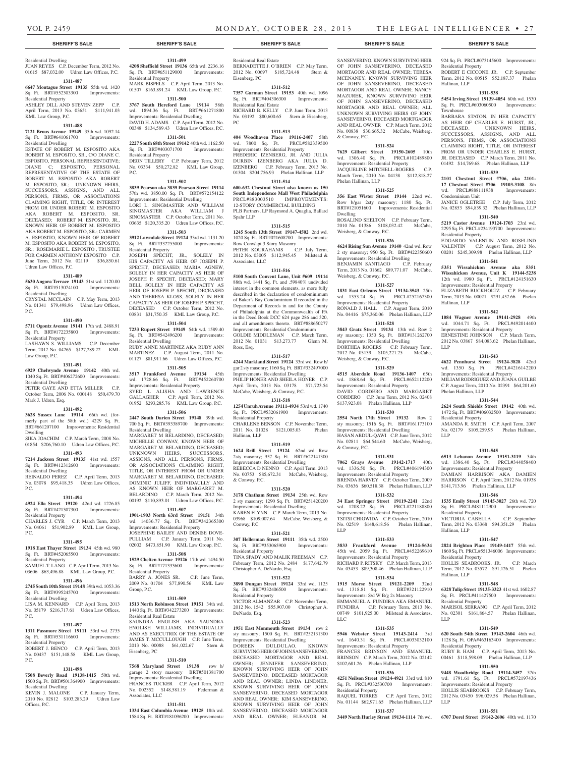& Conway, P.C.

Phelan Hallinan, LLP

Weisberg, & Conway, P.C.

Weisberg, & Conway, P.C.

Weisberg, & Conway, P.C.

& Conway, P.C.

LLP

LLC

Residential Property

Dwelling

SANSEVERINO, KNOWN SURVIVING HEIR OF JOHN SANSEVERINO, DECEASED MORTAGOR AND REAL OWNER; TERESA MCENANEY, KNOWN SURVIVING HEIR OF JOHN SANSEVERINO, DECEASED MORTAGOR AND REAL OWNER; NANCY MAZUREK, KNOWN SURVIVING HEIR OF JOHN SANSEVERINO, DECEASED MORTAGOR AND REAL OWNER; ALL UNKNOWN SURVIVING HEIRS OF JOHN SANSEVERINO, DECEASED MORTGAGOR AND REAL OWNER C.P. March Term, 2012 No. 00838 \$30,665.32 McCabe, Weisberg,

924 Sq. Ft. PRCL#073145600 Improvements:

ROBERT E CICCONE, JR. C.P. September Term, 2012 No. 00515 \$52,187.37 Phelan

**1311-538 5454 Irving Street 19139-4054** 60th wd. 1530 Sq. Ft. PRCL#603060500 Improvements:

BARBARA STATON, IN HER CAPACITY AS HEIR OF CHARLES E. HURST, JR., DECEASED. UNKNOWN HEIRS, SUCCESSORS, ASSIGNS, AND ALL PERSONS, FIRMS, OR ASSOCIATIONS CLAIMING RIGHT, TITLE, OR INTEREST FROM OR UNDER CHARLES E. HURST, JR. DECEASED C.P. March Term, 2011 No. 01492 \$14,769.68 Phelan Hallinan, LLP **1311-539 2101 Chestnut Street #706, aka 2101- 17 Chestnut Street #706 19103-3108** 8th wd. PRCL#888111938 Improvements:

JANICE OGLETREE C.P. July Term, 2012 No. 02853 \$94,839.32 Phelan Hallinan, LLP **1311-540 5219 Castor Avenue 19124-1703** 23rd wd. 2295 Sq. Ft. PRCL#234193700 Improvements:

EDGARDO VALENTIN AND ROSELIND VALENTIN C.P. August Term, 2012 No. 00201 \$245,309.98 Phelan Hallinan, LLP **1311-541 5351 Wissahickon Avenue aka 5351 Wissahickon Avenue, Unit K 19144-5238**  12th wd. 1980 Sq. Ft. PRCL#124151630 Improvements: Residential Property ELIZABETH BUCKHOLTZ C.P. February Term, 2013 No. 00021 \$291,457.66 Phelan

**1311-542 1084 Wagner Avenue 19141-2928** 49th wd. 1044.71 Sq. Ft. PRCL#492014400 Improvements: Residential Property ERNESTINE JOHNSON C.P. March Term, 2012 No. 03867 \$84,083.62 Phelan Hallinan,

**1311-543 4622 Pennhurst Street 19124-3828** 42nd wd. 1350 Sq. Ft. PRCL#4216142200 Improvements: Residential Property MILIAM RODRIGUEZ AND JUANA GUILBE C.P. August Term, 2010 No. 02391 \$64,201.60

**1311-544 2624 South Shields Street 19142** 40th wd. 1472 Sq. Ft. BRT#406032500 Improvements:

AMANDA R. SMITH C.P. April Term, 2007 No. 02179 \$105,259.95 Phelan Hallinan,

**1311-545 6513 Lebanon Avenue 19151-3119** 34th wd. 1386.40 Sq. Ft. PRCL#344058400 Improvements: Residential Property DAMIAN HARRISON AKA DAMIEN HARRISON C.P. April Term, 2012 No. 01938 \$141,713.96 Phelan Hallinan, LLP **1311-546 1535 Emily Street 19145-3027** 26th wd. 720 Sq. Ft. PRCL#481112900 Improvements:

VICTORIA CABELLA C.P. September Term, 2012 No. 03368 \$94,351.29 Phelan

**1311-547 2824 Brighton Place 19149-1417** 55th wd. 1860 Sq. Ft. PRCL#551346006 Improvements:

HOLLIS SEABROOKS, JR. C.P. March Term, 2012 No. 03572 \$91,126.51 Phelan

**1311-548 6328 Tulip Street 19135-3323** 41st wd. 1602.87 Sq. Ft. PRCL#411427500 Improvements:

MARISOL SERRANO C.P. April Term, 2012 No. 02301 \$161,864.57 Phelan Hallinan,

**1311-549 620 South 54th Street 19143-2604** 46th wd. 1128 Sq. Ft. OPA#463163400 Improvements:

RUBY B. HAM C.P. April Term, 2013 No. 00461 \$118,598.09 Phelan Hallinan, LLP **1311-550 9448 Woodbridge Road 19114-3457** 57th wd. 1791.61 Sq. Ft. PRCL#572197436 Improvements: Residential Property HOLLIS SEABROOKS C.P. February Term, 2012 No. 03450 \$96,029.58 Phelan Hallinan,

**1311-551 6707 Dorel Street 19142-2606** 40th wd. 1170

Residential Property

Hallinan, LLP

Townhouse

Condominium Unit

Residential Property

Hallinan, LLP

Phelan Hallinan, LLP

Residential Property

Residential Property

Residential Property

Residential Property

Residential Property

Hallinan, LLP

Hallinan, LLP

LLP

LLP

LLP

LLP

**1311-524 7629 Gilbert Street 19150-2605** 10th wd. 1306.40 Sq. Ft. PRCL#102489800 Improvements: Residential Property JACQUELINE MITCHELL-ROGERS C.P. March Term, 2010 No. 04138 \$112,818.27

**1311-525 356 East Wister Street 19144** 22nd wd. Row b/gar 2sty masonry; 1180 Sq. Ft. BRT#121051600 Improvements: Residential

ROSALIND SHELTON C.P. February Term, 2010 No. 01386 \$108,032.42 McCabe,

**1311-526 4624 Rising Sun Avenue 19140** 42nd wd. Row 2 sty masonry; 950 Sq. Ft. BRT#422350600 Improvements: Residential Dwelling BENJAMIN SANTIAGO C.P. February Term, 2013 No. 01662 \$89,771.07 McCabe,

**1311-527 1831 East Orleans Street 19134-3543** 25th wd. 1353.24 Sq. Ft. PRCL#252167300 Improvements: Residential Property RONALD J. HALL C.P. August Term, 2010 No. 04416 \$75,360.06 Phelan Hallinan, LLP **1311-528 3843 Gratz Street 19134** 13th wd. Row 2 sty masonry; 1350 Sq. Ft. BRT#131262700 Improvements: Residential Dwelling DORTHEA ROGERS C.P. February Term, 2012 No. 03139 \$105,221.25 McCabe,

**1311-529 4515 Aberdale Road 19136-1407** 65th wd. 1868.64 Sq. Ft. PRCL#652112200 Improvements: Residential Property DAVID CORDERO AND MARGARET CORDERO C.P. June Term, 2012 No. 02408 \$137,923.08 Phelan Hallinan, LLP **1311-530 2554 North 17th Street 19132** Row 2 sty masonry; 1516 Sq. Ft. BRT#161173100 Improvements: Residential Dwelling HASAN ABDUL-QAWI C.P. June Term, 2012 No. 02811 \$64,544.60 McCabe, Weisberg,

**1311-531 7062 Grays Avenue 19142-1717** 40th wd. 1336.50 Sq. Ft. PRCL#406194300 Improvements: Residential Property BRENDA HARVEY C.P. October Term, 2009 No. 03636 \$60,518.38 Phelan Hallinan, LLP **1311-532 34 East Springer Street 19119-2241** 22nd wd. 1208.22 Sq. Ft. PRCL#221188800 Improvements: Residential Property TSITSI CHIGWIDA C.P. October Term, 2010 No. 02519 \$148,618.56 Phelan Hallinan,

**1311-533 3833 Frankford Avenue 19124-5634**  45th wd. 2059 Sq. Ft. PRCL#452269610 Improvements: Residential Property RICHARD P. RITSKY C.P. March Term, 2013 No. 03453 \$89,308.46 Phelan Hallinan, LLP **1311-534 1915 Morse Street 19121-2209** 32nd wd. 1318.81 Sq. Ft. BRT#321122910 Improvements: S/d W B/g 2s Masonry EMMANUEL A. FUNDIRA AKA EMANUEL FUNDIRA C.P. February Term, 2013 No. 00749 \$101,925.00 Milstead & Associates,

**1311-535 5946 Webster Street 19143-2414** 3rd wd. 1640.31 Sq. Ft. PRCL#033032100 Improvements: Residential Property FRANCES BRINSON AND EMANUEL BRINSON C.P. March Term, 2012 No. 02142 \$102,681.26 Phelan Hallinan, LLP **1311-536 4251 Neilson Street 19124-4921** 33rd wd. 810 Sq. Ft. PRCL#332530700 Improvements:

RAQUEL TORRES C.P. April Term, 2012 No. 01144 \$62,971.65 Phelan Hallinan, LLP **1311-537 3449 North Hurley Street 19134-1114** 7th wd.

JUAN REYES C.P. December Term, 2012 No. 01615 \$87,032.00 Udren Law Offices, P.C.

#### **1311-487**

Residential Dwelling

#### **6647 Montague Street 19135** 55th wd. 1420

Sq. Ft. BRT#552303300 Improvements:

Residential Property ASHLEY DILL AND STEVEN ZEPP C.P.

April Term, 2013 No. 03651 \$111,941.03 KML Law Group, P.C.

# **1311-488**

**7121 Brous Avenue 19149** 35th wd. 1092.14 Sq. Ft. BRT#641061700 Improvements:

#### Residential Dwelling ESTATE OF ROBERT M. ESPOSITO AKA ROBERT M. ESPOSITO, SR., C/O DIANE C. ESPOSITO, PERSONAL REPRESENTATIVE; DIANE C; ESPOSITO, PERSONAL REPRESENTATIVE OF THE ESTATE OF ROBERT M. ESPOSITO AKA ROBERT M. ESPOSITO, SR.; UNKNOWN HEIRS, SUCCESSORS, ASSIGNS, AND ALL PERSONS, FIRMS, OR ASSOCIATIONS CLAIMING RIGHT, TITLE, OR INTEREST FROM OR UNDER ROBERT M. ESPOSITO AKA ROBERT M. ESPOSITO, SR. DECEASED; ROBERT M. ESPOSITO, JR., KNOWN HEIR OF ROBERT M. ESPOSITO AKA ROBERT M. ESPOSITO, SR.; CARMEN A. ESPOSITO, KNOWN HEIR OF ROBERT M. ESPOSITO AKA ROBERT M. ESPOSITO, SR.; ROSEMARIE L. ESPOSITO , TRUSTEE FOR CARMEN ANTHONY ESPOSITO C.P. June Term, 2012 No. 02119 \$36,850.61 Udren Law Offices, P.C.

#### **1311-489**

**5630 Angora Terrace 19143** 51st wd. 1120.00 Sq. Ft. BRT#513074100 Improvements: Residential Dwelling

CRYSTAL MCCLAIN C.P. May Term, 2013 No. 01341 \$79,498.96 Udren Law Offices, P.C.

#### **1311-490**

#### **5711 Ogontz Avenue 19141** 17th wd. 2488.91 Sq. Ft. BRT#172235800 Improvements: Residential Property LASHAWN S. WILLIAMS C.P. December Term, 2012 No. 04265 \$127,289.22 KML

Law Group, P.C. **1311-491**

**6929 Chelwynde Avenue 19142** 40th wd. 1040 Sq. Ft. BRT#406272600 Improvements: Residential Dwelling PETER GAYE AND ETTA MILLER CP

#### October Term, 2006 No. 000148 \$50,479.70 Mark J. Udren, Esq.

# **1311-492**

**3628 Sussex Lane 19114** 66th wd. (formerly part of the 58th wd.) 4229 Sq. Ft. BRT#661207100 Improvements: Residential Dwelling

SIKA JOACHIM C.P. March Term, 2008 No. 01854 \$206,760.10 Udren Law Offices, P.C. **1311-493**

**7214 Jackson Street 19135** 41st wd. 1557 Sq. Ft. BRT#412312600 Improvements: Residential Dwelling REINALDO PEREZ C.P. April Term, 2013

No. 03078 \$95,418.35 Udren Law Offices, P.C.

# **1311-494**

**4924 Ella Street 19120** 42nd wd. 1226.85 Sq. Ft. BRT#421307300 Improvements: Residential Property CHARLES J. CYR C.P. March Term, 2013

No. 04061 \$51,902.89 KML Law Group, P.C.

# **1311-495**

**1918 East Thayer Street 19134** 45th wd. 980 Sq. Ft. BRT#452065500 Improvements: Residential Property

SAMUEL T. LANG C.P. April Term, 2013 No. 03606 \$63,496.88 KML Law Group, P.C.

# **1311-496**

**2745 South 10th Street 19148** 39th wd. 1053.36 Sq. Ft. BRT#395245700 Improvements:

#### Residential Dwelling LISA M. KENNARD C.P. April Term, 2013 No. 05179 \$216,717.61 Udren Law Offices, P.C.

#### **1311-497**

**1311 Passmore Street 19111** 53rd wd. 2735 Sq. Ft. BRT#531116600 Improvements: Residential Property

ROBERT J. BENCO C.P. April Term, 2013 No. 00437 \$151,148.58 KML Law Group, P.C.

#### **1311-498**

**7508 Beverly Road 19138-1415** 50th wd. 1500 Sq. Ft. BRT#501364900 Improvements: Residential Dwelling

KEVIN J. MALONE C.P. January Term, 2010 No. 02812 \$103,283.29 Udren Law Offices, P.C.

# **1311-499**

**4208 Sheffield Street 19136** 65th wd. 2236.16 Sq. Ft. BRT#651129000 Improvements: Residential Property MARK BISPELS C.P. April Term, 2013 No. 01507 \$163,891.24 KML Law Group, P.C.

#### **1311-500**

**3767 South Hereford Lane 19114** 58th wd. 1894.36 Sq. Ft. BRT#661271800 Improvements: Residential Dwelling DAVID H. ADAMS C.P. April Term, 2012 No. 00348 \$134,589.43 Udren Law Offices, P.C.

#### **1311-501**

**2227 South 68th Street 19142** 40th wd. 1162.50 Sq. Ft. BRT#403071700 Improvements: Residential Property DEON TILLERY C.P. February Term, 2012 No. 03334 \$50,272.82 KML Law Group,

#### **1311-502**

P.C.

**3839 Pearson aka 3839 Pearson Street 19114**  57th wd. 3850.00 Sq. Ft. BRT#572154122 Improvements: Residential Dwelling LORI L. SINGMASTER AND WILLIAM SINGMASTER AKA WILLIAM J SINGMASTER C.P. October Term, 2011 No. 03635 \$120,335.20 Udren Law Offices, P.C.

#### **1311-503**

**3912 Lawndale Street 19124** 33rd wd. 1131.20 Sq. Ft. BRT#332255000 Improvements: Residential Property

JOSEPH SPECHT, JR., SOLELY IN HIS CAPACITY AS HEIR OF JOSEPH P. SPECHT, DECEASED; MARIA AGNEW, SOLELY IN HER CAPACITY AS HEIR OF JOSEPH P. SPECHT, DECEASED; MARY BELL SOLELY IN HER CAPACITY AS HEIR OF JOSEPH P. SPECHT, DECEASED AND THERESA KLOSS, SOLELY IN HER CAPACITY AS HEIR OF JOSEPH P. SPECHT, DECEASED C.P. October Term, 2012 No. 03831 \$31,750.35 KML Law Group, P.C.

#### **1311-504**

**7233 Rupert Street 19149** 54th wd. 1589.40 Sq. Ft. BRT#542496200 Improvements: Residential Dwelling RUBY ANNE MARTINEZ AKA RUBY ANN MARTINEZ C.P. August Term, 2011 No. 01127 \$81,911.66 Udren Law Offices, P.C.

# **1311-505**

**3517 Frankford Avenue 19134** 45th wd. 1728.66 Sq. Ft. BRT#452260700 Improvements: Residential Property SYED L ALISHA AND LAWRENCE GALLAGHER C.P. April Term, 2012 No. 01952 \$293,285.76 KML Law Group, P.C.

#### **1311-506**

**2447 South Darien Street 19148** 39th wd. 700 Sq. Ft. BRT#393389700 Improvements: Residential Dwelling

MARGARET M BELARDINO, DECEASED; MICHELLE CONWAY, KNOWN HEIR OF MARGARET M. BELARDINO, DECEASED; UNKNOWN HEIRS, SUCCESSORS, ASSIGNS, AND ALL PERSONS, FIRMS, OR ASSOCIATIONS CLAIMING RIGHT, TITLE, OR INTEREST FROM OR UNDER MARGARET M. BELARDINO, DECEASED; DOMINIC JULIFF, INDIVIDAULLY AND AS KNOWN HEIR OF MARGARET M. BELARDINO C.P. March Term, 2012 No. 00192 \$110,893.01 Udren Law Offices, P.C.

# **1311-507**

**1901-1903 North 63rd Street 19151** 34th wd. 14036.77 Sq. Ft. BRT#342365300 Improvements: Residential Property JOSEPHINE BAILEY AND DENISE DOVE-PULLIAM C.P. January Term, 2011 No. 02002 \$473,851.90 KML Law Group, P.C.

#### **1311-508**

**1529 Chelten Avenue 19126** 17th wd. 1494.50 Sq. Ft. BRT#171333600 Improvements: Residential Property BARRY A. JONES SR. C.P. June Term,

2009 No. 01704 \$77,890.56 KML Law Group, P.C. **1311-509**

**1513 North Robinson Street 19151** 34th wd. 1440 Sq. Ft. BRT#342273200 Improvements: Residential Real Estate SAUNDRA ENGLISH AKA SAUNDRA ENGLISH WILLIAMS, INDIVIDUALLY AND AS EXECUTRIX OF THE ESTATE OF JAMES T. MCCULLOUGH C.P. June Term, 2013 No. 00088 \$61,022.67 Stern & Eisenberg, PC

#### **1311-510**

**7568 Maryland Street 19138** row b/ garage 2 story masonry BRT#501381700 Improvements: Residential Dwelling FRANCES TUCKER C.P. April Term, 2012<br>No. 002352 \$148,581.19 Federman & No. 002352 \$148,581.19 Associates, LLC

#### **1311-511**

**1334 East Columbia Avenue 19125** 18th wd. 1584 Sq. Ft. BRT#181096200 Improvements:

#### **SHERIFF'S SALE SHERIFF'S SALE SHERIFF'S SALE SHERIFF'S SALE SHERIFF'S SALE**

Residential Real Estate BERNADETTE J. O'BRIEN C.P. May Term. 2012 No. 00697 \$185,724.48 Stern & Eisenberg, PC

#### **1311-512**

**7357 Garman Street 19153** 40th wd. 1096 Sq. Ft. BRT#404306300 Improvements: Residential Real Estate RICHARD B. KELLY C.P. June Term, 2013 No. 03192 \$80,600.65 Stern & Eisenberg, PC

### **1311-513**

**404 Woodhaven Place 19116-2407** 58th wd. 7800 Sq. Ft. Improvements: Residential Property FREDERIC IZENBERG, JR. AND JULIA DURBIN IZENBERG AKA JULIA D. IZENBERG C.P. February Term, 2013 No. 01304 \$204,756.93 Phelan Hallinan, LLP

### **1311-514**

**600-632 Chestnut Street also known as 150 South Independence Mall West Philadelphia**  PRCL#883003510 IMPROVEMENTS: 12-STORY COMMERCIAL BUILDING PLB Partners, LP Raymond A. Quaglia, Ballard Spahr LLP

#### **1311-515**

**1245 South 13th Street 19147-4502** 2nd wd. 1020 Sq. Ft. BRT#021608700 Improvements: Row Conv/apt 3 Story Masonry PETER KOURAHANIS C.P. July Term, 2012 No. 03005 \$112,945.45 Milstead & Associates, LLC

#### **1311-516**

**5100 South Convent Lane, Unit #609 19114**  88th wd. 1441 Sq. Ft. and .59840% undivided interest in the common elements, as more fully described in the declaration of condominimum of Baker's Bay Condominium II recorded in the Department of Records in and for the County of Philadelphia at the Commonwealth of PA in the Deed Book DCC 624 page 286 and 320, and all amendments thereto. BRT#888650277 Improvements: Residential Condominium GOLDIE MIDDLEMAN C.P. March Term 2012 No. 01031 \$13,273.77 Glenn M. Ross, Esq.

#### **1311-517**

**4244 Markland Street 19124** 33rd wd. Row b/ gar 2 sty masonry; 1160 Sq. Ft. BRT#332497000 Improvements: Residential Dwelling PHILIP HONER AND SHEILA HONER C.P. April Term, 2013 No. 03178 \$71,723.54 McCabe, Weisberg, & Conway, P.C.

#### **1311-518**

**1254 Unruh Avenue 19111-4934** 53rd wd. 1740 Sq. Ft. PRCL#532061900 Improvements: Residential Property CHARLENE BENSON C.P. November Term, 2011 No. 01028 \$121,005.03 Phelan

Hallinan, LLP

**1311-519 1624 Brill Street 19124** 62nd wd. Row 2sty masonry; 957 Sq. Ft. BRT#622141300 Improvements: Residential Dwelling REBECCA D NENNO C.P. April Term, 2013 No. 00753 \$85,672.31 McCabe, Weisberg, & Conway, P.C.

#### **1311-520**

**3178 Chatham Street 19134** 25th wd. Row 2 sty masonry; 1290 Sq. Ft. BRT#251420200 Improvements: Residential Dwelling KAREN FLYNN C.P. March Term, 2013 No. 03968 \$109,007.64 McCabe, Weisberg, & Conway, P.C.

#### **1311-521**

**307 Hellerman Street 19111** 35th wd. 2500 Sq. Ft. BRT#353065900 Improvements: Residential Property TINA SPADY AND MALIK FREEMAN C.P. February Term, 2012 No. 2484 \$177,642.79 Christopher A. DeNardo, Esq.

# **1311-522**

**3890 Dungan Street 19124** 33rd wd. 1125 Sq. Ft. BRT#332406500 Improvements: Residential Property VICTOR ALMANZAR C.P. November Term,

# 2012 No. 1542 \$55,907.00 Christopher A. DeNardo, Esq.

#### **1311-523 1951 East Monmouth Street 19134** row 2

sty masonry; 1500 Sq. Ft. BRT#252131300 Improvements: Residential Dwelling<br>DOREEN DULDULAO, KNOWN DULDULAO,

SURVIVING HEIR OF JOHN SANSEVERINO, DECEASED MORTAGOR AND REAL OWNER; JENNIFER SANSEVERINO, KNOWN SURVIVING HEIR OF JOHN SANSEVERINO, DECEASED MORTAGOR AND REAL OWNER; LINDA LINDNER, KNOWN SURVIVING HEIR OF JOHN SANSEVERINO, DECEASED MORTAGOR AND REAL OWNER; KIM SANSEVERINO, KNOWN SURVIVING HEIR OF JOHN SANSEVERINO, DECEASED MORTAGOR AND REAL OWNER; ELEANOR M.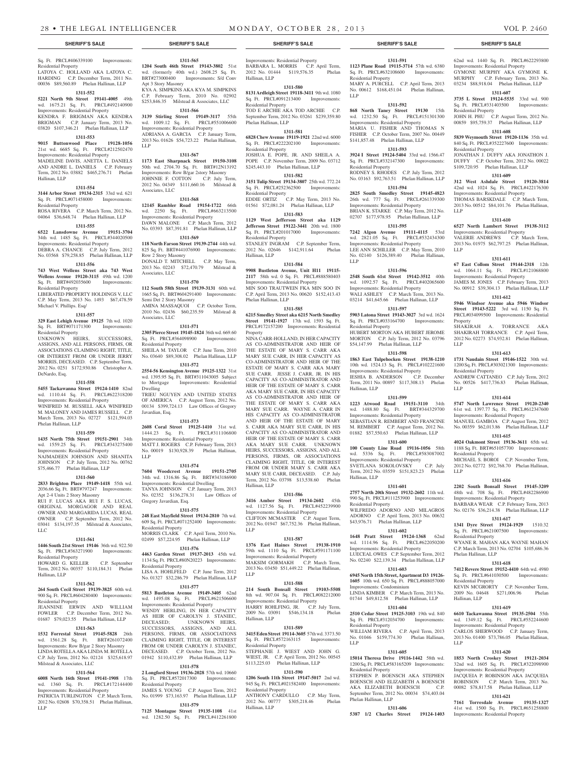#### Sq. Ft. PRCL#406339100 Improvements: Residential Property

LATOYA C. HOLLAND AKA LATOYA C. HARDING C.P. December Term, 2011 No. 00036 \$89,560.89 Phelan Hallinan, LLP

# **1311-552**

**5221 North 9th Street 19141-4005** 49th wd. 1675.21 Sq. Ft. PRCL#492140900 Improvements: Residential Property KENDRA F. BRIGMAN AKA KENDRA<br>BRIGMAN C.P. January Term. 2013 No.

C.P. January Term, 2013 No. 03820 \$107,346.21 Phelan Hallinan, LLP **1311-553**

#### **9015 Buttonwood Place 19128-1056**  21st wd. 6685 Sq. Ft. PRCL#212502470 Improvements: Residential Property MADELINE DAVIS, ANETTA L. DANIELS AND ANDRE L. DANIELS C.P. February Term, 2012 No. 03882 \$465,276.71 Phelan Hallinan, LLP

#### **1311-554**

**3144 Arbor Street 19134-2315** 33rd wd. 621 Sq. Ft. PRCL#071458000 Improvements: Residential Property ROSA RIVERA C.P. March Term, 2012 No.

04064 \$36,648.74 Phelan Hallinan, LLP **1311-555**

### **6522 Lansdowne Avenue 19151-3704**  34th wd. 1485 Sq. Ft. PRCL#344020500 Improvements: Residential Property

DEBRA A. CHANCE C.P. July Term, 2012 No. 03568 \$79,258.85 Phelan Hallinan, LLP

#### **1311-556**

**743 West Wellens Street aka 743 West Wellens Avenue 19120-3115** 49th wd. 1200 Sq. Ft. BRT#492035600 Residential Property

#### LIBERATED PROPERTY HOLDINGS V, LLC C.P. May Term, 2013 No. 1493 \$67,478.59 Michael V. Phillips. Esq/

# **1311-557**

**329 East Lehigh Avenue 19125** 7th wd. 1020 Sq. Ft. BRT#071171300 Improvements: Residential Property

UNKNOWN HEIRS, SUCCESSORS, ASSIGNS, AND ALL PERSONS, FIRMS, OR ASSOCIATIONS CLAIMING RIGHT, TITLE OR INTEREST FROM OR UNDER JERRY MORRIS, DECEASED. C.P. September Term, 2012 No. 0251 \$172,930.86 Christopher A. DeNardo, Esq.

#### **1311-558**

**5455 Tackawanna Street 19124-1410** 82nd wd. 1110.44 Sq. Ft. PRCL#622318200 Improvements: Residential Property WINIFRED M. RUSSELL AKA WINIFRED M. MALONEY AND JAMES RUSSELL C.P. March Term, 2013 No. 02727 \$121,594.03 Phelan Hallinan, LLP

#### **1311-559**

**1435 North 75th Street 19151-2901** 34th wd. 1559.25 Sq. Ft. PRCL#343275400 Improvements: Residential Property NAJMADEEN JOHNSON AND SHANITA JOHNSON C.P. July Term, 2012 No. 00762 \$75,466.77 Phelan Hallinan, LLP

#### **1311-560**

**2833 Brighton Place 19149-1418** 55th wd. 2036.66 Sq. Ft. BRT#797247 Improvements: Apt 2-4 Units 2 Story Masonry

RUI F. LUCAS AKA RUI F. S. LUCAS, ORIGINAL MORGAGOR AND REAL OWNER AND MARGARIDA LUCAS, REAL OWNER C.P. September Term, 2012 No. 03041 \$134,197.35 Milstead & Associates, LLC

#### **1311-561**

**1446 South 21st Street 19146** 36th wd. 922.50 Sq. Ft. PRCL#363271900 Improvements: Residential Property HOWARD G. KELLER C.P. September

# Term, 2012 No. 00357 \$110,184.31 Phelan Hallinan, LLP **1311-562**

**264 South Cecil Street 19139-3825** 60th wd. 900 Sq. Ft. PRCL#604280400 Improvements: Residential Property JEANNINE ERWIN AND WILLIAM

### FOWLER C.P. December Term, 2012 No. 01687 \$79,023.55 Phelan Hallinan, LLP **1311-563**

**1532 Forrestal Street 19145-5828** 26th wd. 1561.28 Sq. Ft. BRT#261072400 Improvements: Row B/gar 2 Story Masonry LINDA ROTELLA AKA LINDA M. ROTELLA C.P. July Term, 2012 No. 02124 \$325,618.97 Milstead & Associates, LLC

### **1311-564**

**6008 North 16th Street 19141-1908** 17th wd. 1360 Sq. Ft. PRCL#172144400 Improvements: Residential Property PATRICIA TURLINGTON C.P. March Term, 2012 No. 02608 \$70,358.51 Phelan Hallinan, LLP

**1204 South 46th Street 19143-3802** 51st wd. (formerly 40th wd.) 2608.25 Sq. Ft. BRT#273000400 Improvements: S/d Conv Apt 3 Story Masonry KYA A. SIMPKINS AKA KYA M. SIMPKINS C.P. February Term, 2010 No. 02902 \$253,846.35 Milstead & Associates, LLC

**1311-565**

# **1311-566**

**3139 Stirling Street 19149-3117** 55th wd. 1009.12 Sq. Ft. PRCL#551006600 Improvements: Residential Property ADRIANA A. GARCIA C.P. January Term, 2013 No. 01626 \$54,723.22 Phelan Hallinan, LLP

#### **1311-567**

**1173 East Sharpnack Street 19150-3108**  50th wd. 2704.70 Sq. Ft. BRT#12N13192 Improvements: Row B/gar 2story Masonry JOHNNIE F. COTTON C.P. July Term, 2012 No. 04349 \$111,660.16 Milstead & Associates, LLC

#### **1311-568 12145 Rambler Road 19154-1722** 66th wd. 2250 Sq. Ft. PRCL#663213500 Improvements: Residential Property DAWN MALONE C.P. March Term, 2012

No. 03393 \$87,391.81 Phelan Hallinan, LLP **1311-569 118 North Farson Street 19139-2744** 44th wd.

#### 825 Sq. Ft. BRT#441076900 Improvements: Row 2 Story Masonry DONALD T. MITCHELL C.P. May Term, 2013 No. 02243 \$72,470.79 Milstead & Associates, LLC

# **1311-570**

**112 South 58th Street 19139-3131** 60th wd. 1665 Sq. Ft. BRT#604291400 Improvements: Semi Det 2 Story Masonry AMINA MASSAQUOI C.P. October Term, 2010 No. 02436 \$60,235.59 Milstead & Associates, LLC

#### **1311-571**

**2305 Pierce Street 19145-1824** 36th wd. 669.60 Sq. Ft. PRCL#364098900 Improvements: Residential Property SHEILA M. TAYLOR C.P. June Term, 2010 No. 03640 \$89,308.02 Phelan Hallinan, LLP

**1311-572**

**2554-56 Kensington Avenue 19125-1322** 31st wd. 1395.95 Sq. Ft. BRT#311043005 Subject<br>to Mortgage Improvements: Residential Improvements: Residential Dwelling TRIEU NGUYEN AND UNITED STATES OF AMERICA C.P. August Term, 2012 No. 00134 \$399,724.13 Law Offices of Gregory Javardian, Esq.

#### **1311-573**

**2608 Coral Street 19125-1410** 31st wd. 1444.23 Sq. Ft. PRCL#311106800 Improvements: Residential Property MATT J. ROGERS C.P. February Term, 2013 No. 00019 \$130,928.39 Phelan Hallinan, LLP

#### **1311-574**

**7604 Woodcrest Avenue 19151-2705**  34th wd. 1316.86 Sq. Ft. BRT#343186900

Improvements: Residential Dwelling TANYA JOHNSON C.P. January Term, 2013 No. 02352 \$136,278.31 Law Offices of Gregory Javardian, Esq.

#### **1311-575**

**248 East Mayfield Street 19134-2810** 7th wd. 609 Sq. Ft. PRCL#071252400 Improvements: Residential Property MORRIS CLARK C.P. April Term, 2010 No. 02499 \$57,224.95 Phelan Hallinan, LLP

#### **1311-576**

**4463 Garden Street 19137-2013** 45th wd. 1134 Sq. Ft. PRCL#80N20223 Improvements: Residential Property LISA A. HOHLFELD C.P. June Term, 2012 No. 01327 \$32,286.79 Phelan Hallinan, LLP

#### **1311-577**

**5813 Bustleton Avenue 19149-3405** 62nd wd. 1495.08 Sq. Ft. PRCL#621506600 Improvements: Residential Property WENDY HERLING, IN HER CAPACITY

AS HEIR OF CAROLYN J. STANIEC, DECEASED; UNKNOWN HEIRS,  $\begin{tabular}{llll} DECEASED; & UNKNOWN & HEIRS, \\ SUCCESSORS, & ASSIGNS, & AND & ALL \\ \end{tabular}$ ASSIGNS, AND ALL PERSONS, FIRMS, OR ASSOCIATIONS CLAIMING RIGHT, TITLE, OR INTEREST FROM OR UNDER CAROLYN J. STANIEC, DECEASED. C.P. October Term, 2012 No. 01942 \$110,432.89 Phelan Hallinan, LLP

#### **1311-578**

**2 Longford Street 19136-2028** 57th wd. 10660 Sq. Ft. PRCL#572017300 Improvements: Residential Property JAMES S. YOUNG C.P. August Term, 2012

No. 01999 \$73,163.97 Phelan Hallinan, LLP **1311-579 7125 Montague Street 19135-1108** 41st wd. 1282.50 Sq. Ft. PRCL#412261800 Improvements: Residential Property

#### BARBARA L. MORRIS C.P. April Term, 2012 No. 01444 \$119,576.35 Phelan Hallinan, LLP

**1311-580 8131 Ardleigh Street 19118-3411** 9th wd. 1080 Sq. Ft. PRCL#091213400 Improvements: Residential Property

TOD E ARCHIE AKA TOD ARCHIE C.P. September Term, 2012 No. 03261 \$239,359.80 Phelan Hallinan, LLP

# **1311-581**

**6828 Chew Avenue 19119-1921** 22nd wd. 6000 Sq. Ft. PRCL#222202100 Improvements: Residential Property JOSHUA E. POPE, JR. AND SHEILA A.

POPE C.P. November Term, 2009 No. 03712 \$245,443.10 Phelan Hallinan, LLP **1311-582**

**3151 Tulip Street 19134-3807** 25th wd. 772.24 Sq. Ft. PRCL#252362500 Improvements: Residential Property EDDIE ORTIZ C.P. May Term, 2013 No. 01561 \$72,081.24 Phelan Hallinan, LLP

**1311-583 1129 West Jefferson Street aka 1129** 

**Jefferson Street 19122-3441** 20th wd. 1800 Sq. Ft. PRCL#201017000 Improvements: Residential Property STANLEY INGRAM C.P. September Term, 2012 No. 02646 \$142,911.64 Phelan Hallinan, LLP

#### **1311-584**

**9908 Bustleton Avenue, Unit H11 19115- 2117** 58th wd. 0 Sq. Ft. PRCL#888580403 Improvements: Residential Property MIN SOO TRAUTWEIN FKA MIN SOO IN C.P. April Term, 2013 No. 00620 \$152,413.43 Phelan Hallinan, LLP

#### **1311-585**

**6215 Smedley Street aka 6215 North Smedley Street 19141-1927** 17th wd. 1593 Sq. Ft. PRCL#172157200 Improvements: Residential Property

NINA CARR-HOLLAND, IN HER CAPACITY AS CO-ADMINISTRATOR AND HEIR OF THE ESTATE OF MARY S. CARR AKA MARY SUE CARR, IN HER CAPACITY AS CO-ADMINISTRATOR AND HEIR OF THE ESTATE OF MARY S. CARR AKA MARY SUE CARR. JESSE J. CARR. JR. JN. HIS CAPACITY AS CO-ADMINISTRATOR AND HEIR OF THE ESTATE OF MARY S. CARR AKA MARY SUE CARR, IN HIS CAPACITY AS CO-ADMINISTRATOR AND HEIR OF THE ESTATE OF MARY S. CARR AKA MARY SUE CARR. WAYNE A. CARR IN HIS CAPACITY AS CO-ADMINISTRATOR AND HEIR OF THE ESTATE OF MARY S. CARR AKA MARY SUE CARR, IN HIS CAPACITY AS CO-ADMINISTRATOR AND HEIR OF THE ESTATE OF MARY S. CARR AKA MARY SUE CARR. UNKNOWN HEIRS, SUCCESSORS, ASSIGNS, AND ALL PERSONS, FIRMS, OR ASSOCIATIONS CLAIMING RIGHT, TITLE, OR INTEREST FROM OR UNDER MARY S. CARR AKA MARY SUE CARR, DECEASED. C.P. July Term, 2012 No. 03798 \$13,538.60 Phelan Hallinan, LLP

#### **1311-586**

**3416 Amber Street 19134-2602** 45th wd. 1127.56 Sq. Ft. PRCL#452239900 Improvements: Residential Property CLIFTON MCMASTER C.P. August Term, 2012 No. 01947 \$67,752.36 Phelan Hallinan, LLP

#### **1311-587**

**1376 East Haines Street 19138-1910**  59th wd. 1110 Sq. Ft. PRCL#591171100 Improvements: Residential Property MAKSIM GORMAKH C.P. March Term, 2013 No. 03450 \$51,449.22 Phelan Hallinan, LLP

#### **1311-588**

**214 South Bonsall Street 19103-5508**  8th wd. 907.04 Sq. Ft. PRCL#082212000 Improvements: Residential Property HARRY ROHLFING, JR. C.P. July Term, 2009 No. 03091 \$546,134.18 Phelan Hallinan, LLP

#### **1311-589**

**3415 Eden Street 19114-3605** 57th wd. 3373.50 Sq. Ft. PRCL#572163115 Improvements: Residential Property STEPHANIE J. WIEST AND JOHN G. WIEST, JR. C.P. April Term, 2012 No. 00545

\$113,225.03 Phelan Hallinan, LLP **1311-590**

**1206 South 11th Street 19147-5017** 2nd wd. 945 Sq. Ft. PRCL#021582400 Improvements: Residential Property

ANTHONY CARDULLO C.P. May Term,<br>2012 No. 00777 \$305,218.46 Phelan 2012 No. 00777 \$305,218.46 Hallinan, LLP

#### **SHERIFF'S SALE SHERIFF'S SALE SHERIFF'S SALE SHERIFF'S SALE SHERIFF'S SALE**

**1311-591 1123 Plane Road 19115-3714** 57th wd. 6380 Sq. Ft. PRCL#632108600 Improvements: Residential Property MARY A. PURCELL C.P. April Term, 2013 No. 00612 \$168,451.04 Phelan Hallinan, LLP

62nd wd. 1440 Sq. Ft. PRCL#622293800 Improvements: Residential Property GYMONE MURPHY AKA GYMONE K. MURPHY C.P. February Term, 2013 No. 03234 \$88,918.04 Phelan Hallinan, LLP **1311-607 3735 L Street 19124-5535** 33rd wd. 900 Sq. Ft. PRCL#331403500 Improvements:

JOHN H. PHU C.P. August Term, 2012 No. 00859 \$95,759.37 Phelan Hallinan, LLP **1311-608 5839 Weymouth Street 19120-1136** 35th wd. 840 Sq. Ft. PRCL#352227600 Improvements:

JONATHAN J. DUFFY AKA JONATHON J. DUFFY C.P. October Term, 2012 No. 00022 \$109,720.95 Phelan Hallinan, LLP **1311-609 312 West Ashdale Street 19120-3814**  42nd wd. 1024 Sq. Ft. PRCL#422176300 Improvements: Residential Property THOMAS BARSKDALE C.P. March Term, 2013 No. 00512 \$84,101.76 Phelan Hallinan,

**1311-610 6527 North Lambert Street 19138-3112**  Improvements: Residential Property VALERIE ANDREWS C.P. March Term, 2013 No. 01975 \$62,797.25 Phelan Hallinan,

**1311-611 67 East Collom Street 19144-2318** 12th wd. 1064.11 Sq. Ft. PRCL#121068800 Improvements: Residential Property JAMES M. JONES C.P. February Term, 2013 No. 00912 \$39,304.13 Phelan Hallinan, LLP **1311-612 5946 Windsor Avenue aka 5946 Windsor Street 19143-5222** 3rd wd. 1150 Sq. Ft. PRCL#034099500 Improvements: Residential

SHAKIRAH A. TORRANCE AKA SHAKIRAH TORRANCE C.P. April Term, 2012 No. 02273 \$74,932.81 Phelan Hallinan,

**1311-613 1731 Naudain Street 19146-1522** 30th wd. 1200 Sq. Ft. PRCL#303021300 Improvements:

ANDREW CATTANEO C.P. July Term, 2012 No. 00526 \$417,736.83 Phelan Hallinan,

**1311-614 5747 North Lawrence Street 19120-2340**  61st wd. 1397.77 Sq. Ft. PRCL#612347600 Improvements: Residential Property MANUEL GAMBOA C.P. August Term, 2012 No. 00359 \$62,013.86 Phelan Hallinan, LLP **1311-615 4024 Oakmont Street 19136-3611** 65th wd. 1188 Sq. Ft. BRT#651057700 Improvements:

MICHAEL S. BOROI C.P. November Term 2012 No. 02772 \$92,768.70 Phelan Hallinan,

**1311-616 2202 South Bonsall Street 19145-3209**  48th wd. 708 Sq. Ft. PRCL#482286900 Improvements: Residential Property BARBARA WEAR C.P. February Term, 2013 No. 02176 \$36,214.38 Phelan Hallinan, LLP **1311-617 1341 Dyre Street 19124-1929** 1510.32 Sq. Ft. PRCL#621007500 Improvements:

WYANE R. MAHAN AKA WAYNE MAHAN C.P. March Term, 2013 No. 02704 \$105,686.36

**1311-618 7412 Revere Street 19152-4410** 64th wd. 4980 Sq. Ft. PRCL#641030500 Improvements:

KEVIN MCGRORTY C.P. November Term, 2009 No. 04648 \$271,006.96 Phelan

**1311-619 6610 Tackawanna Street 19135-2504** 55th wd. 1349.12 Sq. Ft. PRCL#552244600 Improvements: Residential Property CARLOS SHERWOOD C.P. January Term, 2013 No. 01400 \$73,786.05 Phelan Hallinan,

**1311-620 1853 North Croskey Street 19121-2034**  32nd wd. 1605 Sq. Ft. PRCL#322098900 Improvements: Residential Property JACQUEIA P. ROBINSON AKA JACQUEIA ROBINSON C.P. March Term, 2013 No. 00082 \$78,817.58 Phelan Hallinan, LLP **1311-621 7161 Torresdale Avenue 19135-1327**  41st wd. 1500 Sq. Ft. PRCL#651258800

Improvements: Residential Property

Residential Property

Residential Property

LLP

LLP

**Property** 

LLP

LLP

LLP

Residential Property

Residential Property

Residential Property

Phelan Hallinan, LLP

Residential Property

Hallinan, LLP

LLP

# **1311-592**

**868 North Taney Street 19130** 15th wd. 1232.50 Sq. Ft. PRCL#151301300 Improvements: Residential Property MARIA U. FISHER AND THOMAS N FISHER C.P. October Term, 2007 No. 00449 \$141,857.48 Phelan Hallinan, LLP

# **1311-593**

**3924 I Street 19124-5404** 33rd wd. 1566.47 Sq. Ft. PRCL#332147300 Improvements: Residential Property RODNEY S. RHODES C.P. July Term, 2012 No. 03163 \$92,763.51 Phelan Hallinan, LLP

**1311-594 2825 South Smedley Street 19145-4823**  26th wd. 777 Sq. Ft. PRCL#261339300 Improvements: Residential Property

BRIAN K. STARKE C.P. May Term, 2012 No. 02707 \$177,978.95 Phelan Hallinan, LLP **1311-595**

**7242 Algon Avenue 19111-4115** 53rd wd. 2821.05 Sq. Ft. PRCL#532434300 Improvements: Residential Property LEE ANN SCHILLER C.P. May Term, 2010 No. 02140 \$126,389.40 Phelan Hallinan,

**1311-596 2548 South 61st Street 19142-3512** 40th wd. 1092.57 Sq. Ft. PRCL#402065600 Improvements: Residential Property WALI ASHLEY C.P. March Term, 2013 No. 03214 \$41,645.66 Phelan Hallinan, LLP **1311-597 5903 Latona Street 19143-3027** 3rd wd. 1624 Sq. Ft. PRCL#033164700 Improvements:

HUBERT MORTON AKA HUBERT JEROME MORTON C.P. July Term, 2012 No. 03796 \$54,147.99 Phelan Hallinan, LLP **1311-598 1863 East Tulpehocken Street 19138-1210**  10th wd. 1524.13 Sq. Ft. PRCL#102221600 Improvements: Residential Property<br>IESHIA B. ANDERSON C.P. December

Term, 2011 No. 00897 \$117,308.13 Phelan

**1311-599 1223 Atwood Road 19151-3110** 34th wd. 1488.80 Sq. Ft. BRT#344329700 Improvements: Residential Property SEBASTIAN R. REMBERT AND FRANCINE M. REMBERT C.P. August Term, 2012 No. 01882 \$57,550.63 Phelan Hallinan, LLP **1311-600 100 County Line Road 19116-1056** 58th wd. 5336 Sq. Ft. PRCL#583087002 Improvements: Residential Property<br>SVETLANA SOKOLOVSKY C.P. July

LLP

Residential Property

IESHIA B. ANDERSON

SVETLANA SOKOLOVSKY

Term, 2012 No. 03559 \$151,823.23 Phelan

**1311-601 2757 North 20th Street 19132-2602** 11th wd. 990 Sq. Ft. PRCL#111253900 Improvements:

WILFREDO ADORNO AND MILAGROS ADORNO C.P. April Term, 2013 No. 00632 \$43,976.71 Phelan Hallinan, LLP **1311-602 1648 Pratt Street 19124-1368** 62nd wd. 1114.96 Sq. Ft. PRCL#622050200 Improvements: Residential Property LUECEAL OWES C.P. September Term, 2012 No. 02240 \$22,139.34 Phelan Hallinan, LLP **1311-603 6945 North 15th Street, Apartment D3 19126- 1605** 10th wd. 650 Sq. Ft. PRCL#888057000

LINDA KIMBER C.P. March Term, 2013 No. 01744 \$49,812.58 Phelan Hallinan, LLP **1311-604 2510 Cedar Street 19125-3103** 19th wd. 840 Sq. Ft. PRCL#312034700 Improvements:

No. 01046 \$159,774.30 Phelan Hallinan,

**1311-605 15014 Theresa Drive 19116-1442** 58th wd. 1200 Sq. Ft. PRCL#583165209 Improvements:

STEPHEN P. BOENSCH AKA STEPHEN BOENSCH AND ELIZABETH A BOENSCH AKA ELIZABETH BOENSCH September Term, 2012 No. 00034 \$74,403.04

**1311-606 5387 1/2 Charles Street 19124-1403** 

C.P. April Term, 2013

Hallinan, LLP

Hallinan, LLP

Residential Property

Improvements: Condominium

Residential Property<br>WILLIAM RIVERA

Residential Property

Phelan Hallinan, LLP

LLP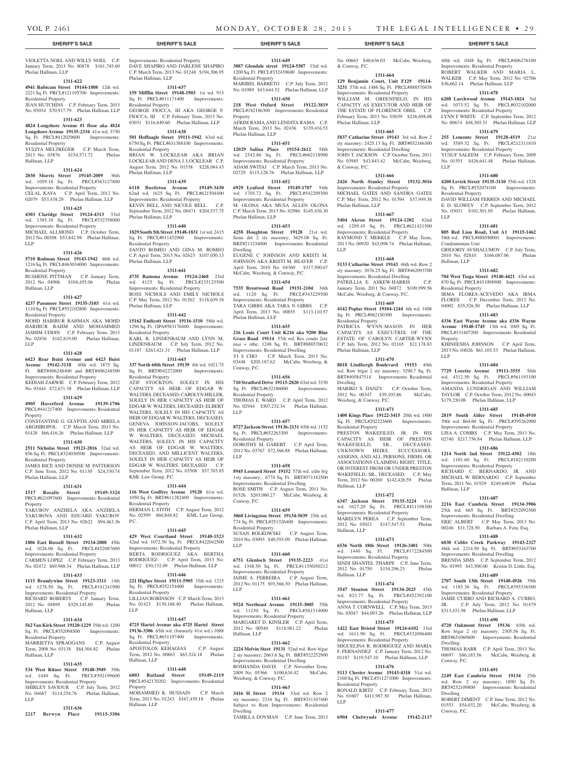& Conway, P.C.

Phelan Hallinan, LLP

& Conway, P.C.

Phelan Hallinan, LLP

Residential Property

Phelan Hallinan, LLP

Weisberg, & Conway, P.C.

Residential Property

Hallinan, LLP

Hallinan, LLP

Hallinan, LLP

Residential Property

LLP

wd. 1440 Sq. Ft. Improvements: Residential Property SINDI SHANTEL THARPE C.P. June Term, 2012 No. 01750 \$154,296.23 Phelan

Dwelling

LLP

No. 00663 \$40,636.03 McCabe, Weisberg,

40th wd. 1048 Sq. Ft. PRCL#406276100 Improvements: Residential Property ROBERT WALKER AND MARIA L. WALKER C.P. May Term, 2012 No. 02706 \$36,662.14 Phelan Hallinan, LLP **1311-678 6208 Larchwood Avenue 19143-1024** 3rd wd. 1073.52 Sq. Ft. PRCL#032102000 Improvements: Residential Property LYNN F WHITE C.P. September Term, 2012 No. 00674 \$48,305.51 Phelan Hallinan, LLP **1311-679 255 Lemonte Street 19128-4519** 21st wd. 3589.32 Sq. Ft. PRCL#212311810 Improvements: Residential Property YUSUF SALEEM C.P. February Term, 2009 No. 01551 \$426,641.48 Phelan Hallinan,

**1311-680 4200 Levick Street 19135-3110** 55th wd. 1328 Sq. Ft. PRCL#552074100 Improvements:

DAVID WILLIAM FERREN AND MICHAEL E. D. SLOWEY C.P. September Term, 2012 No. 03031 \$101,501.05 Phelan Hallinan,

**1311-681 805 Red Lion Road, Unit A1 19115-1462**  58th wd. PRCL#888580001 Improvements:

GRIGORIY AVSHALUMOV C.P. July Term, 2010 No. 02810 \$166,087.06 Phelan

**1311-682 704 West Tioga Street 19140-4421** 43rd wd. 870 Sq. Ft. PRCL#431098900 Improvements:

IRMA FLORES-ACEVEDO AKA IRMA FLORES C.P. December Term, 2012 No. 04002 \$35,526.50 Phelan Hallinan, LLP **1311-683 4336 East Wayne Avenue aka 4336 Wayne Avenue 19140-1745** 13th wd. 1005 Sq. Ft. PRCL#131407200 Improvements: Residential

KHINEESHA JOHNSON C.P. April Term, 2013 No. 04026 \$61,103.53 Phelan Hallinan,

**1311-684 7729 Loretto Avenue 19111-3555** 56th wd. 4312.50 Sq. Ft. PRCL#561193100 Improvements: Residential Property AMANDA LUNDRIGAN AND WILLIAM TAYLOR C.P. October Term, 2012 No. 00043 \$179,230.08 Phelan Hallinan, LLP **1311-685 2819 South Alder Street 19148-4910**  39th wd. 864.60 Sq. Ft. PRCL#395262900 Improvements: Residential Property LISA A. COMBS C.P. May Term, 2013 No. 02740 \$217,756.84 Phelan Hallinan, LLP **1311-686 1214 North 2nd Street 19122-4502** 18th wd. 1101.60 Sq. Ft. PRCL#182110200 Improvements: Residential Property RICHARD C. BERNARDO, JR. AND MICHAEL W. BERNARDO C.P. September Term, 2011 No. 01929 \$249,640.09 Phelan

**1311-687 2216 East Cambria Street 19134-3906**  25th wd. 665 Sq. Ft. BRT#252092500 Improvements: Residential Dwelling ERIC ALBERT C.P. May Term, 2013 No. 00246 \$31,728.50 Barbara A. Fein, Esq. **1311-688 6030 Cobbs Creek Parkway 19143-2327**  46th wd. 2214.50 Sq. Ft. BRT#033163700 Improvements: Residential Dwelling BRENDA SIMS C.P. September Term, 2012 No. 01995 \$43,500.00 Kristin D. Little, Esq. **1311-689 2707 South 13th Street 19148-4926** 39th wd. 1185.36 Sq. Ft. PRCL#395336500 Improvements: Residential Property JAMIE CURRO AND RICHARD A. CURRO, JR. C.P. July Term, 2012 No. 01479 \$313,431.98 Phelan Hallinan, LLP **1311-690 4720 Oakmont Street 19136** 65th wd. Row b/gar 2 sty masonry; 2305.56 Sq. Ft. BRT#651069600 Improvements: Residential

THOMAS BARR C.P. April Term, 2013 No. 00697 \$86,183.56 McCabe, Weisberg, &

**1311-691 2249 East Cambria Street 19134** 25th wd. Row 2 sty masonry; 1890 Sq. Ft. BRT#252109800 Improvements: Residential

ROBERT DIMENT C.P. June Term, 2012 No. 01553 \$54,032.20 McCabe, Weisberg, &

LLP

LLP

Residential Property

Condominium Unit

Residential Property

Property

Hallinan, LLP

Dwelling

Dwelling

Conway, P.C.

Conway, P.C.

LLP

Hallinan, LLP

**1311-664 129 Benjamin Court, Unit F129 19114- 3231** 57th wd. 1486 Sq. Ft. PRCL#888570458 Improvements: Residential Property WILLIAM M. GREENFIELD, IN HIS CAPACITY AS EXECUTOR AND HEIR OF THE ESTATE OF FLORENCE OBEL C.P. February Term, 2013 No. 03039 \$238,698.08

**1311-665 5837 Catharine Street 19143** 3rd wd. Row 2 sty masonry; 2425.13 Sq. Ft. BRT#032186300 Improvements: Residential Dwelling JOHN T. JACKSON C.P. October Term, 2011 No. 03985 \$43,843.42 McCabe, Weisberg,

**1311-666 2426 North Stanley Street 19132-3016**  Improvements: Residential Property MICHAEL GATES AND SANDRA GATES C.P. May Term, 2012 No. 01394 \$37,949.38

**1311-667 5404 Akron Street 19124-1202** 62nd wd. 1209.45 Sq. Ft. PRCL#621421500 Improvements: Residential Property RAYMOND T. MERKLE C.P. May Term, 2013 No. 00920 \$43,098.74 Phelan Hallinan,

**1311-668 5133 Catharine Street 19143** 46th wd. Row 2 sty masonry; 3076.25 Sq. Ft. BRT#462093700 Improvements: Residential Dwelling PATRILLIA E. ASKEW-HARRIS C.P. January Term, 2011 No. 04872 \$109,999.56 McCabe, Weisberg, & Conway, P.C. **1311-669 4142 Poplar Street 19104-1244** 6th wd. 1408 Sq. Ft. PRCL#062150300 Improvements:

PATRICIA WYNN-MASON IN HER CAPACITY AS EXECUTRIX OF THE ESTATE OF CAROLYN CARTER-WYNN C.P. July Term, 2012 No. 02165 \$21,178.83

**1311-670 8018 Lindbergh Boulevard 19153** 40th wd. Row b/gar 2 sty masonry; 3290.7 Sq. Ft. BRT#405847514 Improvements: Residential

MARIKO S. DANZY C.P. October Term, 2012 No. 00347 \$39,103.86 McCabe,

**1311-671 1400 Kings Place 19122-3415** 20th wd. 1800 Sq. Ft. PRCL#202223600 Improvements:

PRESTON WAKEFILED, JR. IN HIS CAPACITY AS HEIR OF PRESTON WAKEFIEELD, SR., DECEASED. UNKNOWN HEIRS, SUCCESSORS, ASSIGNS, AND ALL PERSONS, FIRMS, OR ASSOCIATIONS CLAIMING RIGHT, TITLE, OR INTEREST FROM OR UNDER PRESTON WAKEFIELD, SR., DECEASED. C.P. May Term, 2012 No. 00269 \$142,426.59 Phelan

**1311-672 6347 Jackson Street 19135-3224** 41st wd. 1627.20 Sq. Ft. PRCL#411198300 Improvements: Residential Property MARELYN PEREA C.P. September Term, 2012 No. 03021 \$147,547.53 Phelan

**1311-673 6536 North 18th Street 19126-3401** 50th

**1311-674 3547 Stouton Street 19134-2025** 45th wd. 823.77 Sq. Ft. PRCL#452392100 Improvements: Residential Property ANNA T. CORNWELL C.P. May Term, 2013 No. 03047 \$44,093.26 Phelan Hallinan, LLP **1311-675 1422 East Bristol Street 19124-6102** 33rd wd. 1611.90 Sq. Ft. PRCL#332096400 Improvements: Residential Property MIGUELINA R. RODRIGUEZ AND MARIA F. FERNANDEZ C.P. January Term, 2012 No. 01187 \$119,547.10 Phelan Hallinan, LLP **1311-676 5113 Chester Avenue 19143-4310** 51st wd. 2160 Sq. Ft. PRCL#511271000 Improvements:

RONALD KIRTZ C.P. February Term, 2013 No. 01607 \$411,987.30 Phelan Hallinan,

**1311-677 6904 Chelwynde Avenue 19142-2117** 

#### **SHERIFF'S SALE SHERIFF'S SALE SHERIFF'S SALE SHERIFF'S SALE SHERIFF'S SALE**

VIOLETTA NOEL AND WILLY NOEL C.P. January Term, 2013 No. 00878 \$161,745.60 Phelan Hallinan, LLP

#### **1311-622**

**4941 Rubicam Street 19144-1808** 12th wd. 2221 Sq. Ft. PRCL#121195700 Improvements: Residential Property

JEAN HUTCHINS C.P. February Term, 2013 No. 03034 \$70,917.79 Phelan Hallinan, LLP **1311-623**

**4824 Longshore Avenue #1 floor aka 4824 Longshore Avenue 19135-2334** 41st wd. 3750

#### Sq. Ft. PRCL#412029600 Improvements: Residential Property

YULIYA MELTREGER C.P. March Term, 2013 No. 03876 \$154,571.72 Phelan Hallinan, LLP

### **1311-624**

**2030 Morris Street 19145-2009** 36th wd. 1059.18 Sq. Ft. PRCL#363127800 Improvements: Residential Property CELAL KAYA C.P. April Term, 2012 No. 02079 \$53,438.29 Phelan Hallinan, LLP

#### **1311-625**

**4303 Claridge Street 19124-4313** 33rd wd. 1385.10 Sq. Ft. PRCL#332358000 Improvements: Residential Property MICHAEL ALLMOND C.P. October Term,

2012 No. 00308 \$53,842.98 Phelan Hallinan, LLP **1311-626**

# **5710 Rodman Street 19143-1942** 46th wd.

1216 Sq. Ft. PRCL#463034000 Improvements: Residential Property RUSHENE PITTMAN C.P. January Term,

# 2012 No. 04906 \$104,455.06 Phelan Hallinan, LLP

#### **1311-627**

**4237 Passmore Street 19135-3103** 41st wd. 1110 Sq. Ft. PRCL#552102800 Improvements: Residential Property

MOHD HABIBUR RAHMAN AKA MOHD HARIBUR RAHM AND MOHAMMED JASHIM UDDIN C.P. February Term, 2013 No. 02836 \$162,819.00 Phelan Hallinan, LLP

#### **1311-628**

#### **6423 Rear Buist Avenue and 6423 Buist Avenue 19142-3118** 40th wd. 1875 Sq. Ft. BRT#406248400 and BRT#406248500 Improvements: Residential Property KEDIAH ZARWIE C.P. February Term, 2012 No. 03444 \$72,671.38 Phelan Hallinan, LLP

# **1311-629**

**4905 Haverford Avenue 19139-1706**  PRCL#441217400 Improvements: Residential

**Property** CONSTANTINE G. GLYPTIS AND MIRELA

### ARGHIROPOL C.P. March Term, 2013 No. 01428 \$66,416.26 Phelan Hallinan, LLP **1311-630**

# **2511 Nicholas Street 19121-2816** 32nd wd.

856 Sq. Ft. PRCL#324030500 Improvements: Residential Property JAMES RICE AND DENISE M. PATTERSON

C.P. June Term, 2012 No. 01130 \$24,330.74 Phelan Hallinan, LLP

### **1311-631**

**1517 Rosalie Street 19149-3324**  PRCL#621097600 Improvements: Residential Property YAKUBOV ANZHELA AKA ANZHELA YAKUBOVA AND EDUARD YAKUBOV C.P. April Term, 2013 No. 02622 \$94,463.36

# Phelan Hallinan, LLP

#### **1311-632 1806 East Russell Street 19134-2008** 45th

wd. 1026.06 Sq. Ft. PRCL#452087600 Improvements: Residential Property CARMEN LOPEZ C.P. February Term, 2013

# No. 02472 \$69,988.34 Phelan Hallinan, LLP **1311-633**

**1115 Brandywine Street 19123-3311** 14th wd. 1278.50 Sq. Ft. PRCL#141241900 Improvements: Residential Property RICHARD ROBERTS C.P. January Term, 2012 No. 04899 \$329,145.80 Phelan

#### **1311-634**

Hallinan, LLP

#### **562 Van Kirk Street 19120-1229** 35th wd. 1200 **4725 Hartel Avenue aka 4725 Hartel Street**  Sq. Ft. PRCL#352098500 Improvements: Residential Property

MARRIETTA SPRAGGANS C.P. August Term, 2008 No. 03138 \$84,304.82 Phelan Hallinan, LLP

#### **1311-635**

**534 West Ritner Street 19148-3949** 39th wd. 1440 Sq. Ft. PRCL#392199600 Improvements: Residential Property SHIRLEY SAVIOUR C.P. July Term, 2012 No. 04687 \$114,254.76 Phelan Hallinan, LLP

# **1311-636**

**2217 Berwyn Place 19115-3306** 

Improvements: Residential Property DAVE SHAPIRO AND DARLENE SHAPIRO C.P. March Term, 2013 No. 01248 \$194,306.95 Phelan Hallinan, LLP

#### **1311-637**

**159 Mifflin Street 19148-1903** 1st wd. 915 Sq. Ft. PRCL#011171400 Improvements: Residential Property GEORGE FIOCCA, III AKA GEORGE F. FIOCCA, III C.P. February Term, 2013 No. 03031 \$116,849.60 Phelan Hallinan, LLP

### **1311-638**

**501 Hoffnagle Street 19111-1942** 63rd wd. 6750 Sq. Ft. PRCL#631388100 Improvements: Residential Property BRIAN W LOCKLEAR AKA BRIAN LOCKLEAR AND DENA J. LOCKLEAR C.P. August Term, 2012 No. 01538 \$228,084.43 Phelan Hallinan, LLP

#### **1311-639**

**6118 Bustleton Avenue 19149-3430**  62nd wd. 1625 Sq. Ft. PRCL#621504400 Improvements: Residential Property KEVIN BELL AND NICOLE BELL C.P. September Term, 2012 No. 00471 \$204,537.75 Phelan Hallinan, LLP

#### **1311-640**

**1829 South 5th Street 19148-1831** 1st wd. 2415 Sq. Ft. PRCL#011452900 Improvements: Residential Property SANTO ROMEO AND GINA M. ROMEO C.P. April Term, 2013 No. 02623 \$107,050.13 Phelan Hallinan, LLP

# **1311-641**

**4735 Ramona Avenue 19124-2468** 23rd wd. 4125 Sq. Ft. PRCL#233125500 Improvements: Residential Property ROSS NICHOLS AND EMILY NICHOLS C.P. May Term, 2012 No. 01262 \$118,639.18 Phelan Hallinan, LLP

#### **1311-642**

**15162 Endicott Street 19116-1510** 58th wd. 1296 Sq. Ft. OPA#583176400 Improvements: Residential Property KARL R. LINDENBAUM AND LYNN M. LINDENBAUM C.P. July Term, 2012 No. 01187 \$263,421.31 Phelan Hallinan, LLP

#### **1311-643**

**337 North 60th Street 19139** 4th wd. 1021.75 Sq. Ft. BRT#042272000 Improvements: Residential Property

ATIF STOCKTON, SOLELY IN HIS CAPACITY AS HEIR OF EDGAR W. WALTERS, DECEASED; CAROLYN MILLER, SOLELY IN HER CAPACITY AS HEIR OF EDGAR W. WALTERS, DECEASED; ELBERT WALTERS, SOLELY IN HIS CAPACITY AS HEIR OF EDGAR W. WALTERS, DECEASED; GENEVA JOHNSON-JACOBS, SOLELY IN HER CAPACITY AS HEIR OF EDGAR W. WALTERS, DECEASED; MICHAEL WALTERS, SOLELY IN HIS CAPACITY AS HEIR OF EDGAR W. WALTERS, DECEASED; AND MILLICENT WALTERS, SOLELY IN HER CAPACITY AS HEIR OF EDGAR W. WALTERS, DECEASED C.P. September Term, 2012 No. 03508 \$57,703.85 KML Law Group, P.C.

#### **1311-644**

**116 West Godfrey Avenue 19120** 61st wd. 1050 Sq. Ft. BRT#611282400 Improvements: Residential Property HERMAN L STITH C.P. August Term, 2012 No. 02599 \$60,848.82 KML Law Group, P.C.

#### **1311-645**

**429 West Courtland Street 19140-1523**  42nd wd. 1072.50 Sq. Ft. PRCL#422042500 Improvements: Residential Property BERTA RODRIGUEZ AKA BERTHA RODRIGUEZ C.P. April Term, 2013 No. 00012 \$30,132.09 Phelan Hallinan, LLP

# **1311-646**

**221 Higbee Street 19111-5905** 35th wd. 1215 Sq. Ft. PRCL#352154400 Improvements: Residential Property LILLIAN ROBINSON C.P. March Term, 2013 No. 01423 \$130,168.40 Phelan Hallinan, LLP

#### **1311-647**

**19136-3306** 65th wd. (formerly 41st wd.) 1088 Sq. Ft. PRCL#651197400 Improvements: Residential Property APOSTOLOS KEHAGIAS C.P. August

Term, 2012 No. 00863 \$63,524.18 Phelan Hallinan, LLP **1311-648**

# **6803 Rutland Street 19149-2119**

PRCL#542170202 Improvements: Residential Property MOHAMMED K. HUSSAIN C.P. March Term, 2013 No. 01243 \$167,439.18 Phelan Hallinan, LLP

#### **1311-649 3887 Glendale street 19124-5507** 33rd wd.

1200 Sq. Ft. PRCL#332439600 Improvements: Residential Property MARIBEL BARRETO C.P. July Term, 2012 No. 01989 \$43,644.32 Phelan Hallinan, LLP

### **1311-650**

**218 West Oxford Street 19122-3819**  PRCL#182186300 Improvements: Residential Property

AFRIM RAMA AND LENDITA RAMA C.P. March Term, 2013 No. 02436 \$139,416.53

# Phelan Hallinan, LLP

**1311-651 12029 Salina Place 19154-2612** 58th wd. 2542.86 Sq. Ft. PRCL#662118900 Improvements: Residential Property ADAM SWITAJ C.P. March Term, 2013 No. 02729 \$115,128.76 Phelan Hallinan, LLP

# **1311-652**

**6929 Lynford Street 19149-1707** 54th wd. 1705.72 Sq. Ft. PRCL#542209300 Improvements: Residential Property M. OLONA AKA MUSA ALLEN OLONA C.P. March Term, 2013 No. 02986 \$145,436.30 Phelan Hallinan, LLP

#### **1311-653**

**4258 Houghton Street 19128** 21st wd. Semi det 2 sty masonry; 3629.08 Sq. Ft. BRT#213234000 Improvements: Residential Dwelling EUGENE C JOHNSON AND KRISTI M. JOHNSON AKA KRISTI M. BEAVER C.P.

April Term, 2010 No. 04360 \$317,500.67 McCabe, Weisberg, & Conway, P.C. **1311-654**

**7535 Brentwood Road 19151-2104** 34th wd. 1120 Sq. Ft. PRCL#343229500 Improvements: Residential Property TARA GIBBS AKA TARA N GIBBS C.P. April Term, 2013 No. 00855 \$113,110.57 Phelan Hallinan, LLP

#### **1311-655**

**216 Louis Court Unit K216 aka 9200 Blue Grass Road 19114** 57th wd. Res condo 2sty mas + othe; 1248 Sq. Ft. BRT#888570632 Improvements: Residential Dwelling YI S CHO C.P. March Term, 2013 No. 03448 \$205,187.62 McCabe, Weisberg, & Conway, P.C.

#### **1311-656 710 Stratford Drive 19115-2820** 63rd wd. 3330

Sq. Ft. PRCL#632186000 Improvements: Residential Property THOMAS E. WARD C.P. April Term, 2012 No. 02944 \$307,232.34 Phelan Hallinan, LLP

#### **1311-657**

**8727 Jackson Street 19136-2131** 65th wd. 1152 Sq. Ft. PRCL#652263300 Improvements: Residential Property DOROTHY M. GABERT C.P. April Term, 2012 No. 03767 \$72,566.88 Phelan Hallinan, LLP

#### **1311-658**

**8945 Leonard Street 19152** 57th wd. s/dw b/g 1sty masonry; 6774 Sq. Ft. BRT#571182500 Improvements: Residential Dwelling ROSE SMITH C.P. August Term, 2011 No. 01526 \$265,060.27 McCabe, Weisberg, & Conway, P.C.

#### **1311-659**

**3060 Livingston Street 19134-5039** 25th wd. 774 Sq. Ft. PRCL#251326400 Improvements: Residential Property SUSAN ROLKOWSKI C.P. August Term, 2010 No. 03093 \$40,593.09 Phelan Hallinan, LLP

#### **1311-660**

**6751 Glenloch Street 19135-2223** 41st wd. 1348.50 Sq. Ft. PRCL#115N050212 Improvements: Residential Property JAIME A. FERREIRA C.P. August Term, 2012 No. 01175 \$93,566.30 Phelan Hallinan, LLP

wd. 11250 Sq. Ft. PRCL#581314000 Improvements: Residential Property MARGARET D. KINSLER C.P. April Term, 2012 No. 00540 \$118,981.22 Phelan

**1311-662 2224 Melvin Steet 19131** 52nd wd. Row b/gar 2 sty masonry; 2663.6 Sq. Ft. BRT#522252900 Improvements: Residential Dwelling ROSHANDA DAVIS C.P. November Term, 2009 No. 05366 \$100,634.42 McCabe,

**1311-663 3416 H Street 19134** 33rd wd. Row 2 sty masonry; 2334 Sq. Ft. BRT#331347400 Subject to Rent Improvements: Residential

TAMILLA DOVMAN C.P. June Term, 2013

#### **1311-661 9524 Northeast Avenue 19115-3005** 35th

Hallinan, LLP

Dwelling

Weisberg, & Conway, P.C.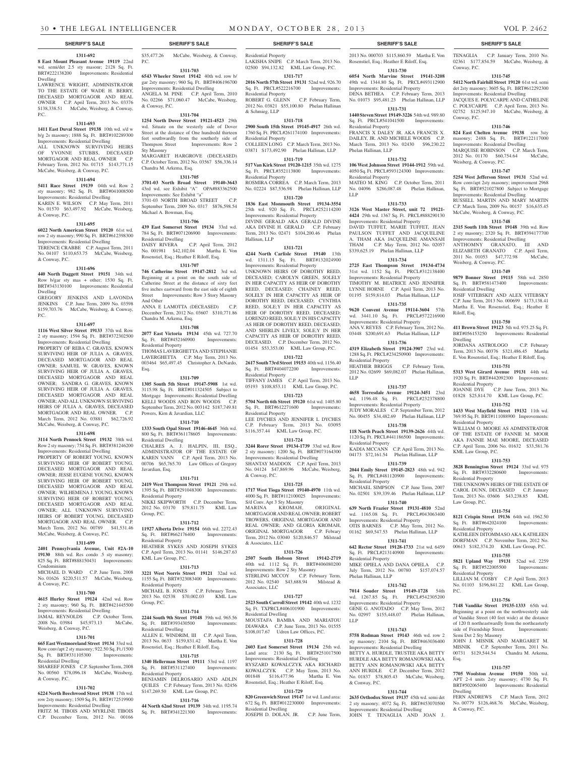#### **1311-692 8 East Mount Pleasant Avenue 19119** 22nd wd. semi/det 2.5 sty masonr; 2128 Sq. Ft. BRT#222138200 Improvements: Residential Dwelling

LAWRENCE WRIGHT, ADMINISTRATOR TO THE ESTATE OF WADE H. BERRY, DECEASED MORTGAGOR AND REAL OWNER C.P. April Term, 2013 No. 03376 \$138,338.51 McCabe, Weisberg, & Conway, P.C.

#### **1311-693**

**1411 East Duval Street 19138** 10th wd. s/d w b/g 2s masonry; 1888 Sq. Ft. BRT#102289300 Improvements: Residential Dwelling ALL UNKNOWN SURVIVING HEIRS OF YVONNE STUBBS, DECEASED MORTGAGOR AND REAL OWNER C.P. February Term, 2012 No. 01715 \$143,771.15 McCabe, Weisberg, & Conway, P.C.

#### **1311-694**

**5411 Race Street 19139** 04th wd. Row 2 sty masonry; 982 Sq. Ft. BRT#041008500 Improvements: Residential Dwelling KAREN E. WILSON C.P. May Term, 2011 No. 01570 \$63,497.92 McCabe, Weisberg, & Conway, P.C.

#### **1311-695**

**6022 North American Street 19120** 61st wd. row 2 sty masonry; 990 Sq. Ft. BRT#612398300 Improvements: Residential Dwelling TERENCE CRABBE C.P. August Term, 2011 No. 04107 \$110,653.75 McCabe, Weisberg,

#### **1311-696**

& Conway, P.C.

**440 North Daggett Street 19151** 34th wd. Row b/gar sty mas + other; 1530 Sq. Ft. BRT#343130100 Improvements: Residential Dwelling

GREGORY JENKINS AND LAVONDA JENKINS C.P. June Term, 2009 No. 03598 \$159,703.76 McCabe, Weisberg, & Conway, P.C.

#### **1311-697**

**1116 West Silver Street 19133** 37th wd. Row 2 sty masonry; 1594 Sq. Ft. BRT#372302500 Improvements: Residential Dwelling PROPERTY OF REBA C. GRAVES, KNOWN SURVIVING HEIR OF JULIA A. GRAVES, DECEASED MORTGAGOR AND REAL OWNER; SAMUEL W. GRAVES, KNOWN SURVIVING HEIR OF JULIA A. GRAVES, DECEASED MORTGAGOR AND REAL OWNER; SANDRA G. GRAVES, KNOWN SURVIVING HEIR OF JULIA A. GRAVES, DECEASED MORTGAGOR AND REAL OWNER; AND ALL UNKNOWN SURVIVING HEIRS OF JULIA A. GRAVES, DECEASED MORTGAGOR AND REAL OWNER. C.P. March Term, 2012 No. 03881 \$62,726.92 McCabe, Weisberg, & Conway, P.C.

#### **1311-698**

**3114 North Pennock Street 19132** 38th wd. Row 2 sty masonry; 754 Sq. Ft. BRT#381246200 Improvements: Residential Dwelling PROPERTY OF ROBERT YOUNG. KNOWN SURVIVING HEIR OF ROBERT YOUNG, DECEASED MORTGAGOR AND REAL OWNER; JESSE EUGENE YOUNG, KNOWN SURVIVING HEIR OF ROBERT YOUNG, DECEASED MORTGAGOR AND REAL OWNER; WILHEMENA J. YOUNG, KNOWN SURVIVING HEIR OF ROBERT YOUNG, DECEASED MORTGAGOR AND REAL OWNER; ALL UNKNOWN SURVIVING HEIRS OF ROBERT YOUNG, DECEASED MORTGAGOR AND REAL OWNER. C.P. March Term, 2012 No. 00789 \$41,531.46 McCabe, Weisberg, & Conway, P.C.

#### **1311-699**

**2401 Pennsylvania Avenue, Unit #2A-10 19130** 88th wd. Res condo .5 sty masonry; 825 Sq. Ft. BRT#888150431 Improvements: Condominium MICHAEL D. WARD C.P. June Term, 2008

No. 01626 \$220,511.57 McCabe, Weisberg, & Conway, P.C.

#### **1311-700**

**4615 Hurley Street 19124** 42nd wd. Row 2 sty masonry; 960 Sq. Ft. BRT#421445500 Improvements: Residential Dwelling JAMAL REYNOLDS C.P. October Term, 2008 No. 03984 \$45,973.13 McCabe, Weisberg, & Conway, P.C.

# **1311-701**

**665 East Westmoreland Street 19134** 33rd wd. Row conv/apt 2 sty masonry; 922.50 Sq. Ft./1500 Sq. Ft. BRT#331105300 Improvements: Residential Dwelling SHAREEF JONES C.P. September Term, 2008 No. 00560 \$78,096.18 McCabe, Weisberg,

#### **1311-702**

& Conway, P.C.

**6224 North Beechwood Street 19138** 17th wd. row 2sty masonry; 1509 Sq. Ft. BRT#172519900 Improvements: Residential Dwelling FRITZ M. TIBOIS AND MYRLINE TIBOIS C.P. December Term, 2012 No. 00166

#### \$35,477.26 McCabe, Weisberg, & Conway, P.C. **1311-703**

**6543 Wheeler Street 19142** 40th wd. row b/ gar 2sty masonry; 960 Sq. Ft. BRT#406196700 Improvements: Residential Dwelling

ANGELA M. PINE C.P. April Term, 2010 No. 02266 \$71,060.47 McCabe, Weisberg, & Conway, P.C. **1311-704**

**1254 North Dover Street 19121-4523** 29th wd. Situate on the westerly side of Dover Street at the distance of One hundredd thirteen feet southwardly from the southerly side of Thompson Street Improvements: Row 2 Sty Masonry MARGARET HARGROVE (DECEASED)

# C.P. October Term, 2012 No. 03567 \$56,336.14 Chandra M. Arkema, Esq.

# **1311-705**

**3701-03 North Broad Street 19140-3643**  43rd wd. see Exhibit "A" OPA#883362500 Improvements: See Exhibit "a" 3701-03 NORTH BROAD STREET September Term, 2009 No. 0317 \$876,598.54 Michael A. Bowman, Esq.

#### **1311-706**

**439 East Somerset Street 19134** 33rd wd. 784 Sq. Ft. BRT#071206900 Improvements: Residential Dwelling DAISY RIVERA C.P. April Term, 2012 No. 001981 \$42,102.04 Martha E. Von Rosenstiel, Esq.; Heather E Riloff, Esq.

### **1311-707**

**746 Catherine Street 19147-2812** 3rd wd. Beginning at a point on the south side of Catherine Street at the distance of sixty feet five inches eastward from the east side of eighth Street Improvements: Row 3 Story Masonry And Other ANNA E LAMOTTA (DECEASED) C.P. December Term, 2012 No. 03607 \$310,771.86 Chandra M. Arkema, Esq.

# **1311-708**

**2077 East Victoria 19134** 45th wd. 727.70 Sq. Ft. BRT#452160900 Improvements: Residential Property THOMAS LAVERGHETTA AND STEPHANIE

LAVERGHETTA C.P. May Term, 2013 No. 003464 \$65,497.45 Christopher A. DeNardo, Esq.

**1311-709 1305 South 5th Street 19147-5908** 1st wd. 3115.98 Sq. Ft. BRT#011324505 Subject to Mortgage Improvements: Residential Dwelling KELLI WOODS AND RON WOODS C.P. September Term, 2012 No. 003142 \$187,749.81 Powers, Kirn & Javardian, LLC

#### **1311-710**

**1333 South Opal Street 19146-4645** 36th wd. 800 Sq. Ft. BRT#361178605 Improvements: Residential Dwelling CHALRES A. J. HALPIN, III, ESQ.,

ADMINISTRATOR OF THE ESTATE OF KAREN VANN C.P. April Term, 2013 No. 00706 \$65,765.70 Law Offices of Gregory Javardian, Esq.

### **1311-711**

**2419 West Thompson Street 19121** 29th wd. 1395 Sq. Ft. BRT#291048300 Improvements: Residential Property NIKKI SKIPWORTH C.P. December Term, 2012 No. 03170 \$79,811.75 KML Law Group, P.C.

#### **1311-712**

**11927 Alberta Drive 19154** 66th wd. 2272.43 Sq. Ft. BRT#662176400 Improvements: Residential Property HEATHER SYKES AND JOSEPH SYKES C.P. April Term, 2013 No. 01141 \$146,287.63 KML Law Group, P.C.

#### **1311-713**

**3221 West Norris Street 19121** 32nd wd. 1155 Sq. Ft. BRT#323083400 Improvements: Residential Property MICHAEL B. JONES C.P. February Term, 2013 No. 02538 \$70,002.03 KML Law Group, P.C.

#### **1311-714**

**2244 South 9th Street 19148** 39th wd. 965.56 Sq. Ft. BRT#393430500 Improvements: Residential Dwelling ALLEN E. WINDRIM, III C.P. April Term, 2013 No. 0633 \$159,831.42 Martha E. Von Rosenstiel, Esq.; Heather E Riloff, Esq.

#### **1311-715**

**1340 Hellerman Street 19111** 53rd wd. 1197 Sq. Ft. BRT#531127400 Improvements: Residential Property BENJAMIN DELROSARIO AND ADLIN QUILES C.P. February Term, 2013 No. 02456 \$147,269.50 KML Law Group, P.C.

### **1311-716**

**44 North 62nd Street 19139** 34th wd. 1195.74 Sq. Ft. BRT#341221300 Improvements:

Residential Property LAKISHA SNIPE C.P. March Term, 2013 No. 02500 \$94,132.82 KML Law Group, P.C.

**1311-717 2016 North 57th Street 19131** 52nd wd. 926.70 Sq. Ft. PRCL#522216700 Improvements:

Residential Property ROBERT G. GLENN C.P. February Term, 2012 No. 03821 \$55,100.80 Phelan Hallinan & Schmieg, LLP

#### **1311-718**

**2900 South 15th Street 19145-4917** 26th wd. 1760 Sq. Ft. PRCL#261174100 Improvements: Residential Property COLLEEN LONG C.P. March Term, 2013 No. 03871 \$173,492.90 Phelan Hallinan, LLP

# **1311-719 517 Van Kirk Street 19120-1215** 35th wd. 1275

Sq. Ft. PRCL#352113800 Improvements: Residential Property ROSMIRA CORREA C.P. March Term, 2013

## No. 02224 \$87,536.98 Phelan Hallinan, LLP **1311-720**

**1836 East Monmouth Street 19134-3554**  25th wd. 920 Sq. Ft. PRCL#252114200 Improvements: Residential Property

DIVINE GERALD AKA GERALD DIVINE AKA DIVINE H. GERALD C.P. February Term, 2013 No. 02471 \$104,200.46 Phelan Hallinan, LLP

## **1311-721**

**4244 North Carlisle Street 19140** 13th wd. 1311.15 Sq. Ft. BRT#132024900 Improvements: Residential Property UNKNOWN HEIRS OF DOROTHY REED, DECEASED; CAROLYN GREEN, SOLELY IN HER CAPACITY AS HEIR OF DOROTHY REED, DECEASED; CHAINEY REED, SOLELY IN HER CAPACITY AS HEIR OF DOROTHY REED, DECEASED; CYNTHIA REED, SOLE;Y IN HER CAPACITY AS HEIR OF DOROTHY REED, DECEASED: LORENZO REED, SOLE;Y IN HIS CAPACITY AS HEIR OF DOROTHY REED, DECEASED; AND SHERLIN LIVELY, SOLE;Y IN HER CAPACITY AS HEIR OF DOROTHY REED, DECEASED. C.P. December Term, 2012 No. 01454 \$53,353.00 KML Law Group, P.C.

#### **1311-722**

**2617 South 73rd Street 19153** 40th wd. 1156.40 Sq. Ft. BRT#404072200 Improvements: Residential Property TIFFANY JAMES C.P. April Term, 2013 No.

05193 \$108,853.11 KML Law Group, P.C. **1311-723**

**5704 North 6th Street 19120** 61st wd. 1405.80 Sq. Ft. BRT#612271600 Improvements: Residential Property

LEE DYCHES AND JENNIFER L DYCHES C.P. February Term, 2013 No. 03095 \$116,357.44 KML Law Group, P.C.

# **1311-724**

**3244 Rorer Street 19134-1739** 33rd wd. Row 2 sty masonry; 1200 Sq. Ft. BRT#073164300 Improvements: Residential Dwelling SHANTAY MADDOX C.P. April Term, 2013 No. 04124 \$47,869.96 McCabe, Weisberg, & Conway, P.C.

#### **1311-725**

**1717 West Tioga Street 19140-4970** 11th wd. 4000 Sq. Ft. BRT#112100025 Improvements: S/d Conv. Apt 3 Sty Masonry MARINA KROMAH, ORIGINAL MORTGAGOR AND REAL OWNER; ROBERT TROWERS, ORIGINAL MORTGAGOR AND REAL OWNER; AND GLORIA KROMAH,

ORIGINAL MORTGAGOR C.P. Febrary Term, 2012 No. 03040 \$120,846.57 Milstead & Associates, LLC **1311-726**

#### **2507 South Hobson Street 19142-2719**  40th wd. 1112 Sq. Ft. BRT#406080200 Improvements: Row 2 Sty Masonry<br>STERLING MCCOY C.P. February Term, STERLING MCCOY 2012 No. 02540 \$43,688.94 Milstead & Associates, LLC

# **1311-727**

**2523 South Carroll Street 19142** 40th wd. 1232 Sq. Ft. TXPRCL#406101900 Improvements: Residential Dwelling MOUSTAFA BAMBA AND MARIATOU DIAWARA C.P. June Term, 2013 No. 01555 \$108,017.67 Udren Law Offices, P.C.

#### **1311-728**

**2603 East Somerset Street 19134** 25th wd. Land area: 2130 Sq. Ft. BRT#251017500 Improvements: Residential Dwelling RYSZARD KOWALCZYK AKA RICHARD KOWALCZYK C.P. May Term, 2013 No. 001848 \$116,477.96 Martha E. Von Rosenstiel, Esq.; Heather E Riloff, Esq.

#### **1311-729**

**820 Greenwich Street 19147** 1st wd. Land area: 672 Sq. Ft. BRT#012230000 Improvements: Residential Dwelling JOSEPH D. DOLAN, JR. C.P. June Term,

#### **SHERIFF'S SALE SHERIFF'S SALE SHERIFF'S SALE SHERIFF'S SALE SHERIFF'S SALE**

TENAGLIA C.P. January Term, 2010 No. 02361 \$177,854.59 McCabe, Weisberg, &

**1311-745 5412 North Fairhill Street 19120** 61st wd. semi det 2sty masonry; 3605 Sq. Ft. BRT#612292300 Improvements: Residential Dwelling JACQUES E. POLYCARPE AND CATHELINE C. POLYCARPE C.P. April Term, 2013 No. 02752 \$125,947.10 McCabe, Weisberg, &

**1311-746 824 East Chelten Avenue 19138** row 3sty masonry; 2488 Sq. Ft. BRT#122117000 Improvements: Residential Dwelling MARQUISE ROBINSON C.P. March Term, 2012 No. 01170 \$60,754.64 McCabe,

**1311-747 5254 West Jefferson Street 19131** 52nd wd. Row conv/apt 2sty masonry; improvement 2968 Sq. Ft. BRT#521027800 Subject to Mortgage Improvements: Residential Dwelling RUSSELL MARTIN AND MARY MARTIN C.P. March Term, 2009 No. 00157 \$16,635.45 McCabe, Weisberg, & Conway, P.C. **1311-748 2315 South 11th Street 19148** 39th wd. Row 2 sty masonry; 2320 Sq. Ft. BRT#394177700 Improvements: Residential Dwelling ANTHOMNY GRANATO, III AND ELIZABETH GRANATO C.P. April Term, 2011 No. 01053 \$47,772.98 McCabe,

**1311-749 9879 Bonner Street 19115** 58th wd. 2850

IOSIF VITEBSKIY AND ALEX VITEBSKY C.P. June Term, 2013 No. 000699 \$173,138.41 Martha E. Von Rosenstiel, Esq.; Heather E

**1311-750 411 Brown Street 19123** 5th wd. 975.25 Sq. Ft. BRT#056153250 Improvements: Residential

JORDANA ASTROLOGO C.P. Feburary Term, 2013 No. 00376 \$321,486.45 Martha E. Von Rosenstiel, Esq.; Heather E Riloff, Esq. **1311-751 5313 West Girard Avenue 19131** 44th wd. 1920 Sq. Ft. BRT#442092300 Improvements:

JOANNE DYE C.P. June Term, 2013 No. 01828 \$25,814.70 KML Law Group, P.C. **1311-752 1433 West Mayfield Street 19132** 11th wd. 769.95 Sq. Ft. BRT#111088900 Improvements:

WILLIAM O. MOORE AS ADMINSTRATOR OF THE ESTATE OF FANNIE M. MOOR AKA FANNIE MAE MOORE, DECEASED C.P. April Term, 2006 No. 01632 \$33,581.76

**1311-753 3828 Bennington Street 19124** 33rd wd. 975 Sq. Ft. BRT#332280600 Improvements:

THE UNKNOWN HEIRS OF THE ESTATE OF CAROL DUNN, DECEASED C.P. January Term, 2013 No. 03606 \$43,238.85 KML

**1311-754 8121 Crispin Street 19136** 64th wd. 1962.50 Sq. Ft. BRT#642024100 Improvements:

KATHLEEN DITOMMASO AKA KATHLEEN DORFMAN C.P. November Term, 2012 No. 00613 \$182,374.20 KML Law Group, P.C. **1311-755 5821 Upland Way 19131** 52nd wd. 2259 Sq. Ft. BRT#522005500 Improvements:

LILLIAN M. COSBY C.P. April Term, 2013 No. 01103 \$196,841.22 KML Law Group,

**1311-756 7148 Vandike Street 19135-1333** 65th wd. Beginning at a point on the northwesterly side of Vandike Street (40 feet wide) at the distance of 120 ft northeastwardly from the northeasterly side of Friendship Street. Improvements:

JOHN J. MISNIK AND MARGARET M. MISNIK C.P. September Term, 2011 No. 00731 \$129,544.54 Chandra M. Arkema,

**1311-757 7705 Woolston Avenue 19150** 50th wd. APT 2-4 units 2sty masonry; 4730 Sq. Ft. BRT#502065400 Improvements: Residential

FERN ANDREWS C.P. March Term, 2012 No. 00779 \$126,468.76 McCabe, Weisberg,

Conway, P.C.

Conway, P.C.

Weisberg, & Conway, P.C.

Weisberg, & Conway, P.C.

Sq. Ft. BRT#581473400 Residential Dwelling

Riloff, Esq.

Dwelling

Residential Property

Residential Property

KML Law Group, P.C.

Residential Property

Law Group, P.C.

Residential Property

Residential Property

Semi Det 2 Sty Masonry

P.C.

Esq.

Dwelling

& Conway, P.C.

2013 No. 000703 \$115,860.59 Martha E. Von Rosenstiel, Esq.; Heather E Riloff, Esq.

### **1311-730**

**6054 North Marvine Street 19141-3208**  49th wd. 1344.80 Sq. Ft. PRCL#493112900 Improvements: Residential Property DENA BETHEA C.P. February Term, 2013 No. 01073 \$95,481.23 Phelan Hallinan, LLP

### **1311-731 1440 Steven Street 19149-3226** 54th wd. 989.80

Sq. Ft. PRCL#541041500 Improvements: Residential Property FRANCIS X DALEY JR. AKA FRANCIS X.

DAILEY, JR. AND MICHELE WOODS C.P. March Term, 2013 No. 02430 \$96,230.22 Phelan Hallinan, LLP

# **1311-732**

**106 West Johnson Street 19144-1912** 59th wd. 4050 Sq. Ft. PRCL#593124300 Improvements: Residential Property MATEO M. KING C.P. October Term, 2011

No. 04096 \$286,087.48 Phelan Hallinan, LLP

### **1311-733**

**3126 West Master Street, unit 72 19121- 4424** 29th wd. 1367 Sq. Ft. PRCL#888290130 Improvements: Residential Property DAVID TUFFET, MARIE TUFFET, JEAN PAULSON TUFFET AND JACQUELINE A. THAM AKA JACQUELINE AMANSAH THAM C.P. May Term, 2012 No. 02057 \$339,625.19 Phelan Hallinan, LLP

**1311-734 2725 East Thompson Street 19134-4734**  31st wd. 1152 Sq. Ft. PRCL#312138400 Improvements: Residential Property TIMOTHY M. BEATRICE AND JENNIFER LYNNE HORNE C.P. April Term, 2013 No. 01195 \$159,814.03 Phelan Hallinan, LLP **1311-735 9620 Convent Avenue 19114-3604** 57th wd. 3441.10 Sq. Ft. PRCL#572216900

Improvements: Residential Property ANA V. REYES C.P. February Term, 2012 No. 03448 \$200,691.63 Phelan Hallinan, LLP **1311-736 4319 Elizabeth Street 19124-3907** 23rd wd. 1288 Sq. Ft. PRCL#234250900 Improvements:

2012 No. 02699 \$69,082.07 Phelan Hallinan,

**1311-737 4658 Torresdale Avenue 19124-3451** 23rd wd. 1196.48 Sq. Ft. PRCL#232378800 Improvements: Residential Property JUDY MORALES C.P. September Term, 2012 No. 00455 \$34,482.69 Phelan Hallinan, LLP **1311-738 118 North Peach Street 19139-2626** 44th wd. 1120 Sq. Ft. PRCL#441186500 Improvements:

KADIA MCCANN C.P. April Term, 2013 No. 04173 \$72,161.54 Phelan Hallinan, LLP **1311-739 2044 Emily Street 19145-2823** 48th wd. 942 Sq. Ft. PRCL#481120900 Improvements:

MICHAEL SIMPSON C.P. June Term, 2007 No. 02501 \$39,339.46 Phelan Hallinan, LLP **1311-740 639 North Frazier Street 19131-4810** 52nd wd. 1165.08 Sq. Ft. PRCL#043063400 Improvements: Residential Property OTIS BARNES C.P. May Term, 2012 No. 01162 \$69,547.53 Phelan Hallinan, LLP **1311-741 642 Rector Street 19128-1733** 21st wd. 6459 Sq. Ft. PRCL#213140900 Improvements:

MIKE OPIELA AND DANA OPIELA C.P. July Term, 2012 No. 00780 \$157,074.57

**1311-742 7014 Souder Street 19149-1728** 54th wd. 1267.85 Sq. Ft. PRCL#542305200

**1311-743 5758 Rodman Street 19143** 46th wd. row 2 sty masonry; 2104 Sq. Ft. BRT#463036400 Improvements: Residential Dwelling BETTY A. HURDLE, TRUSTEE AKA BETTY HURDLE AKA BETTY ROMANOWSKI AKA BETTY ANN ROMANOWSKI AKA BETTY ANN HURDLE C.P. December Term, 2012 No. 01837 \$78,805.43 McCabe, Weisberg,

**1311-744 2635 Orthodox Street 19137** 45th wd. semi det 2 sty masonry; 4072 Sq. Ft. BRT#453070500 Improvements: Residential Dwelling JOHN T. TENAGLIA AND JOAN J.

Improvements: Residential Property GENE G. ANOTADO C.P. May Term, 2012 No. 02997 \$155,448.07 Phelan Hallinan,

C.P. February Term,

Residential Property<br>HEATHER BRIGGS

Residential Property

Residential Property

Residential Property

Phelan Hallinan, LLP

LLP

& Conway, P.C.

LLP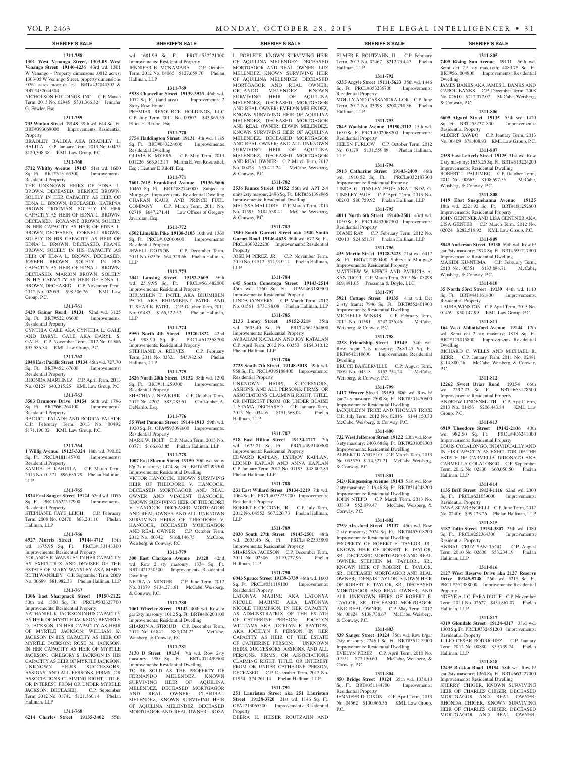#### **1311-758**

**1301 West Venango Street, 1303-05 West Venango Street 19140-4236** 43rd wd. 1301 W Venango - Property dimensons .0812 acres; 1303-05 W Venango Street, property dimensions .0261 acres more or less BRT#432044502 & BRT#432044504

NICHOLSON HOLDINGS, INC. C.P. March Term, 2013 No. 02945 \$331,366.32 Jennifer G. Fowler, Esq.

#### **1311-759**

**733 Winton Street 19148** 39th wd. 644 Sq. Ft. BRT#393069000 Improvements: Residential Property BRADLEY BALDIA AKA BRADLEY L.

BALDIA C.P. January Term, 2013 No. 00475 \$120,308.38 KML Law Group, P.C.

### **1311-760**

**5712 Whitby Avenue 19143** 51st wd. 1600 Sq. Ft. BRT#513163300 Improvements: Residential Property

THE UNKNOWN HEIRS OF EDNA L. BROWN, DECEASED, BERNICE BROWN, SOLELY IN HER CAPACITY AS HEIR OF EDNA L. BROWN, DECEASED, KATRINA BROWN TROTMAN, SOLELY IN HER CAPACITY AS HEIR OF EDNA L. BROWN, DECEASED, ROXANNE BROWN, SOLELY IN HER CAPACITY AS HEIR OF EDNA L. BROWN, DECEASED, CORNELL BROWN, SOLELY IN HIS CAPACITY AS HEIR OF EDNA L. BROWN, DECEASED, FRANK BROWN, SOLELY IN HIS CAPACITY AS HEIR OF EDNA L. BROWN, DECEASED, JOSEPH BROWN, SOLELY IN HIS CAPACITY AS HEIR OF EDNA L. BROWN, DECEASED, MARION BROWN, SOLELY IN HIS CAPACITY AS HEIR OF EDNA L. BROWN, DECEASED. C.P. November Term, 2012 No. 02053 \$98,506.76 KML Law Group, P.C.

#### **1311-761**

**5429 Gainor Road 19131** 52nd wd. 3125 Sq. Ft. BRT#522106600 Improvements: Residential Property CYNTHIA GALE AKA CYNTHIA L. GALE

AND DARYL GALE AKA DARYL S. GALE C.P. November Term, 2012 No. 01586 \$95,586.84 KML Law Group, P.C.

# **1311-762**

**2048 East Pacific Street 19134** 45th wd. 727.70 Sq. Ft. BRT#452167600 Improvements: Residential Property

#### RHONDA MARTINEZ C.P. April Term, 2013 No. 02127 \$40,015.25 KML Law Group, P.C.

#### **1311-763**

**3503 Drumore Drive 19154** 66th wd. 1796 Sq. Ft. BRT#662264100 Improvements:

Residential Property RADUCU PALADE AND RODICA PALADE C.P. February Term, 2013 No. 00492 \$171,190.02 KML Law Group, P.C.

#### **1311-764**

**1 Willig Avenue 19125-3324** 18th wd. 790.02 Sq. Ft. PRCL#181145700 Improvements: Residential Property SAMUEL E. KAHUILA C.P. March Term,

2013 No. 01571 \$96,635.79 Phelan Hallinan, LLP

#### **1311-765**

**1814 East Sanger Street 19124** 62nd wd. 1056 Sq. Ft. PRCL#622157900 Improvements: Residential Property STEPHANIE FAYE LEIGH C.P. February

Term, 2008 No. 02470 \$63,201.10 Phelan Hallinan, LLP

#### **1311-766**

**4927 Morris Street 19144-4713** 13th wd. 1675.95 Sq. Ft. PRCL#133143300 Improvements: Residential Property YOLANDA R. WANSLEY IN HER CAPACITY AS EXECUTRIX AND DEVISEE OF THE ESTATE OF MARY WANSLEY AKA MARY RUTH WANSLEY C.P. September Term, 2009 No. 00699 \$81,982.38 Phelan Hallinan, LLP

### **1311-767**

**1306 East Sharpnack Street 19150-2122**  50th wd. 1300 Sq. Ft. PRCL#502327700 Improvements: Residential Property NATHANIEL K. JACKSON IN HIS CAPACITY AS HEIR OF MYRTLE JACKSON; BEVERLY D. JACKSON, IN HER CAPACITY AS HEIR OF MYRTLE JACKSON; WILLIAM K. JACKSON IN HIS CAPACITY AS HEIR OF MYRTLE JACKSON; ROSE M. JACKSON, IN HER CAPACITY AS HEIR OF MYRTLE JACKSON; GREGORY S. JACKSON IN HIS CAPACITY AS HEIR OF MYRTLE JACKSON; UNKNOWN HEIRS, SUCCESSORS, ASSIGNS, AND ALL PERSONS, FIRMS, OR ASSOCIATIONS CLAIMING RIGHT, TITLE, OR INTEREST FROM OR UNDER MYRTLE JACKSON, DECEASED. C.P. September Term, 2012 No. 01742 \$121,360.14 Phelan

### **1311-768 6214 Charles Street 19135-3402** 55th

Hallinan, LLP

wd. 1681.99 Sq. Ft. PRCL#552221300 Improvements: Residential Property JENNIFER B. MCNAMARA C.P. October Term, 2012 No. 04065 \$127,659.70 Phelan Hallinan, LLP

#### **1311-769**

**5538 Chancellor Street 19139-3923** 46th wd. 1072 Sq. Ft. (land area) Improvements: 2 Story Row Home PREMIER RESOURCE HOLDINGS, LLC C.P. July Term, 2011 No. 00507 \$43,865.35 Elliot H. Berton, Esq.

#### **1311-770**

**5754 Haddington Street 19131** 4th wd. 1185 Sq. Ft. BRT#043224600 Improvements: Residential Dwelling

OLIVIA K. MYERS C.P. May Term, 2013 001226 \$63,812.17 Martha E. Von Rosenstiel, Esq.; Heather E Riloff, Esq.

#### **1311-771**

**7601-7615 Frankford Avenue 19136-3606**  10465 Sq. Ft. BRT#882746000 Subject to Mortgage Improvements: Residential Dwelling CHARAN KAUR AND PRINCE FUEL COMPANY C.P. March Term, 2011 No. 02719 \$647,271.41 Law Offices of Gregory Javardian, Esq.

#### **1311-772**

**6502 Limekiln Pike 19138-3103** 10th wd. 1360 Sq. Ft. PRCL#102060600 Improvements: Residential Property<br>JEWELL DOTSON C.P. December Term,

2011 No. 02326 \$64,329.66 Phelan Hallinan, LLP

#### **1311-773**

**2041 Lansing Street 19152-3609** 56th wd. 2519.95 Sq. Ft. PRCL#561482000 Improvements: Residential Property BHUMIBEN T. PATEL AKA BHUMIBEN PATEL AKA BHUMIBENT PATEL AND TUSHAR R. PATEL C.P. October Term, 2011 No. 01483 \$165,522.52 Phelan Hallinan,

# **1311-774**

LLP

**5950 North 4th Street 19120-1822** 42nd wd. 988.90 Sq. Ft. PRCL#612368700 Improvements: Residential Property STEPHANIE A. REEVES C.P. February Term, 2011 No. 03321 \$45,982.63 Phelan Hallinan, LLP

#### **1311-775**

**2826 North 20th Street 19132** 38th wd. 1200 Sq. Ft. BRT#111259300 Improvements: Residential Property SHACHIA J. NEWKIRK C.P. October Term, 2012 No. 4207 \$83,285.51 Christopher A. DeNardo, Esq.

#### **1311-776**

**55 West Pomona Street 19144-1913** 59th wd. 1920 Sq. Ft. OPA#593098600 Improvements: Residential Property MARK W. HOLT C.P. March Term, 2013 No. 00771 \$166,633.85 Phelan Hallinan, LLP

# **1311-778**

**1007 East Slocum Street 19150** 50th wd. s/d w b/g 2s masonry; 1474 Sq. Ft. BRT#502393300 Improvements: Residential Dwelling VICTOR HANCOCK, KNOWN SURVIVING HEIR OF THEODORE V. HANCOCK, DECEASED MORTGAGOR AND REAL OWNER AND VINCENT HANCOCK, KNOWN SURVIVING HEIR OF THEODORE V. HANCOCK, DECEASED MORTGAGOR AND REAL OWNER AND ALL UNKNOWN SURVIVING HEIRS OF THEODORE V. HANCOCK, DECEASED MORTGAGOR AND REAL OWNER C.P. October Term, 2012 No. 00342 \$168,146.75 McCabe, Weisberg, & Conway, P.C.

#### **1311-779**

**300 East Clarkson Avenue 19120** 42nd wd. Row 2 sty masonry; 1334 Sq. Ft. BRT#421230500 Improvements: Residential Dwelling NETRA A. MINTER C.P. June Term, 2012

No. 01879 \$134,271.81 McCabe, Weisberg, & Conway, P.C. **1311-780**

#### **7061 Wheeler Street 19142** 40th wd. Row b/ gar 2sty masonry; 1012 Sq. Ft. BRT#406200100 Improvements: Residential Dwelling SHARON A. STROUD C.P. December Term,

2012 No. 01841 \$85,124.22 McCabe, Weisberg, & Conway, P.C.

#### **1311-781**

**3130 D Street 19134** 7th wd. Row 2sty masonry; 980 Sq. Ft. BRT#071499900 Improvements: Residential Dwelling TO BE SOLD AS THE PROPERTY OF FERNANDO MELENDEZ, KNOWN SURVIVING HEIR OF AQUILINA MELENDEZ, DECEASED MORTGAGOR AND REAL OWNER; CLARIBAL MELENDEZ, KNOWN SURVIVING HEIR OF AQUILINA MELENDEZ, DECEASED MORTGAGOR AND REAL OWNER; ROSA

#### **SHERIFF'S SALE SHERIFF'S SALE SHERIFF'S SALE SHERIFF'S SALE SHERIFF'S SALE**

L. POBLETE, KNOWN SURVIVING HEIR OF AQUILINA MELENDEZ, DECEASED MORTGAGOR AND REAL OWNER; LUZ MELENDEZ, KNOWN SURVIVING HEIR OF AQUILINA MELENDEZ, DECEASED MORTGAGOR AND REAL OWNER; ORLANDO MELENDEZ, KNOWN SURVIVING HEIR OF AQUILINA MELENDEZ, DECEASED MORTGAGOR AND REAL OWNER; EVELYN MELENDEZ, KNOWN SURVIVING HEIR OF AQUILINA MELENDEZ, DECEASED MORTGAGOR AND REAL OWNER; EDWIN MELENDEZ, KNOWN SURVIVING HEIR OF AQUILINA MELENDEZ, DECEASED MORTGAGOR AND REAL OWNER; AND ALL UNKNOWN SURVIVING HEIR OF AQUILINA MELENDEZ, DECEASED MORTGAGOR AND REAL OWNER. C.P. March Term, 2012 No. 00423 \$55,412.24 McCabe, Weisberg, & Conway, P.C.

#### **1311-782**

**2536 Faunce Street 19152** 56th wd. APT 2-4 units 2sty masonr; 2496 Sq. Ft. BRT#561398965 Improvements: Residential Dwelling MELISSA MALLORY C.P. March Term, 2013 No. 01595 \$184,538.41 McCabe, Weisberg, & Conway, P.C.

#### **1311-783**

**1540 South Garnett Street aka 1540 South Garnet Road 19146-4628** 36th wd. 672 Sq. Ft. PRCL#363222200 Improvements: Residential Property JOSE M PEREZ, JR. C.P. November Term,

2010 No. 01512 \$71,910.11 Phelan Hallinan, LLP

# **1311-784**

**645 South Conestoga Street 19143-2514**  46th wd. 1260 Sq. Ft. OPA#463180300 Improvements: Residential Property LINDA CONYERS C.P. March Term, 2012 No. 01561 \$73,188.08 Phelan Hallinan, LLP

# **1311-785**

**2133 Loney Street 19152-3218** 35th wd. 2633.40 Sq. Ft. PRCL#561564600 Improvements: Residential Property AVRAHAM KATALAN AND JOY KATALAN C.P. April Term, 2012 No. 00353 \$164,310.12 Phelan Hallinan, LLP

# **1311-786**

**2725 South 7th Street 19148-5018** 39th wd. 958 Sq. Ft. PRCL#395188400 Improvements: Residential Property UNKNOWN HEIRS, SUCCESSORS, ASSIGNS, AND ALL PERSONS, FIRMS, OR ASSOCIATIONS CLAIMING RIGHT, TITLE, OR INTEREST FROM OR UNDER BLAISE J. STAMA, DECEASED C.P. January Term, 2013 No. 03416 \$151,568.04 Phelan Hallinan, LLP

# **1311-787**

**518 East Hilton Street 19134-1717** 7th wd. 1675.21 Sq. Ft. PRCL#492140900 Improvements: Residential Property EDWARD KAPLAN, LYUBOV KAPLAN, LEONID KAPLAN AND ANNA KAPLAN C.P. January Term, 2012 No. 01193 \$48,802.83 Phelan Hallinan, LLP

#### **1311-788**

**231 East Willard Street 19134-2219** 7th wd. 1064 Sq. Ft. PRCL#073225200 Improvements: Residential Property ROBERT E CICCONE, JR. C.P. July Term, 2012 No. 04552 \$67,220.73 Phelan Hallinan, LLP

#### **1311-789**

**2030 South 27th Street 19145-2501** 48th wd. 2655.46 Sq. Ft. PRCL#482335800 Improvements: Residential Property SHARISSA JACKSON C.P. December Term, 2011 No. 02306 \$110,777.96 Phelan Hallinan, LLP

#### **1311-790**

**6043 Spruce Street 19139-3739** 46th wd. 1600 Sq. Ft. PRCL#031119100 Improvements: Residential Property

LATONYA MABINE AKA LATONYA NICOLE MABINE AKA LATONYA NICOLE THOMPSON, IN HER CAPACITY AS ADMINSTRATRIX OF THE ESTATE OF CATHERINE PERSON; JOCELYN WILLIAMS AKA JOCELYN F. BAYTOPS, AKA JOCELYN F. PERSON, IN HER CAPACITY AS HEIR OF THE ESTATE OF CATHERINE PERSON; UNKNOWN HEIRS, SUCCESSORS, ASSIGNS, AND ALL PERSONS, FIRMS, OR ASSOCIATIONS CLAIMING RIGHT, TITLE, OR INTEREST FROM OR UNDER CATHERINE PERSON, DECEASED. C.P. December Term, 2012 No. 01954 \$74,261.14 Phelan Hallinan, LLP

#### **1311-791**

**251 Lauriston Street aka 251 Lauriston Street 19128-3720** 21st wd. 1146 Sq. Ft. OPA#213065300 Improvements: Residential Property

DEBRA H. HEISER ROUTZAHN AND

ELMER E. ROUTZAHN, II C.P. February Term, 2013 No. 02467 \$212,754.47 Phelan Hallinan, LLP **1311-792**

**1311-805 7409 Rising Sun Avenue 19111** 56th wd. Semi det 2.5 sty mas.+oth; 4089.75 Sq. Ft. BRT#561004800 Improvements: Residential

JAMES BANKS AKA JAMES L. BANKS AND CAROL BANKS C.P. December Term, 2008 No. 02610 \$212,377.07 McCabe, Weisberg,

**1311-806 6609 Algard Street 19135** 55th wd. 1420 Sq. Ft. BRT#552371800 Improvements:

ALBERT SAWBO C.P. January Term, 2013 No. 00409 \$78,408.93 KML Law Group, P.C. **1311-807 2358 East Letterly Street 19125** 31st wd. Row 2 sty masonry; 1633.25 Sq. Ft. BRT#313224200 Improvements: Residential Dwelling ROBERT L. PALUMBO C.P. October Term, 2011 No. 00663 \$108,697.55 McCabe,

**1311-808 1419 East Susquehanna Avenue 19125**  18th wd. 2221.92 Sq. Ft. BRT#181252600 Improvements: Residential Property JOHN GENTNER AND LISA GENTNER AKA LISA GENTER C.P. March Term, 2012 No. 02024 \$282,519.92 KML Law Group, P.C. **1311-809 5849 Anderson Street 19138** 59th wd. Row b/ gar 2sty masonry; 2970 Sq. Ft. BRT#591217900 Improvements: Residential Dwelling MAKIDI KU-NTIMA C.P. February Term, 2010 No. 00351 \$133,884.71 McCabe,

**1311-810 35 North 53rd Street 19139** 44th wd. 1110 Sq. Ft. BRT#441161800 Improvements:

LAURA WINSTON C.P. April Term, 2013 No. 01459 \$50,147.99 KML Law Group, P.C. **1311-811 164 West Abbottsford Avenue 19144** 12th wd. Semi det 2 sty masonry; 1818 Sq. Ft. BRT#123015800 Improvements: Residential

RICHARD C. WELLS AND MICHAEL R. KERR C.P. January Term, 2011 No. 02481 \$114,880.26 McCabe, Weisberg, & Conway,

**1311-812 12262 Sweet Briar Road 19154** 66th wd. 2212.23 Sq. Ft. BRT#663178500 Improvements: Residential Property ANDREW LINDENMUTH C.P. April Term, 2013 No. 01456 \$206,443.84 KML Law

**1311-813 6919 Theodore Street 19142-2106** 40th wd. 982.50 Sq. Ft. PRCL#406241000 Improvements: Residential Property LOUIS COLALONGO, INDIVIDUALLY AND IN HIS CAPACITY AS EXECUTOR OF THE ESTATE OF CARMELIA DIDONATO AKA CARMELLA COLALONGO C.P. September Term, 2012 No. 02830 \$60,050.50 Phelan

**1311-814 1135 Brill Street 19124-1116** 62nd wd. 2000 Sq. Ft. PRCL#621039000 Improvements:

DANA SCARANGELLI C.P. June Term, 2012 No. 02406 \$99,123.26 Phelan Hallinan, LLP **1311-815 3187 Tulip Street 19134-3807** 25th wd. 1080 Sq. Ft. PRCL#252364300 Improvements:

ANIBAL CRUZ SANTIAGO C.P. August Term, 2010 No. 02606 \$53,234.19 Phelan

**1311-816 2127 West Reserve Drive aka 2127 Reserve Drive 19145-5748** 26th wd. 5213 Sq. Ft. PRCL#262388000 Improvements: Residential

NDEYE A. LO, FARA DIOUE C.P. November Term, 2011 No. 02627 \$434,867.07 Phelan

**1311-817 4319 Glendale Street 19124-4317** 33rd wd. 1300 Sq. Ft. PRCL#332451200 Improvements:

JULIO CESAR RODRIGUEZ C.P. January Term, 2012 No. 00880 \$59,739.74 Phelan

**1311-818 12435 Balston Road 19154** 58th wd. Row b/ gar 2sty masonry; 1360 Sq. Ft. BRT#663227000 Improvements: Residential Dwelling SHERRY CHIGER, KNOWN SURVIVING HEIR OF CHARLES CHIGER, DECEASED MORTGAGOR AND REAL OWNER; RHONDA CHIGER, KNOWN SURVIVING HEIR OF CHARLES CHIGER, DECEASED MORTGAGOR AND REAL OWNER;

Dwelling

& Conway, P.C.

Residential Property

Weisberg, & Conway, P.C.

Weisberg, & Conway, P.C.

Residential Property

Dwelling

Group, P.C.

Hallinan, LLP

Residential Property

Residential Property

Hallinan, LLP

Hallinan, LLP

Hallinan, LLP

Residential Property

Property

P.C.

**6335 Argyle Street 19111-5623** 35th wd. 1446 Sq. Ft. PRCL#353236700 Improvements: Residential Property MOL LY AND CASSANDRA LOR C.P. June

Term, 2012 No. 03098 \$200,798.36 Phelan Hallinan, LLP **1311-793**

#### **7845 Woolston Avenue 19150-3112** 15th wd.

1630 Sq. Ft. PRCL#502068200 Improvements: Residential Property HELEN FURLOW C.P. October Term, 2012 No. 00179 \$131,559.88 Phelan Hallinan, LLP

#### **1311-794**

**5913 Catharine Street 19143-2409** 46th wd. 1910.52 Sq. Ft. PRCL#032187300 Improvements: Residential Property LINDA G. TINSLEY PAGE AKA LINDA G. TINSLEY-PAGE C.P. April Term, 2013 No. 00200 \$80,759.92 Phelan Hallinan, LLP

#### **1311-795**

**4011 North 6th Street 19140-2501** 43rd wd. 1050 Sq. Ft. PRCL#433067300 Improvements: Residential Property DIANE RAY C.P. February Term, 2012 No. 02010 \$24,651.71 Phelan Hallinan, LLP

# **1311-796**

**435 Martin Street 19128-3423** 21st wd. 6417 Sq. Ft. BRT#212090400 Subject to Mortgage Improvements: Residential Property MATTHEW W. REECE AND PATRICIA A. SANTUCCI C.P. March Term, 2013 No. 03098 \$69,891.05 Pressman & Doyle, LLC

#### **1311-797**

**5921 Cottage Street 19135** 41st wd. Det 2 sty frame; 7946 Sq. Ft. BRT#552401900 Improvements: Residential Dwelling MICHELLE WINKIS C.P. February Term, 2012 No. 01591 \$242,036.46 McCabe, Weisberg, & Conway, P.C.

#### **1311-798 2258 Friendship Street 19149** 54th wd. Row b/gar 2sty masonry; 2880.45 Sq. Ft.

BRT#542118600 Improvements: Residential

BRUCE BASKERVILLE C.P. August Term, 2009 No. 04318 \$152,754.24 McCabe,

**1311-799 1417 Weaver Street 19150** 50th wd. Row b/ gar 2sty masonry; 2508 Sq. Ft. BRT#501470600 Improvements: Residential Dwelling JACQULEYN TRICE AND THOMAS TRICE C.P. July Term, 2012 No. 02816 \$144,150.30 McCabe, Weisberg, & Conway, P.C. **1311-800 732 West Jefferson Street 19122** 20th wd. Row 3 sty masonry; 2403.68 Sq. Ft. BRT#201008300 Improvements: Residential Dwelling ALBERT D'ANGELO C.P. March Term, 2013 No. 033520 \$174,527.21 McCabe, Weisberg,

**1311-801 5420 Kingsessing Avenue 19143** 51st wd. Row 2 sty masonry; 2116.46 Sq. Ft. BRT#514248200 Improvements: Residential Dwelling JOHN NTEFO C.P. March Term, 2013 No. 03339 \$52,879.47 McCabe, Weisberg, &

**1311-802 2759 Alresford Street 19137** 45th wd. Row 2 sty masonry; 2024 Sq. Ft. BRT#453018200 Improvements: Residential Dwelling PROPERTY OF ROBERT E. TAYLOR, JR., KNOWN HEIR OF ROBERT E. TAYLOR, SR., DECEASED MORTGAGOR AND REAL OWNER; STEPHEN M. TAYLOR., SR., KNOWN HEIR OF ROBERT E. TAYLOR, SR., DECEASED MORTGAGOR AND REAL OWNER; DENNIS TAYLOR, KNOWN HEIR OF ROBERT E. TAYLOR, SR., DECEASED MORTGAGOR AND REAL OWNER; AND ALL UNKNOWN HEIRS OF ROBERT E. TAYLOR, SR., DECEASED MORTGAGOR AND REAL OWNER. C.P. May Term, 2012 No. 00824 \$138,738.67 McCabe, Weisberg,

**1311-803 839 Sanger Street 19124** 35th wd. Row b/gar 2sty masonry; 2246.1 Sq. Ft. BRT#351219300 Improvements: Residential Dwelling EVELYN PEREZ C.P. April Term, 2010 No. 01951 \$77,150.60 McCabe, Weisberg, &

**1311-804 850 Bridge Street 19124** 35th wd. 1038.10<br>
Sq. Ft. BRT#351144700 Improvements:

JENNIFER D. DIXON C.P. April Term, 2013 No. 04562 \$100,965.36 KML Law Group,

Dwelling

& Conway, P.C.

Conway, P.C.

& Conway, P.C.

Conway, P.C.

P.C.

Sq. Ft. BRT#351144700 Residential Property

Weisberg, & Conway, P.C.